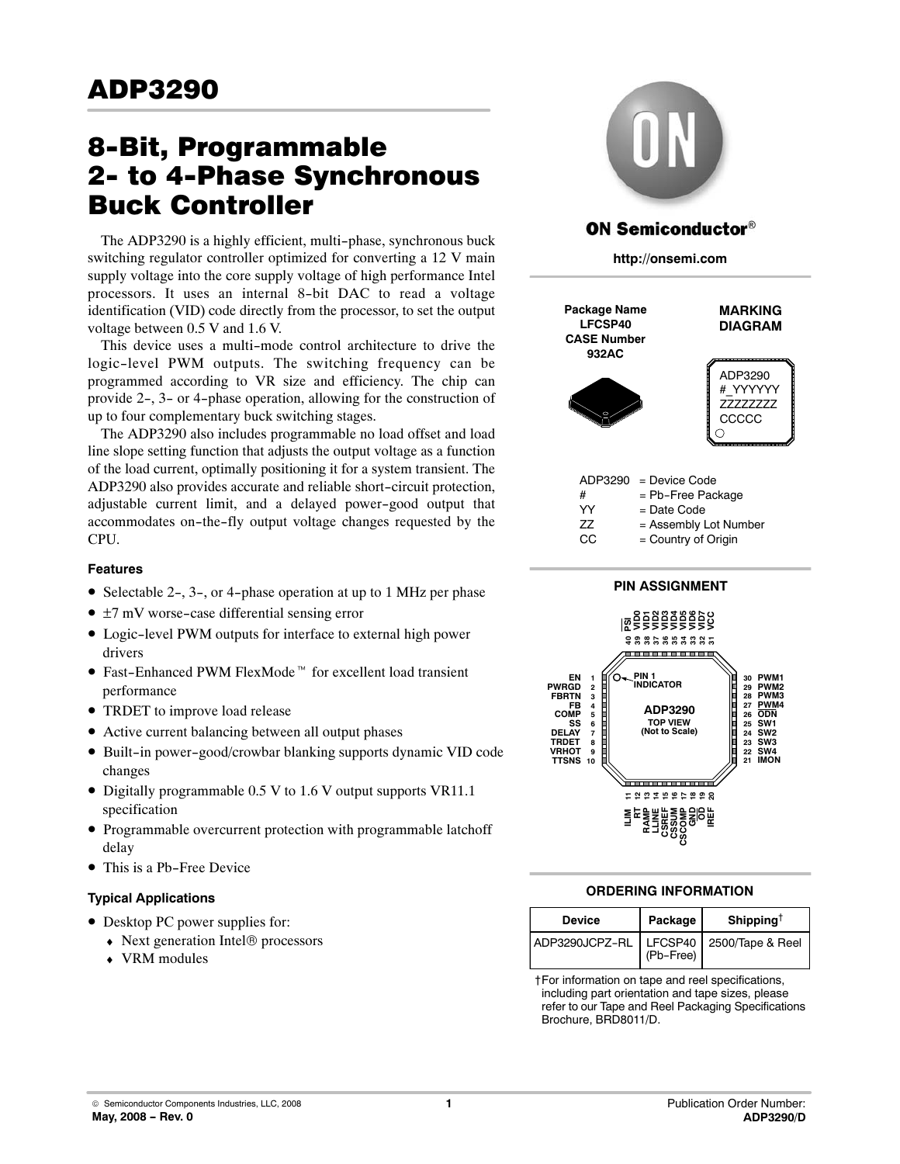# 8-Bit, Programmable **Buck Controller**

The ADP3290 is a highly efficient, multi-phase, synchronous buck switching regulator controller optimized for converting a 12 V main supply voltage into the core supply voltage of high performance Intel processors. It uses an internal 8-bit DAC to read a voltage identification (VID) code directly from the processor, to set the output voltage between 0.5 V and 1.6 V.

This device uses a multi-mode control architecture to drive the logic-level PWM outputs. The switching frequency can be programmed according to VR size and efficiency. The chip can provide 2-, 3- or 4-phase operation, allowing for the construction of up to four complementary buck switching stages.

The ADP3290 also includes programmable no load offset and load line slope setting function that adjusts the output voltage as a function of the load current, optimally positioning it for a system transient. The ADP3290 also provides accurate and reliable short-circuit protection, adjustable current limit, and a delayed power-good output that accommodates on-the-fly output voltage changes requested by the CPU.

# **Features**

- Selectable 2-, 3-, or 4-phase operation at up to 1 MHz per phase
- ±7 mV worse-case differential sensing error
- $\bullet$  Logic-level PWM outputs for interface to external high power drivers explored to the supplier of interface to excellent load transient<br>
■ Fast-Enhanced PWM FlexMode<sup>™</sup> for excellent load transient
- performance
- TRDET to improve load release
- Active current balancing between all output phases
- •-Built-in power-good/crowbar blanking supports dynamic VID code changes
- Digitally programmable 0.5 V to 1.6 V output supports VR11.1 specification
- Programmable overcurrent protection with programmable latchoff delay
- This is a Pb-Free Device

# **Typical Applications**

- Desktop PC power supplies for:
	- ♦-Next generation Intel® processors
	- VRM modules



# **ON Semiconductor®**

**http://onsemi.com**



# **ORDERING INFORMATION**

| <b>Device</b>  | Package   | Shipping <sup><math>\dagger</math></sup> |
|----------------|-----------|------------------------------------------|
| ADP3290JCPZ-RL | (Pb-Free) | LFCSP40   2500/Tape & Reel               |

†For information on tape and reel specifications, including part orientation and tape sizes, please refer to our Tape and Reel Packaging Specifications Brochure, BRD8011/D.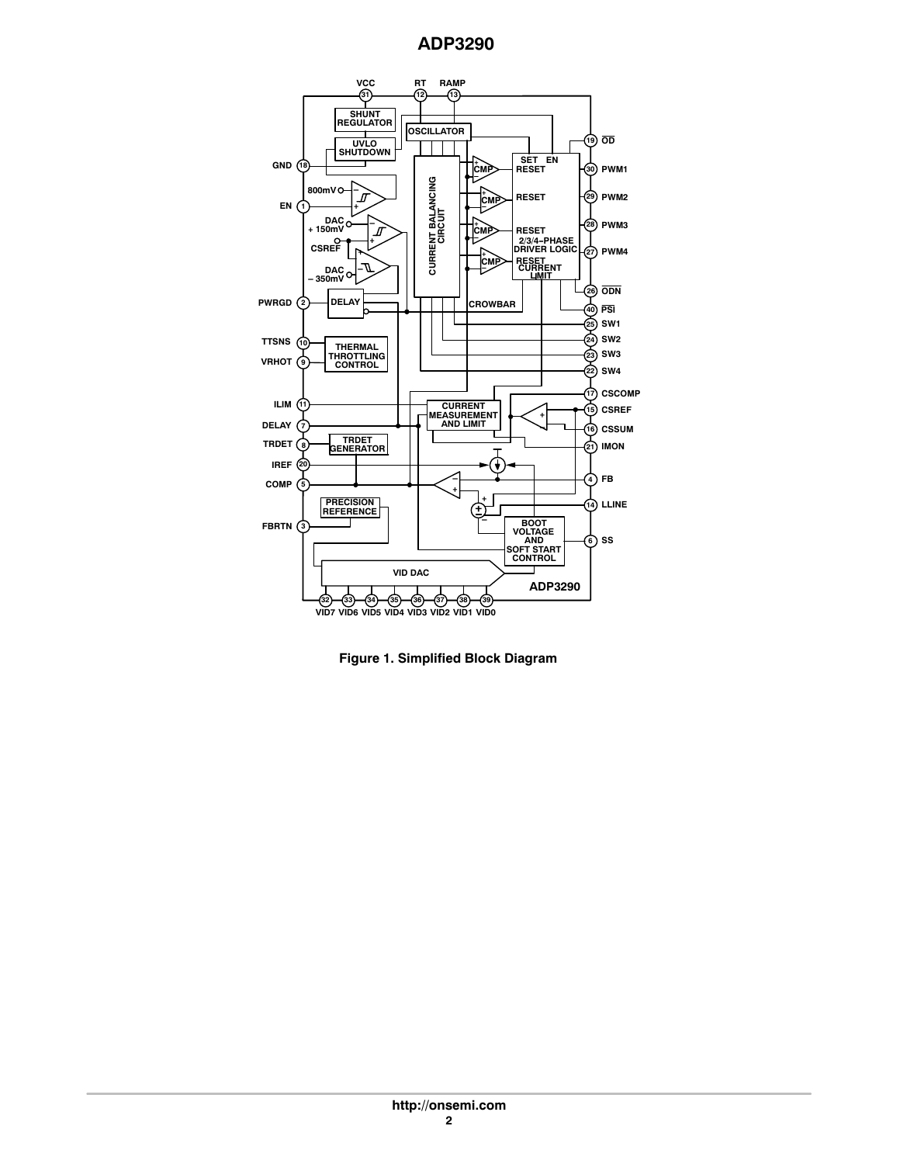

**Figure 1. Simplified Block Diagram**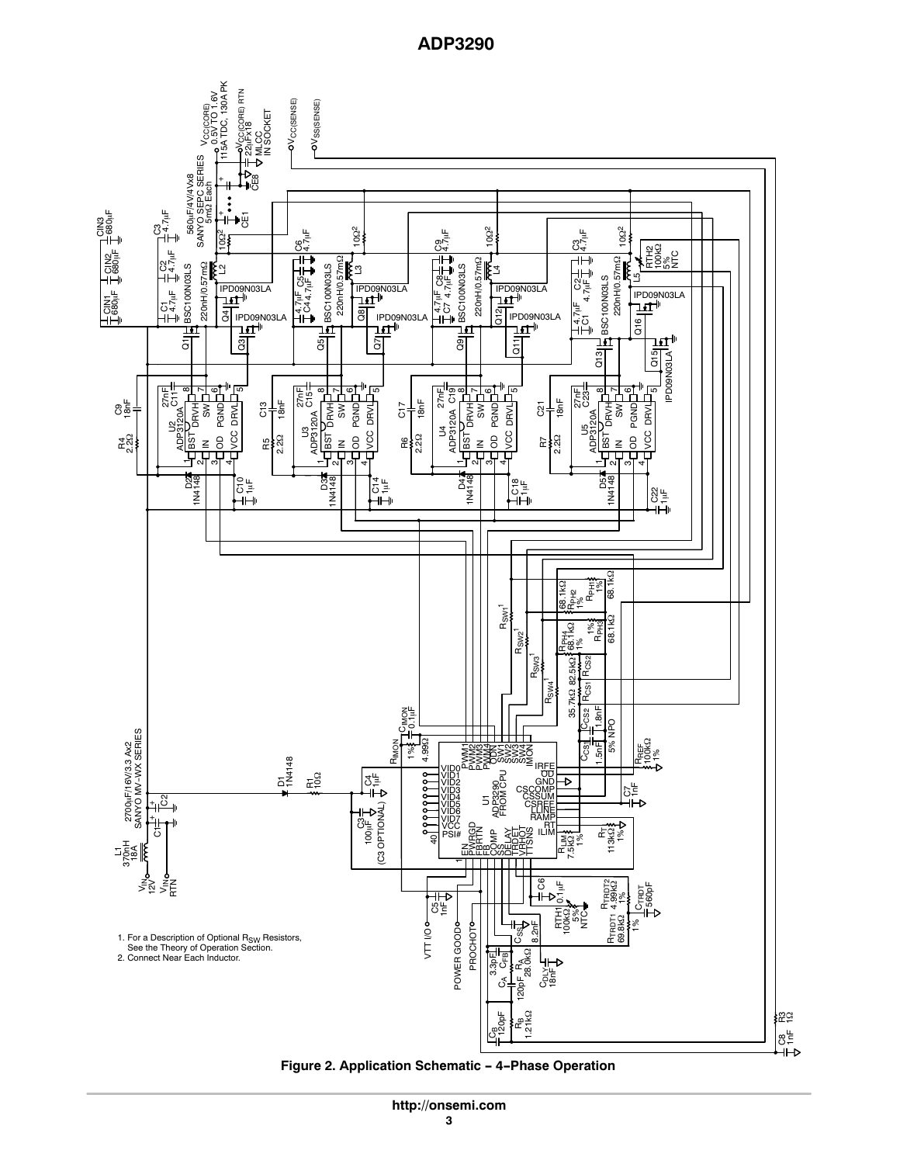115A TDC, 130A PK VCC(CORE) RTN 0.5V TO 1.6V **OVCC(SENSE)** Pov<sub>ss(SENSE)</sub> 220nH/0.57m22 Port Sm32 Each Vcc(core) IN SOCKET 22µFx18<br>MLCC สั SANYO SEPC SERIES F/4V/4Vx8 CE8  $+$ CIN3 680-F ⊯<br>تاريخ  $\frac{56}{10}$ i⊢∙⊕ 102 102 102 ے<br>C6<br>C4 عب<del>ر</del><br>C9<br>C4 C3 4.7-F ⊣" ਁੱਡੋ <u>ਇੱ</u><br>ਮੁ RTH2 100k CB<sub>94</sub>E<br>CB94 NTC ಲಕ್ಕೆ<br>೧೯ 220nH/0.57m 220nH/0.57m  $\frac{Q5}{4}$ BSC100N03LS 220nH/0.57m 5% 220nH/0.57mΩ  $\mathbf{S}$ BSC100N03LS BSC100N03LS BSC100N03LS <sub>33</sub> ا≕ Lash L4  $\frac{Q13}{\left|\frac{1}{14}\right|}$  BSC100N03LS L5 C5 4.7-F 8 날<br>8 날 BSC100N03LS 8발<br>7 PD09N03LA<br> **LET**<sup>||</sup><br>
<u>G</u><br>
<br>
C IPD09N03LA IPD09N03LA IL 7 S = IPD09N03LA I 3 = T<br>- + IPD09N03LA IL 7 S = I-+ IP IPD09N03LA<br><u>Tit</u>H<br>CHPD09N0:<br>CHTI<sub>FT</sub>H CINT<br>C80<br>C ے<br>C1<br>C4 4.7uF<br>C4 4 4.7µF<br>C7 4 L 4.7<br>4.7<br>4.0  $\frac{1}{6}$ IPD09N03LA IPD09N03LA IPD09N03LA ำนี පි ə Q9  $\bar{\text{o}}$ ភ<br>ក Q15 **PD09N03LA** IPD09N03LA 'ሞ 27nF ∞⊥∼⊥⊙ مب 27<br>255<br>27 ∞⊥∼\_⊙\_ 5 مبر<br>27<br>27 ள்⊾∝ 5 27nF<br>C23 <u>დ</u> 건<br>- 홍 리<br>- 종 C11  $\mathcal{B}_{\frac{1}{2}}^{\frac{1}{2}}$ |<br>|<br>| <sup>86</sup> 1<sub>동</sub> 18nF C21 PS<br>Pand<br>Pand R5 C13 2.2  $\frac{13}{4}$  CD<br>ADP3120A PS<br>Pand<br>Pand ER<br>2.20<br>2.20 PS<br>PS<br>PSND<br>PSND S<br>ADP3120A PRV<br>PS<br>DRV<br>DRV<br>DRV ADP3120A ADP3120A ADP3120A ADP3120A 3 U4  $E_{22}^{4}$ a<br>En 2 95 BST IN OD VCC ន<br>ខ ខ ខ ខ  $2.20$ BST IN OD VCC R7 그 이 ♡ 4 그 ~ ~ 그 이 이 4 4 그 이 이 4 D4 1N4148 D2 1N4148 D3 1N4148 D5 1N4148 운 놀 군<br>주 운<br>도 8일<br>다 1% RPH1  $\frac{1}{2}$ <br>PH2 **68.1** 1% 1% R<sub>SW1</sub>1 1<sub>K</sub> 1% RPH3 R<sub>PH4</sub><br>68.1kΩ  $\overline{\phantom{a}}$ R SW2  $\mathbf -$ R SW3 R<sub>CS1</sub> R<sub>CS2</sub> 82.5k R<sub>SW4</sub> 35.7kQ 1.8nF<br>-<br>-إسما S<sub>IMON</sub><br>City  $C<sub>CS2</sub>$ C<sub>CS1</sub> C<sub>CS2</sub> 1% 0.1-5% NPO 2700µF/16V/3.3 Ax2<br>SANYO MV-WX SERIES 2700μF/16V/3.3 Ax2<br>SANYO MV-WX SERIES اليون<br>تا الج **Rima**<br> **Rima**<br>  $\frac{3}{2}$ <br>  $\frac{3}{2}$ <br>  $\frac{3}{2}$ <br>  $\frac{3}{2}$ <br>  $\frac{3}{2}$ R<sub>REF</sub><br>100kΩ<br>'1% FWASS<br>SWARI<br>SWARISS<br>EWARIS D1<br>1N4148 IRFE OD VID0 FROM CPU VID1 R1 10 ୪‡ ↴ १११११११११ GND<br>CSS<u>UM</u><br>CSSUM VID2 CSC<br>CS<br>C<sub>1</sub> ADP3290 5년<br>2년 VID3  $\overline{5}$ VID4 + မိ VID5 VID6 VID7 (C3 OPTIONAL) LLINE + لا<br>Saja RT<br>ILIN Ð vcc ez <sub>및 강대</sub>S% <sub>I</sub>nt<br>PS⊯ 空 실 기 ROCK<br>REAL SER<br>HARROMAN<br>HARROMAN  $\overline{c}$ 1% 113k RT  $\overline{a}$ PSI#  $\frac{5}{6}$ R<br>R<br>7.5k2 L1 370nH li i i i i i i i  $\mathbf -$ C6 ≷<br>Vi≦ 3e<br>Se R<sub>TRDT2</sub> R<sub>TRDT1</sub> 4.99kQ 0.1-F C<sub>TRDT</sub><br>560pF  $\frac{5}{6}$ 8눝 Eg%ü<br>Hami 69.8k ∤⊗ PROCHOTO <del>။<br>၂</del>၀၄ POWER GOODO PROCHOT  $\frac{\delta}{2}$ VTT I/O POWER GOOD 1. For a Description of Optional R<sub>SW</sub> Resistors See the Theory of Operation Section. 2. Connect Near Each Inductor. RA<br>28.0kΩ CA CFB  $3.3pF$ 18nF CDLY 120pF C<sub>B</sub><br>120pF **R<sub>B</sub>**<br>1.21kΩ ಜ್ಞ 8는

**Figure 2. Application Schematic - 4-Phase Operation**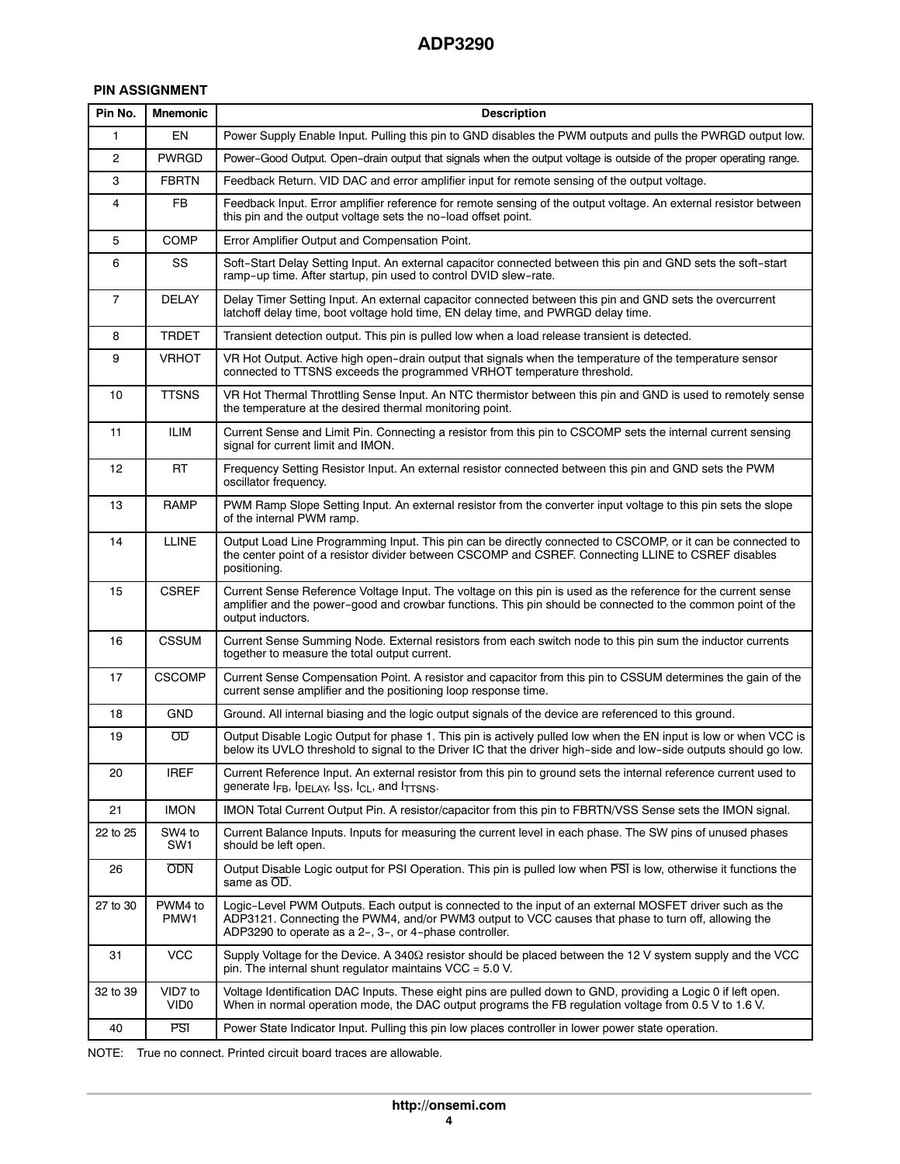# **PIN ASSIGNMENT**

| Pin No.        | <b>Mnemonic</b>             | <b>Description</b>                                                                                                                                                                                                                                                       |
|----------------|-----------------------------|--------------------------------------------------------------------------------------------------------------------------------------------------------------------------------------------------------------------------------------------------------------------------|
| 1              | EN                          | Power Supply Enable Input. Pulling this pin to GND disables the PWM outputs and pulls the PWRGD output low.                                                                                                                                                              |
| $\overline{c}$ | <b>PWRGD</b>                | Power-Good Output. Open-drain output that signals when the output voltage is outside of the proper operating range.                                                                                                                                                      |
| 3              | <b>FBRTN</b>                | Feedback Return. VID DAC and error amplifier input for remote sensing of the output voltage.                                                                                                                                                                             |
| 4              | <b>FB</b>                   | Feedback Input. Error amplifier reference for remote sensing of the output voltage. An external resistor between<br>this pin and the output voltage sets the no-load offset point.                                                                                       |
| 5              | <b>COMP</b>                 | Error Amplifier Output and Compensation Point.                                                                                                                                                                                                                           |
| 6              | SS                          | Soft-Start Delay Setting Input. An external capacitor connected between this pin and GND sets the soft-start<br>ramp-up time. After startup, pin used to control DVID slew-rate.                                                                                         |
| 7              | <b>DELAY</b>                | Delay Timer Setting Input. An external capacitor connected between this pin and GND sets the overcurrent<br>latchoff delay time, boot voltage hold time, EN delay time, and PWRGD delay time.                                                                            |
| 8              | <b>TRDET</b>                | Transient detection output. This pin is pulled low when a load release transient is detected.                                                                                                                                                                            |
| 9              | <b>VRHOT</b>                | VR Hot Output. Active high open-drain output that signals when the temperature of the temperature sensor<br>connected to TTSNS exceeds the programmed VRHOT temperature threshold.                                                                                       |
| 10             | <b>TTSNS</b>                | VR Hot Thermal Throttling Sense Input. An NTC thermistor between this pin and GND is used to remotely sense<br>the temperature at the desired thermal monitoring point.                                                                                                  |
| 11             | <b>ILIM</b>                 | Current Sense and Limit Pin. Connecting a resistor from this pin to CSCOMP sets the internal current sensing<br>signal for current limit and IMON.                                                                                                                       |
| 12             | <b>RT</b>                   | Frequency Setting Resistor Input. An external resistor connected between this pin and GND sets the PWM<br>oscillator frequency.                                                                                                                                          |
| 13             | <b>RAMP</b>                 | PWM Ramp Slope Setting Input. An external resistor from the converter input voltage to this pin sets the slope<br>of the internal PWM ramp.                                                                                                                              |
| 14             | <b>LLINE</b>                | Output Load Line Programming Input. This pin can be directly connected to CSCOMP, or it can be connected to<br>the center point of a resistor divider between CSCOMP and CSREF. Connecting LLINE to CSREF disables<br>positioning.                                       |
| 15             | <b>CSREF</b>                | Current Sense Reference Voltage Input. The voltage on this pin is used as the reference for the current sense<br>amplifier and the power-good and crowbar functions. This pin should be connected to the common point of the<br>output inductors.                        |
| 16             | <b>CSSUM</b>                | Current Sense Summing Node. External resistors from each switch node to this pin sum the inductor currents<br>together to measure the total output current.                                                                                                              |
| 17             | <b>CSCOMP</b>               | Current Sense Compensation Point. A resistor and capacitor from this pin to CSSUM determines the gain of the<br>current sense amplifier and the positioning loop response time.                                                                                          |
| 18             | GND                         | Ground. All internal biasing and the logic output signals of the device are referenced to this ground.                                                                                                                                                                   |
| 19             | OD                          | Output Disable Logic Output for phase 1. This pin is actively pulled low when the EN input is low or when VCC is<br>below its UVLO threshold to signal to the Driver IC that the driver high-side and low-side outputs should go low.                                    |
| 20             | <b>IREF</b>                 | Current Reference Input. An external resistor from this pin to ground sets the internal reference current used to<br>generate $I_{FB}$ , $I_{DELAY}$ , $I_{SS}$ , $I_{CL}$ , and $I_{TTSNS}$ .                                                                           |
| 21             | <b>IMON</b>                 | IMON Total Current Output Pin. A resistor/capacitor from this pin to FBRTN/VSS Sense sets the IMON signal.                                                                                                                                                               |
| 22 to 25       | SW4 to<br>SW1               | Current Balance Inputs. Inputs for measuring the current level in each phase. The SW pins of unused phases<br>should be left open.                                                                                                                                       |
| 26             | <b>ODN</b>                  | Output Disable Logic output for PSI Operation. This pin is pulled low when PSI is low, otherwise it functions the<br>same as OD.                                                                                                                                         |
| 27 to 30       | PWM4 to<br>PMW1             | Logic-Level PWM Outputs. Each output is connected to the input of an external MOSFET driver such as the<br>ADP3121. Connecting the PWM4, and/or PWM3 output to VCC causes that phase to turn off, allowing the<br>ADP3290 to operate as a 2-, 3-, or 4-phase controller. |
| 31             | <b>VCC</b>                  | Supply Voltage for the Device. A 340 $\Omega$ resistor should be placed between the 12 V system supply and the VCC<br>pin. The internal shunt regulator maintains $VCC = 5.0 V$ .                                                                                        |
| 32 to 39       | VID7 to<br>VID <sub>0</sub> | Voltage Identification DAC Inputs. These eight pins are pulled down to GND, providing a Logic 0 if left open.<br>When in normal operation mode, the DAC output programs the FB regulation voltage from 0.5 V to 1.6 V.                                                   |
| 40             | <b>PSI</b>                  | Power State Indicator Input. Pulling this pin low places controller in lower power state operation.                                                                                                                                                                      |

NOTE: True no connect. Printed circuit board traces are allowable.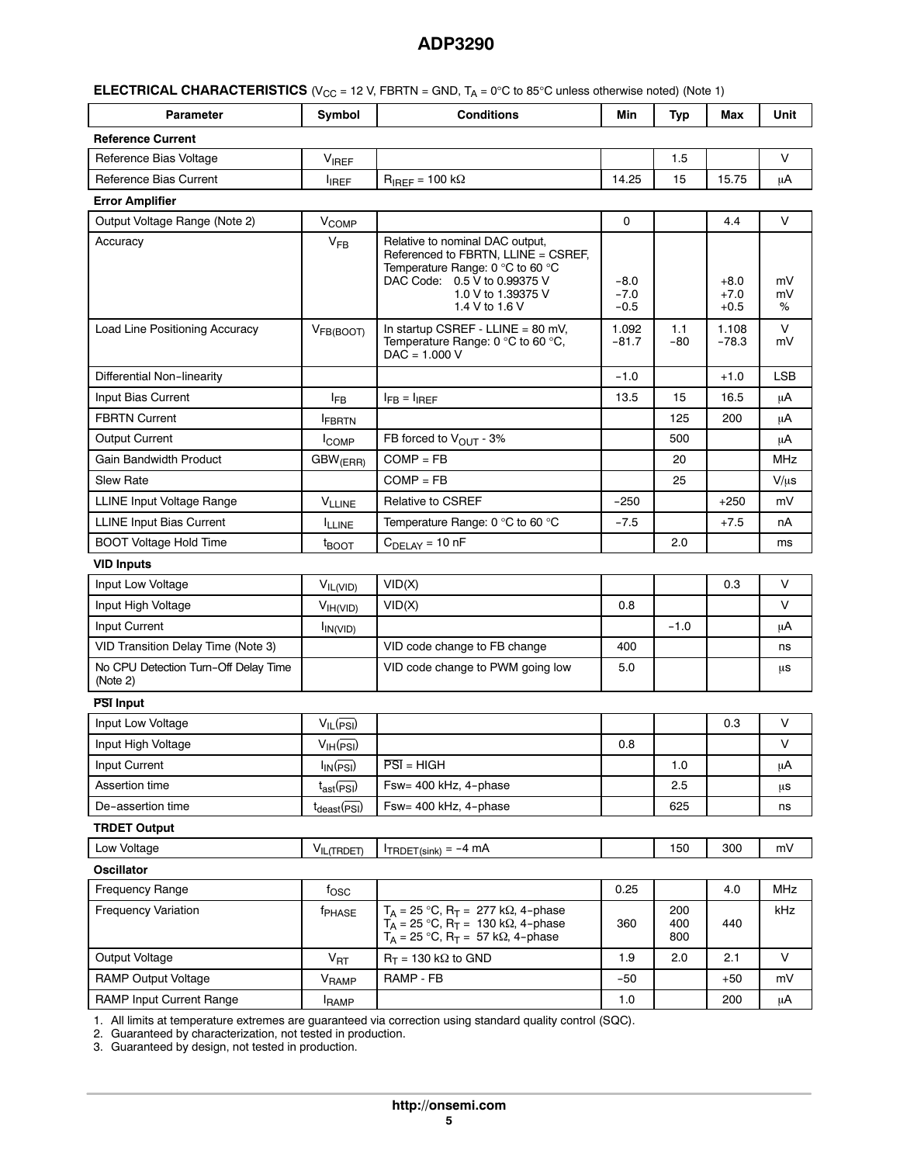| <b>ELECTRICAL CHARACTERISTICS</b> ( $V_{CC}$ = 12 V, FBRTN = GND, $T_A$ = 0°C to 85°C unless otherwise noted) (Note 1) |  |
|------------------------------------------------------------------------------------------------------------------------|--|
|------------------------------------------------------------------------------------------------------------------------|--|

| <b>Parameter</b>         | Symbol       | <b>Conditions</b>           | Min   | <b>Typ</b> | Max   | Unit |
|--------------------------|--------------|-----------------------------|-------|------------|-------|------|
| <b>Reference Current</b> |              |                             |       |            |       |      |
| Reference Bias Voltage   | <b>VIREF</b> |                             |       | 1.5        |       |      |
| Reference Bias Current   | <b>IREF</b>  | $R_{IRFF}$ = 100 k $\Omega$ | 14.25 | 15         | 15.75 | μA   |

#### **Error Amplifier**

| וסווועוווא וטווב                                 |                          |                                                                                                                                                                                    |                            |            |                            |               |
|--------------------------------------------------|--------------------------|------------------------------------------------------------------------------------------------------------------------------------------------------------------------------------|----------------------------|------------|----------------------------|---------------|
| Output Voltage Range (Note 2)                    | V <sub>COMP</sub>        |                                                                                                                                                                                    | 0                          |            | 4.4                        | V             |
| Accuracy                                         | $V_{FB}$                 | Relative to nominal DAC output,<br>Referenced to FBRTN, LLINE = CSREF,<br>Temperature Range: 0 °C to 60 °C<br>DAC Code: 0.5 V to 0.99375 V<br>1.0 V to 1.39375 V<br>1.4 V to 1.6 V | $-8.0$<br>$-7.0$<br>$-0.5$ |            | $+8.0$<br>$+7.0$<br>$+0.5$ | mV<br>mV<br>℅ |
| Load Line Positioning Accuracy                   | V <sub>FB(BOOT)</sub>    | In startup CSREF - LLINE = 80 mV,<br>Temperature Range: $0^{\circ}$ C to 60 $^{\circ}$ C,<br>$DAC = 1.000 V$                                                                       | 1.092<br>$-81.7$           | 1.1<br>-80 | 1.108<br>$-78.3$           | $\vee$<br>mV  |
| Differential Non-linearity                       |                          |                                                                                                                                                                                    | $-1.0$                     |            | $+1.0$                     | <b>LSB</b>    |
| Input Bias Current                               | $I_{FB}$                 | $I_{FB} = I_{IREF}$                                                                                                                                                                | 13.5                       | 15         | 16.5                       | μA            |
| <b>FBRTN Current</b>                             | <b>FBRTN</b>             |                                                                                                                                                                                    |                            | 125        | 200                        | μA            |
| <b>Output Current</b>                            | <b>I</b> COMP            | FB forced to V <sub>OUT</sub> - 3%                                                                                                                                                 |                            | 500        |                            | μA            |
| <b>Gain Bandwidth Product</b>                    | $GBW$ <sub>(ERR)</sub>   | $COMP = FB$                                                                                                                                                                        |                            | 20         |                            | <b>MHz</b>    |
| Slew Rate                                        |                          | $COMP = FB$                                                                                                                                                                        |                            | 25         |                            | $V/\mu s$     |
| LLINE Input Voltage Range                        | $V_{LLINE}$              | <b>Relative to CSREF</b>                                                                                                                                                           | $-250$                     |            | $+250$                     | mV            |
| <b>LLINE Input Bias Current</b>                  | <b>ILLINE</b>            | Temperature Range: 0 °C to 60 °C                                                                                                                                                   | $-7.5$                     |            | $+7.5$                     | nA            |
| <b>BOOT Voltage Hold Time</b>                    | $t_{\text{BOOT}}$        | $CDELAY = 10 nF$                                                                                                                                                                   |                            | 2.0        |                            | ms            |
| <b>VID Inputs</b>                                |                          |                                                                                                                                                                                    |                            |            |                            |               |
| Input Low Voltage                                | $V_{IL(VID)}$            | VID(X)                                                                                                                                                                             |                            |            | 0.3                        | V             |
| Input High Voltage                               | V <sub>IH(VID)</sub>     | VID(X)                                                                                                                                                                             | 0.8                        |            |                            | V             |
| Input Current                                    | $I_{IN(VID)}$            |                                                                                                                                                                                    |                            | $-1.0$     |                            | μA            |
| VID Transition Delay Time (Note 3)               |                          | VID code change to FB change                                                                                                                                                       | 400                        |            |                            | ns            |
| No CPU Detection Turn-Off Delay Time<br>(Note 2) |                          | VID code change to PWM going low                                                                                                                                                   | 5.0                        |            |                            | μs            |
| <b>PSI Input</b>                                 |                          |                                                                                                                                                                                    |                            |            |                            |               |
| Input Low Voltage                                | $V_{IL}(PSI)$            |                                                                                                                                                                                    |                            |            | 0.3                        | V             |
| Input High Voltage                               | $V_{IH}(PSI)$            |                                                                                                                                                                                    | 0.8                        |            |                            | $\vee$        |
| Input Current                                    | $I_{IN}(\overline{PSI})$ | $\overline{PSI}$ = HIGH                                                                                                                                                            |                            | 1.0        |                            | μA            |
| Assertion time                                   | $t_{ast}$ ( $PSI$ )      | Fsw= 400 kHz, 4-phase                                                                                                                                                              |                            | 2.5        |                            | μs            |
| De-assertion time                                | $t_{\text{deast}}$ (PSI) | Fsw= 400 kHz, 4-phase                                                                                                                                                              |                            | 625        |                            | ns            |
| <b>TRDET Output</b>                              |                          |                                                                                                                                                                                    |                            |            |                            |               |
| Low Voltage                                      | VIL(TRDET)               | $I_{TRDET(sink)} = -4$ mA                                                                                                                                                          |                            | 150        | 300                        | mV            |
| <b>Oscillator</b>                                |                          |                                                                                                                                                                                    |                            |            |                            |               |
| <b>Frequency Range</b>                           | $f_{\rm OSC}$            |                                                                                                                                                                                    | 0.25                       |            | 4.0                        | <b>MHz</b>    |
| <b>Frequency Variation</b>                       | <sup>f</sup> PHASE       | $T_A = 25 °C$ , $R_T = 277 k\Omega$ , 4-phase<br>$T_A = 25 °C$ , $R_T = 130 k\Omega$ , 4-phase                                                                                     | 360                        | 200<br>400 | 440                        | kHz           |

[1](#page-6-0). All limits at temperature extremes are guaranteed via correction using standard quality control (SQC).

[2](#page-6-0). Guaranteed by characterization, not tested in production.

[3](#page-6-0). Guaranteed by design, not tested in production.

 $\mathsf{T}_{\mathsf{A}}$  = 25 °C,  $\mathsf{R}_\mathsf{T}$  = 57 k $\Omega$ , 4-phase

Output Voltage  $V_{\text{RT}}$   $V_{\text{RT}}$  R<sub>T</sub> = 130 kΩ to GND 1.9 2.0 2.1 V RAMP Output Voltage V<sub>RAMP</sub> RAMP - FB -50 +50 mV

RAMP Input Current Range IRAMP 1.0 200 -

800

 $\mu$ A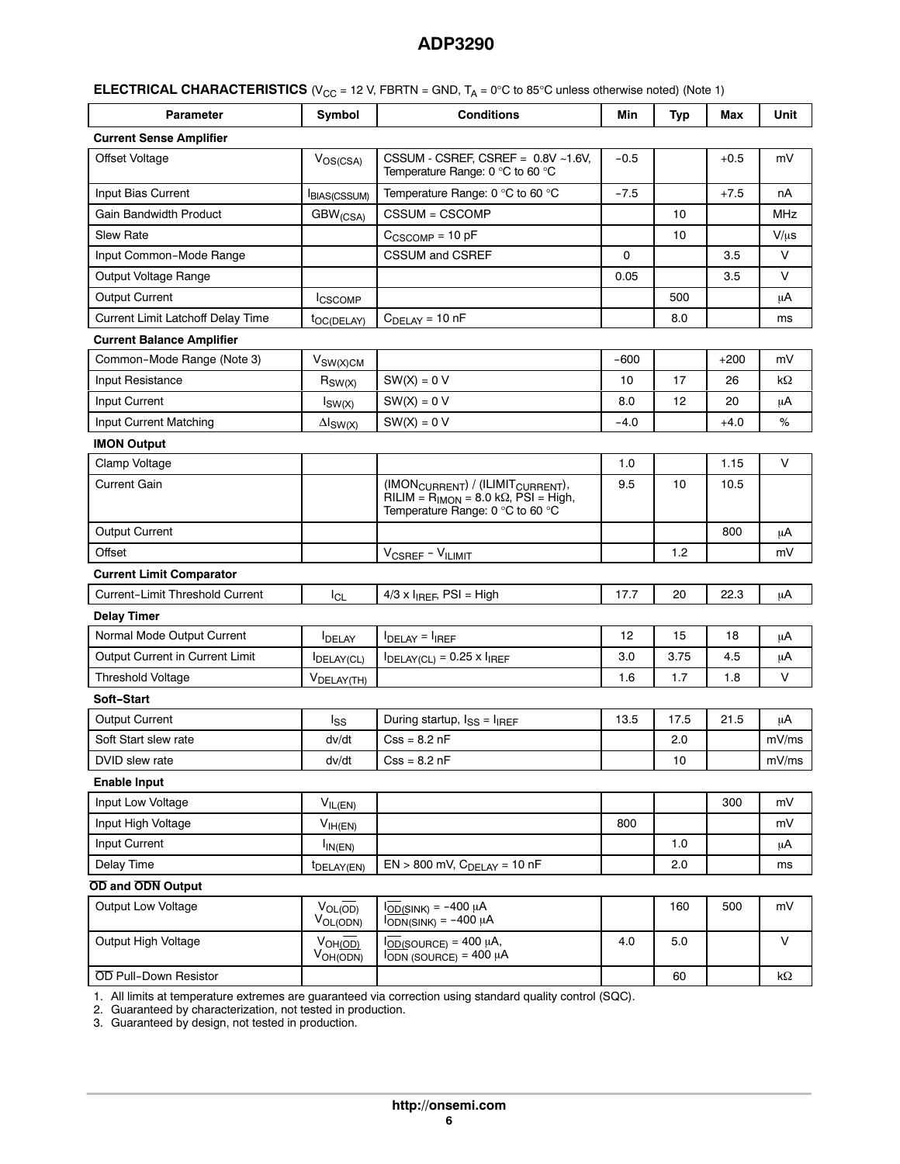|  | <b>ELECTRICAL CHARACTERISTICS</b> (V <sub>CC</sub> = 12 V, FBRTN = GND, $T_A = 0^\circ$ C to 85°C unless otherwise noted) (Note 1) |
|--|------------------------------------------------------------------------------------------------------------------------------------|
|--|------------------------------------------------------------------------------------------------------------------------------------|

| <b>Parameter</b>                       | Symbol                        | <b>Conditions</b>                                                                                                                       | Min    | <b>Typ</b> | Max    | Unit       |
|----------------------------------------|-------------------------------|-----------------------------------------------------------------------------------------------------------------------------------------|--------|------------|--------|------------|
| <b>Current Sense Amplifier</b>         |                               |                                                                                                                                         |        |            |        |            |
| <b>Offset Voltage</b>                  | $V_{OS(CSA)}$                 | CSSUM - CSREF, CSREF = $0.8V$ ~1.6V,<br>Temperature Range: $0^{\circ}$ C to 60 $^{\circ}$ C                                             | $-0.5$ |            | $+0.5$ | mV         |
| Input Bias Current                     | <b>BIAS(CSSUM)</b>            | Temperature Range: 0 °C to 60 °C                                                                                                        | $-7.5$ |            | $+7.5$ | nA         |
| Gain Bandwidth Product                 | GBW <sub>(CSA)</sub>          | CSSUM = CSCOMP                                                                                                                          |        | 10         |        | <b>MHz</b> |
| <b>Slew Rate</b>                       |                               | $C_{CSCOMP} = 10 pF$                                                                                                                    |        | 10         |        | $V/\mu s$  |
| Input Common-Mode Range                |                               | <b>CSSUM and CSREF</b>                                                                                                                  | 0      |            | 3.5    | V          |
| Output Voltage Range                   |                               |                                                                                                                                         | 0.05   |            | 3.5    | V          |
| <b>Output Current</b>                  | <b>ICSCOMP</b>                |                                                                                                                                         |        | 500        |        | μA         |
| Current Limit Latchoff Delay Time      | t <sub>OC(DELAY)</sub>        | $C_{\text{DELAY}} = 10 \text{ nF}$                                                                                                      |        | 8.0        |        | ms         |
| <b>Current Balance Amplifier</b>       |                               |                                                                                                                                         |        |            |        |            |
| Common-Mode Range (Note 3)             | $V_{SW(X)CM}$                 |                                                                                                                                         | $-600$ |            | $+200$ | mV         |
| Input Resistance                       | $R_{SW(X)}$                   | $SW(X) = 0 V$                                                                                                                           | 10     | 17         | 26     | kΩ         |
| Input Current                          | $I_{SW(X)}$                   | $SW(X) = 0 V$                                                                                                                           | 8.0    | 12         | 20     | μA         |
| Input Current Matching                 | $\Delta I_{SW(X)}$            | $SW(X) = 0 V$                                                                                                                           | -4.0   |            | $+4.0$ | ℅          |
| <b>IMON Output</b>                     |                               |                                                                                                                                         |        |            |        |            |
| Clamp Voltage                          |                               |                                                                                                                                         | 1.0    |            | 1.15   | V          |
| Current Gain                           |                               | (IMON <sub>CURRENT</sub> ) / (ILIMIT <sub>CURRENT</sub> ),<br>$RILIM = RIMON = 8.0 kΩ, PŠI = High,$<br>Temperature Range: 0 °C to 60 °C | 9.5    | 10         | 10.5   |            |
| <b>Output Current</b>                  |                               |                                                                                                                                         |        |            | 800    | μA         |
| Offset                                 |                               | V <sub>CSREF</sub> - VILIMIT                                                                                                            |        | 1.2        |        | mV         |
| <b>Current Limit Comparator</b>        |                               |                                                                                                                                         |        |            |        |            |
| <b>Current-Limit Threshold Current</b> | $I_{CL}$                      | $4/3 \times I_{IREF}$ , PSI = High                                                                                                      | 17.7   | 20         | 22.3   | μA         |
| <b>Delay Timer</b>                     |                               |                                                                                                                                         |        |            |        |            |
| Normal Mode Output Current             | <b>IDELAY</b>                 | $IDELAY = IIREF$                                                                                                                        | 12     | 15         | 18     | μA         |
| Output Current in Current Limit        | <b>IDELAY(CL)</b>             | $I_{DELAY(Cl)} = 0.25 \times I_{IREF}$                                                                                                  | 3.0    | 3.75       | 4.5    | μA         |
| <b>Threshold Voltage</b>               | V <sub>DELAY(TH)</sub>        |                                                                                                                                         | 1.6    | 1.7        | 1.8    | V          |
| Soft-Start                             |                               |                                                                                                                                         |        |            |        |            |
| <b>Output Current</b>                  | Iss                           | During startup, $I_{SS} = I_{IREF}$                                                                                                     | 13.5   | 17.5       | 21.5   | μA         |
| Soft Start slew rate                   | dv/dt                         | $Cos = 8.2$ nF                                                                                                                          |        | 2.0        |        | mV/ms      |
| DVID slew rate                         | dv/dt                         | $Css = 8.2 nF$                                                                                                                          |        | $10$       |        | mV/ms      |
| <b>Enable Input</b>                    |                               |                                                                                                                                         |        |            |        |            |
| Input Low Voltage                      | $V_{IL(EN)}$                  |                                                                                                                                         |        |            | 300    | mV         |
| Input High Voltage                     | $V_{IH(EN)}$                  |                                                                                                                                         | 800    |            |        | mV         |
| Input Current                          | $I_{IN(EN)}$                  |                                                                                                                                         |        | 1.0        |        | μA         |
| Delay Time                             | t <sub>DELAY</sub> (EN)       | $EN > 800$ mV, $CDELAY = 10$ nF                                                                                                         |        | 2.0        |        | ms         |
| OD and ODN Output                      |                               |                                                                                                                                         |        |            |        |            |
| Output Low Voltage                     | $V_{OL(OD)}$<br>$V_{OL(ODN)}$ | $\overline{I_{OD}}$ (SINK) = -400 µA<br>$\overline{\text{DDN}}$ (SINK) = -400 µA                                                        |        | 160        | 500    | mV         |
| Output High Voltage                    | VOH(OD)<br>$V_{OH(ODN)}$      | $I_{\overline{\mathrm{OD}}(\mathrm{SOURCE})}$ = 400 µA,<br>$\overline{1_{ODN}}$ (SOURCE) = 400 µA                                       | 4.0    | 5.0        |        | V          |
| OD Pull-Down Resistor                  |                               |                                                                                                                                         |        | 60         |        | kΩ         |

[1](#page-6-0). All limits at temperature extremes are guaranteed via correction using standard quality control (SQC).

[2](#page-6-0). Guaranteed by characterization, not tested in production.

[3](#page-6-0). Guaranteed by design, not tested in production.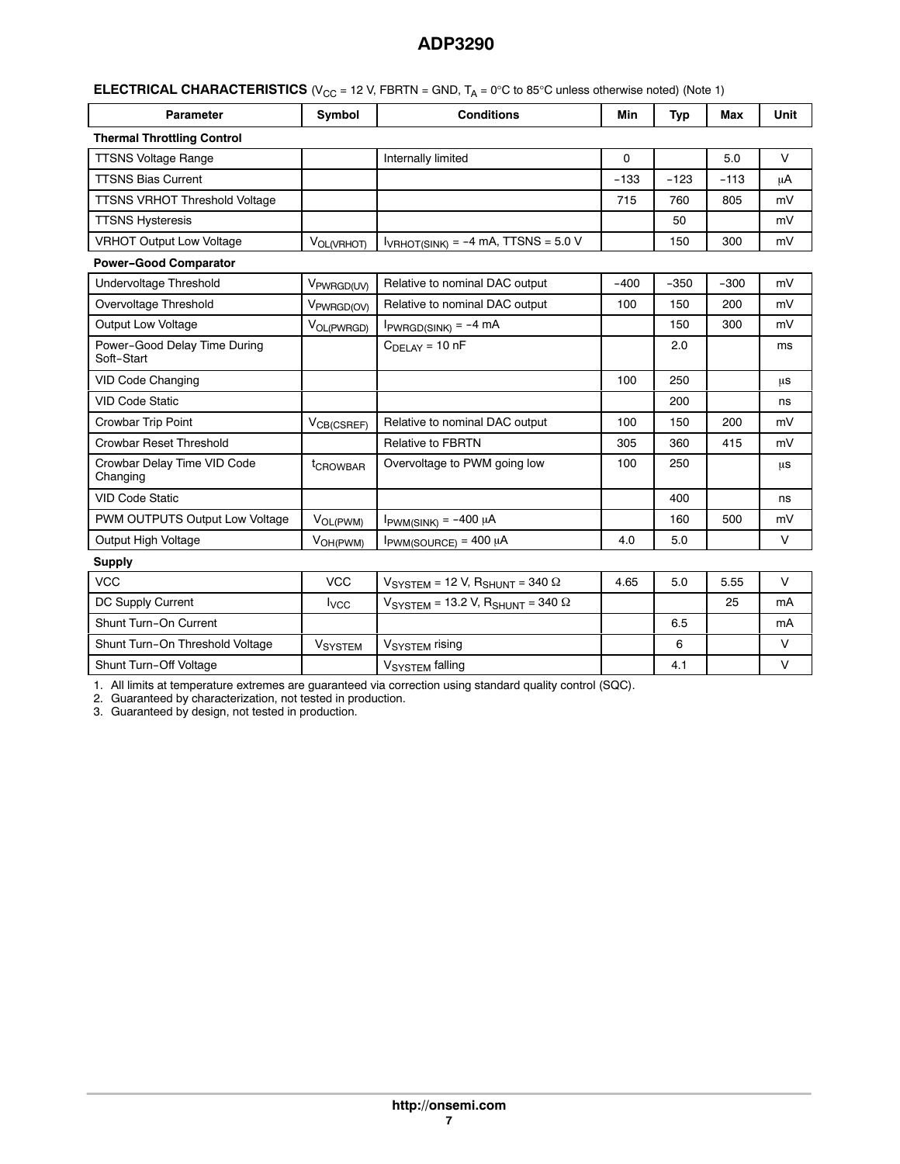<span id="page-6-0"></span>

| <b>ELECTRICAL CHARACTERISTICS</b> ( $V_{CC}$ = 12 V, FBRTN = GND, $T_A$ = 0°C to 85°C unless otherwise noted) (Note 1) |  |
|------------------------------------------------------------------------------------------------------------------------|--|
|------------------------------------------------------------------------------------------------------------------------|--|

| <b>Parameter</b>                           | Symbol                  | <b>Conditions</b>                                                    |        | <b>Typ</b> | Max    | Unit   |
|--------------------------------------------|-------------------------|----------------------------------------------------------------------|--------|------------|--------|--------|
| <b>Thermal Throttling Control</b>          |                         |                                                                      |        |            |        |        |
| <b>TTSNS Voltage Range</b>                 |                         | Internally limited                                                   | 0      |            | 5.0    | $\vee$ |
| <b>TTSNS Bias Current</b>                  |                         |                                                                      | $-133$ | $-123$     | $-113$ | μA     |
| <b>TTSNS VRHOT Threshold Voltage</b>       |                         |                                                                      | 715    | 760        | 805    | mV     |
| <b>TTSNS Hysteresis</b>                    |                         |                                                                      |        | 50         |        | mV     |
| <b>VRHOT Output Low Voltage</b>            | VOL(VRHOT)              | $I_{VRHOT(SINK)} = -4 mA$ , TTSNS = 5.0 V                            |        | 150        | 300    | mV     |
| <b>Power-Good Comparator</b>               |                         |                                                                      |        |            |        |        |
| Undervoltage Threshold                     | V <sub>PWRGD(UV)</sub>  | Relative to nominal DAC output                                       | $-400$ | $-350$     | $-300$ | mV     |
| Overvoltage Threshold                      | V <sub>PWRGD</sub> (OV) | Relative to nominal DAC output                                       | 100    | 150        | 200    | mV     |
| Output Low Voltage                         | V <sub>OL(PWRGD)</sub>  | $I_{PWRGD(SINK)} = -4 mA$                                            |        | 150        | 300    | mV     |
| Power-Good Delay Time During<br>Soft-Start |                         | $C_{\text{DELAY}} = 10 \text{ nF}$                                   |        | 2.0        |        | ms     |
| <b>VID Code Changing</b>                   |                         |                                                                      | 100    | 250        |        | μs     |
| <b>VID Code Static</b>                     |                         |                                                                      |        | 200        |        | ns     |
| Crowbar Trip Point                         | V <sub>CB(CSREF)</sub>  | Relative to nominal DAC output                                       | 100    | 150        | 200    | mV     |
| <b>Crowbar Reset Threshold</b>             |                         | <b>Relative to FBRTN</b>                                             | 305    | 360        | 415    | mV     |
| Crowbar Delay Time VID Code<br>Changing    | tCROWBAR                | Overvoltage to PWM going low                                         | 100    | 250        |        | μs     |
| <b>VID Code Static</b>                     |                         |                                                                      |        | 400        |        | ns     |
| PWM OUTPUTS Output Low Voltage             | V <sub>OL(PWM)</sub>    | $I_{\text{PWM(SINK)}} = -400 \mu A$                                  |        | 160        | 500    | mV     |
| Output High Voltage                        | V <sub>OH(PWM)</sub>    | $I_{\text{PWM}(SOURCE)} = 400 \mu A$                                 | 4.0    | 5.0        |        | $\vee$ |
| <b>Supply</b>                              |                         |                                                                      |        |            |        |        |
| VCC.                                       | VCC.                    | $V_{\text{O}}$ $V_{\text{O}}$ $T_{\text{C}}$ $I = 12 V R_{\text{O}}$ | 4.65   | 50         | 555    | $\vee$ |

| <b>VCC</b>                      | VCC            | $V_{\text{SYSTEM}}$ = 12 V, $R_{\text{SHUNT}}$ = 340 $\Omega$   | 4.65 | 5.0 | 5.55 |    |
|---------------------------------|----------------|-----------------------------------------------------------------|------|-----|------|----|
| DC Supply Current               | <b>I</b> vcc   | $V_{\text{SYSTEM}}$ = 13.2 V, R <sub>SHUNT</sub> = 340 $\Omega$ |      |     | 25   | mA |
| Shunt Turn-On Current           |                |                                                                 |      | 6.5 |      | mA |
| Shunt Turn-On Threshold Voltage | <b>VSYSTEM</b> | V <sub>SYSTEM</sub> rising                                      |      |     |      |    |
| Shunt Turn-Off Voltage          |                | V <sub>SYSTEM</sub> falling                                     |      | 4.1 |      |    |

1. All limits at temperature extremes are guaranteed via correction using standard quality control (SQC).

2. Guaranteed by characterization, not tested in production.

3. Guaranteed by design, not tested in production.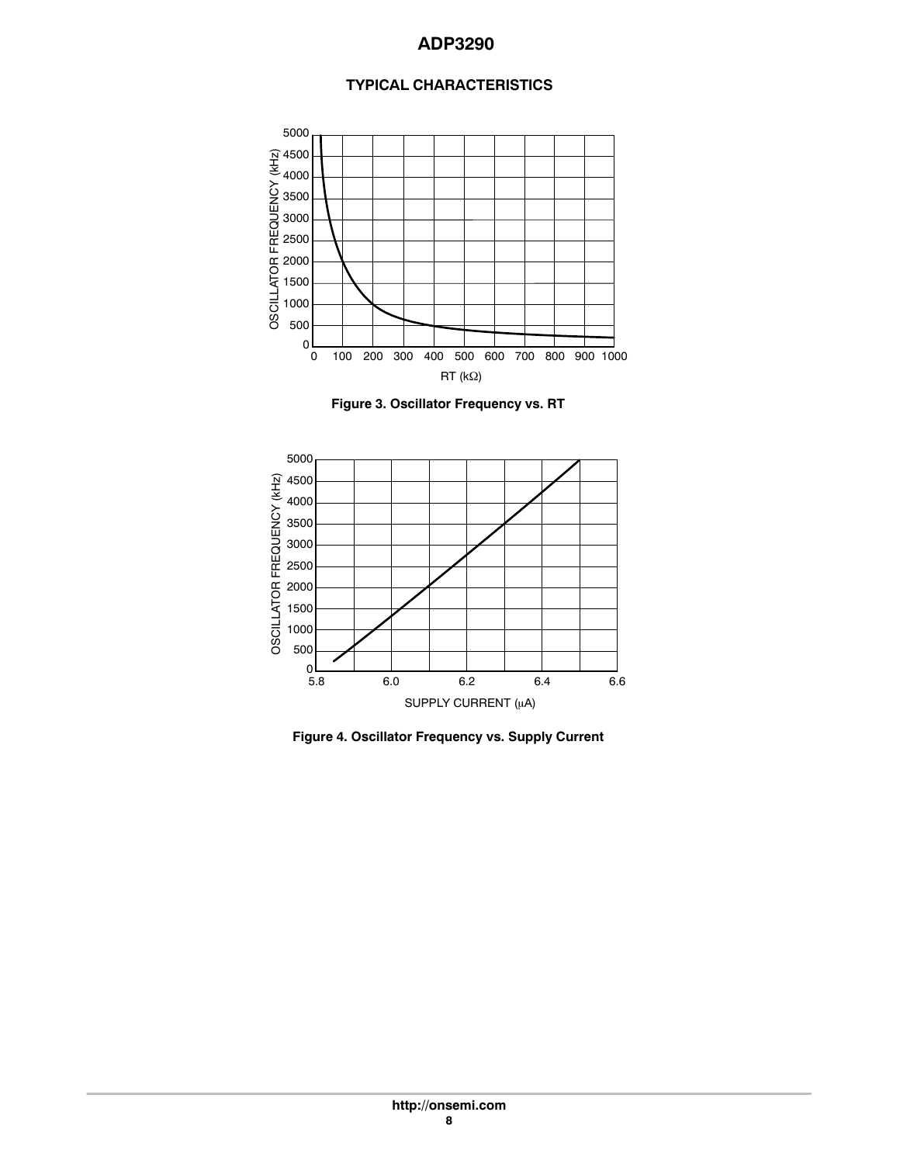# **TYPICAL CHARACTERISTICS**

<span id="page-7-0"></span>

**Figure 3. Oscillator Frequency vs. RT**



**Figure 4. Oscillator Frequency vs. Supply Current**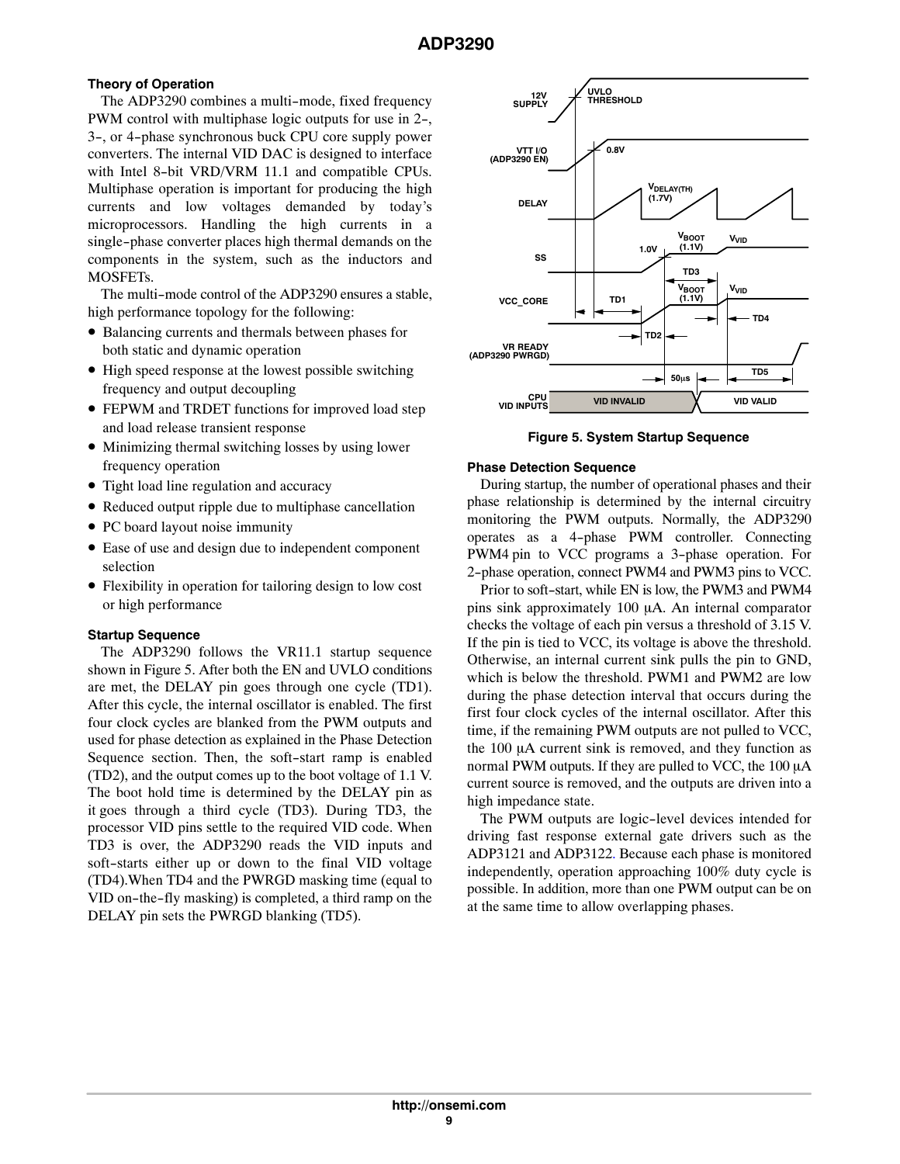# <span id="page-8-0"></span>**Theory of Operation**

The ADP3290 combines a multi-mode, fixed frequency PWM control with multiphase logic outputs for use in 2-, 3-, or 4-phase synchronous buck CPU core supply power converters. The internal VID DAC is designed to interface with Intel 8-bit VRD/VRM 11.1 and compatible CPUs. Multiphase operation is important for producing the high currents and low voltages demanded by today's microprocessors. Handling the high currents in a single-phase converter places high thermal demands on the components in the system, such as the inductors and MOSFETs.

The multi-mode control of the ADP3290 ensures a stable, high performance topology for the following:

- Balancing currents and thermals between phases for both static and dynamic operation
- High speed response at the lowest possible switching frequency and output decoupling
- FEPWM and TRDET functions for improved load step and load release transient response
- Minimizing thermal switching losses by using lower frequency operation
- Tight load line regulation and accuracy
- Reduced output ripple due to multiphase cancellation
- PC board layout noise immunity
- Ease of use and design due to independent component selection
- Flexibility in operation for tailoring design to low cost or high performance

## **Startup Sequence**

The ADP3290 follows the VR11.1 startup sequence shown in Figure 5. After both the EN and UVLO conditions are met, the DELAY pin goes through one cycle (TD1). After this cycle, the internal oscillator is enabled. The first four clock cycles are blanked from the PWM outputs and used for phase detection as explained in the Phase Detection Sequence section. Then, the soft-start ramp is enabled (TD2), and the output comes up to the boot voltage of 1.1 V. The boot hold time is determined by the DELAY pin as it goes through a third cycle (TD3). During TD3, the processor VID pins settle to the required VID code. When TD3 is over, the ADP3290 reads the VID inputs and soft-starts either up or down to the final VID voltage (TD4).When TD4 and the PWRGD masking time (equal to VID on-the-fly masking) is completed, a third ramp on the DELAY pin sets the PWRGD blanking (TD5).



**Figure 5. System Startup Sequence**

#### **Phase Detection Sequence**

During startup, the number of operational phases and their phase relationship is determined by the internal circuitry monitoring the PWM outputs. Normally, the ADP3290 operates as a 4-phase PWM controller. Connecting PWM4 pin to VCC programs a 3-phase operation. For 2-phase operation, connect PWM4 and PWM3 pins to VCC.

Prior to soft-start, while EN is low, the PWM3 and PWM4 pins sink approximately 100 µA. An internal comparator checks the voltage of each pin versus a threshold of 3.15 V. If the pin is tied to VCC, its voltage is above the threshold. Otherwise, an internal current sink pulls the pin to GND, which is below the threshold. PWM1 and PWM2 are low during the phase detection interval that occurs during the first four clock cycles of the internal oscillator. After this time, if the remaining PWM outputs are not pulled to VCC, the  $100 \mu A$  current sink is removed, and they function as normal PWM outputs. If they are pulled to VCC, the  $100 \mu A$ current source is removed, and the outputs are driven into a high impedance state.

The PWM outputs are logic-level devices intended for driving fast response external gate drivers such as the ADP3121 and ADP3122. Because each phase is monitored independently, operation approaching 100% duty cycle is possible. In addition, more than one PWM output can be on at the same time to allow overlapping phases.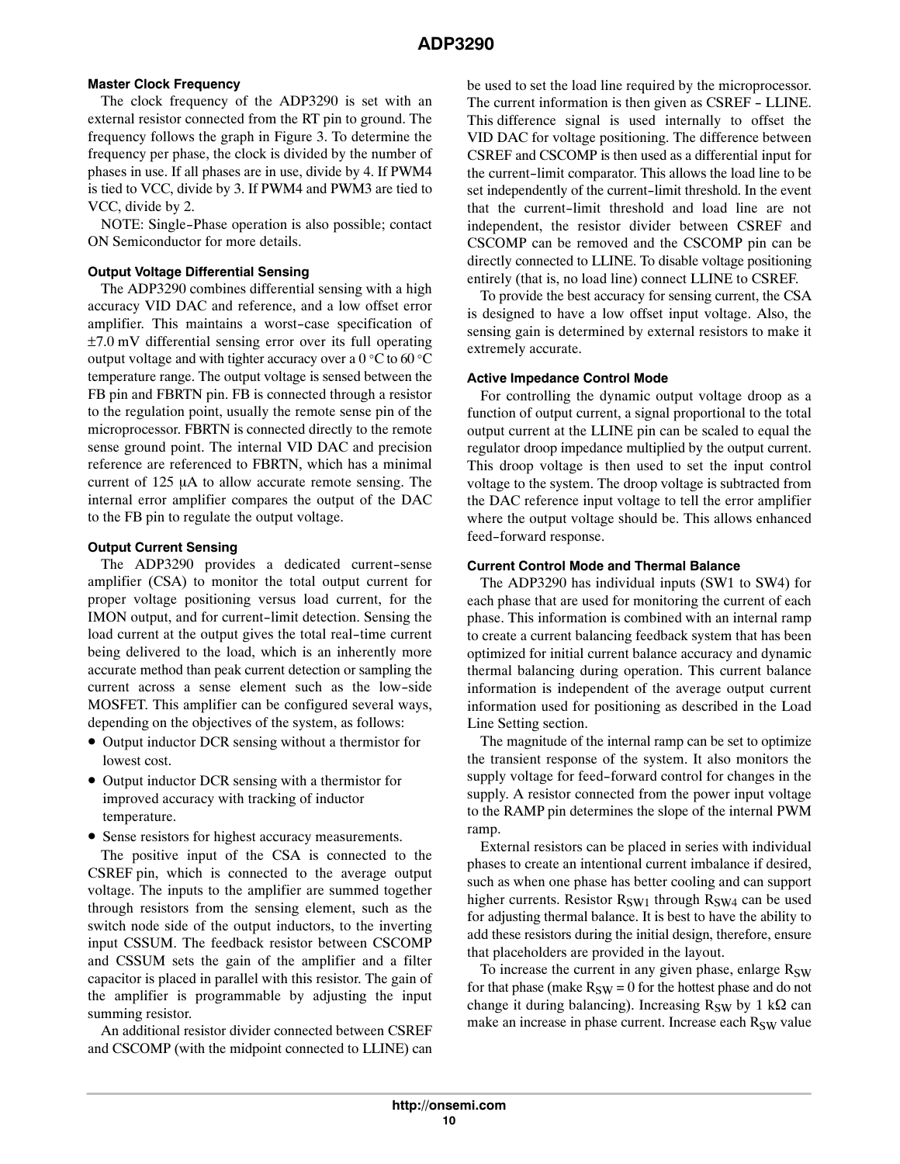# **Master Clock Frequency**

The clock frequency of the ADP3290 is set with an external resistor connected from the RT pin to ground. The frequency follows the graph in Figure [3.](#page-7-0) To determine the frequency per phase, the clock is divided by the number of phases in use. If all phases are in use, divide by 4. If PWM4 is tied to VCC, divide by 3. If PWM4 and PWM3 are tied to VCC, divide by 2.

NOTE: Single-Phase operation is also possible; contact ON Semiconductor for more details.

## **Output Voltage Differential Sensing**

The ADP3290 combines differential sensing with a high accuracy VID DAC and reference, and a low offset error amplifier. This maintains a worst-case specification of ±7.0 mV differential sensing error over its full operating output voltage and with tighter accuracy over a 0 °C to 60 °C temperature range. The output voltage is sensed between the FB pin and FBRTN pin. FB is connected through a resistor to the regulation point, usually the remote sense pin of the microprocessor. FBRTN is connected directly to the remote sense ground point. The internal VID DAC and precision reference are referenced to FBRTN, which has a minimal current of  $125 \mu A$  to allow accurate remote sensing. The internal error amplifier compares the output of the DAC to the FB pin to regulate the output voltage.

## **Output Current Sensing**

The ADP3290 provides a dedicated current-sense amplifier (CSA) to monitor the total output current for proper voltage positioning versus load current, for the IMON output, and for current-limit detection. Sensing the load current at the output gives the total real-time current being delivered to the load, which is an inherently more accurate method than peak current detection or sampling the current across a sense element such as the low-side MOSFET. This amplifier can be configured several ways, depending on the objectives of the system, as follows:

- Output inductor DCR sensing without a thermistor for lowest cost.
- Output inductor DCR sensing with a thermistor for improved accuracy with tracking of inductor temperature.
- Sense resistors for highest accuracy measurements.

The positive input of the CSA is connected to the CSREF pin, which is connected to the average output voltage. The inputs to the amplifier are summed together through resistors from the sensing element, such as the switch node side of the output inductors, to the inverting input CSSUM. The feedback resistor between CSCOMP and CSSUM sets the gain of the amplifier and a filter capacitor is placed in parallel with this resistor. The gain of the amplifier is programmable by adjusting the input summing resistor.

An additional resistor divider connected between CSREF and CSCOMP (with the midpoint connected to LLINE) can be used to set the load line required by the microprocessor. The current information is then given as CSREF - LLINE. This difference signal is used internally to offset the VID DAC for voltage positioning. The difference between CSREF and CSCOMP is then used as a differential input for the current-limit comparator. This allows the load line to be set independently of the current-limit threshold. In the event that the current-limit threshold and load line are not independent, the resistor divider between CSREF and CSCOMP can be removed and the CSCOMP pin can be directly connected to LLINE. To disable voltage positioning entirely (that is, no load line) connect LLINE to CSREF.

To provide the best accuracy for sensing current, the CSA is designed to have a low offset input voltage. Also, the sensing gain is determined by external resistors to make it extremely accurate.

## **Active Impedance Control Mode**

For controlling the dynamic output voltage droop as a function of output current, a signal proportional to the total output current at the LLINE pin can be scaled to equal the regulator droop impedance multiplied by the output current. This droop voltage is then used to set the input control voltage to the system. The droop voltage is subtracted from the DAC reference input voltage to tell the error amplifier where the output voltage should be. This allows enhanced feed-forward response.

## **Current Control Mode and Thermal Balance**

The ADP3290 has individual inputs (SW1 to SW4) for each phase that are used for monitoring the current of each phase. This information is combined with an internal ramp to create a current balancing feedback system that has been optimized for initial current balance accuracy and dynamic thermal balancing during operation. This current balance information is independent of the average output current information used for positioning as described in the Load Line Setting section.

The magnitude of the internal ramp can be set to optimize the transient response of the system. It also monitors the supply voltage for feed-forward control for changes in the supply. A resistor connected from the power input voltage to the RAMP pin determines the slope of the internal PWM ramp.

External resistors can be placed in series with individual phases to create an intentional current imbalance if desired, such as when one phase has better cooling and can support higher currents. Resistor  $R_{SW1}$  through  $R_{SW4}$  can be used for adjusting thermal balance. It is best to have the ability to add these resistors during the initial design, therefore, ensure that placeholders are provided in the layout.

To increase the current in any given phase, enlarge  $R_{SW}$ for that phase (make  $R_{SW} = 0$  for the hottest phase and do not change it during balancing). Increasing  $R_{SW}$  by 1 k $\Omega$  can make an increase in phase current. Increase each R<sub>SW</sub> value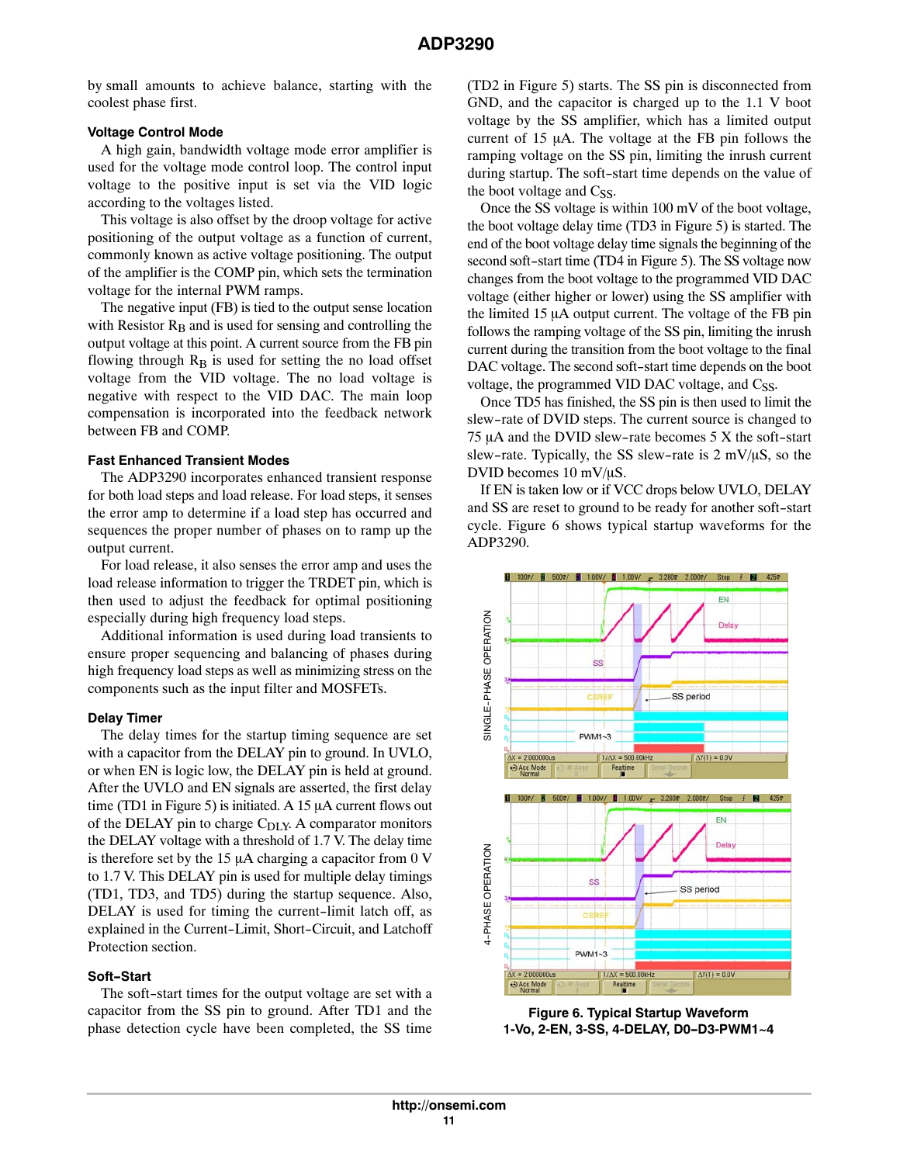by small amounts to achieve balance, starting with the coolest phase first.

## **Voltage Control Mode**

A high gain, bandwidth voltage mode error amplifier is used for the voltage mode control loop. The control input voltage to the positive input is set via the VID logic according to the voltages listed.

This voltage is also offset by the droop voltage for active positioning of the output voltage as a function of current, commonly known as active voltage positioning. The output of the amplifier is the COMP pin, which sets the termination voltage for the internal PWM ramps.

The negative input (FB) is tied to the output sense location with Resistor  $R_B$  and is used for sensing and controlling the output voltage at this point. A current source from the FB pin flowing through  $R_B$  is used for setting the no load offset voltage from the VID voltage. The no load voltage is negative with respect to the VID DAC. The main loop compensation is incorporated into the feedback network between FB and COMP.

#### **Fast Enhanced Transient Modes**

The ADP3290 incorporates enhanced transient response for both load steps and load release. For load steps, it senses the error amp to determine if a load step has occurred and sequences the proper number of phases on to ramp up the output current.

For load release, it also senses the error amp and uses the load release information to trigger the TRDET pin, which is then used to adjust the feedback for optimal positioning especially during high frequency load steps.

Additional information is used during load transients to ensure proper sequencing and balancing of phases during high frequency load steps as well as minimizing stress on the components such as the input filter and MOSFETs.

#### **Delay Timer**

The delay times for the startup timing sequence are set with a capacitor from the DELAY pin to ground. In UVLO, or when EN is logic low, the DELAY pin is held at ground. After the UVLO and EN signals are asserted, the first delay time (TD1 in Figure [5](#page-8-0)) is initiated. A 15  $\mu$ A current flows out of the DELAY pin to charge  $C_{\text{DLY}}$ . A comparator monitors the DELAY voltage with a threshold of 1.7 V. The delay time is therefore set by the 15  $\mu$ A charging a capacitor from 0 V to 1.7 V. This DELAY pin is used for multiple delay timings (TD1, TD3, and TD5) during the startup sequence. Also, DELAY is used for timing the current-limit latch off, as explained in the Current-Limit, Short-Circuit, and Latchoff Protection section.

## **Soft-Start**

The soft-start times for the output voltage are set with a capacitor from the SS pin to ground. After TD1 and the phase detection cycle have been completed, the SS time

(TD2 in Figure [5](#page-8-0)) starts. The SS pin is disconnected from GND, and the capacitor is charged up to the 1.1 V boot voltage by the SS amplifier, which has a limited output current of  $15 \mu A$ . The voltage at the FB pin follows the ramping voltage on the SS pin, limiting the inrush current during startup. The soft-start time depends on the value of the boot voltage and  $C_{SS}$ .

Once the SS voltage is within 100 mV of the boot voltage, the boot voltage delay time (TD3 in Figure [5](#page-8-0)) is started. The end of the boot voltage delay time signals the beginning of the second soft-start time (TD4 in Figure [5](#page-8-0)). The SS voltage now changes from the boot voltage to the programmed VID DAC voltage (either higher or lower) using the SS amplifier with the limited  $15 \mu A$  output current. The voltage of the FB pin follows the ramping voltage of the SS pin, limiting the inrush current during the transition from the boot voltage to the final DAC voltage. The second soft-start time depends on the boot voltage, the programmed VID DAC voltage, and Css.

Once TD5 has finished, the SS pin is then used to limit the slew-rate of DVID steps. The current source is changed to  $75 \mu A$  and the DVID slew-rate becomes  $5 X$  the soft-start slew-rate. Typically, the SS slew-rate is  $2 \text{ mV}/\mu\text{S}$ , so the DVID becomes  $10 \text{ mV}/\mu\text{S}$ .

If EN is taken low or if VCC drops below UVLO, DELAY and SS are reset to ground to be ready for another soft-start cycle. Figure 6 shows typical startup waveforms for the ADP3290.



**Figure 6. Typical Startup Waveform 1‐Vo, 2‐EN, 3‐SS, 4‐DELAY, D0-D3‐PWM1~4**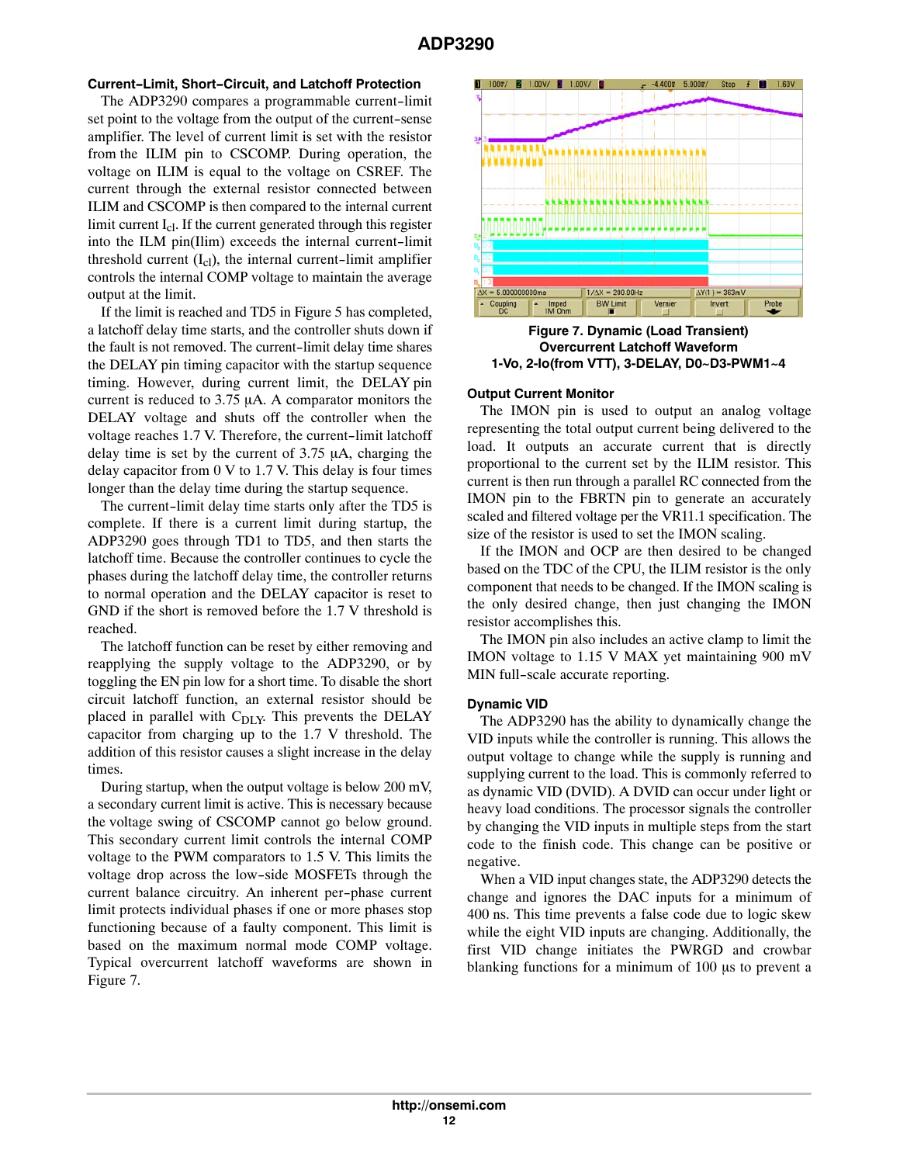## **Current-Limit, Short-Circuit, and Latchoff Protection**

The ADP3290 compares a programmable current-limit set point to the voltage from the output of the current-sense amplifier. The level of current limit is set with the resistor from the ILIM pin to CSCOMP. During operation, the voltage on ILIM is equal to the voltage on CSREF. The current through the external resistor connected between ILIM and CSCOMP is then compared to the internal current limit current  $I_{c1}$ . If the current generated through this register into the ILM pin(Ilim) exceeds the internal current-limit threshold current  $(I_{cl})$ , the internal current-limit amplifier controls the internal COMP voltage to maintain the average output at the limit.

If the limit is reached and TD5 in Figure [5](#page-8-0) has completed, a latchoff delay time starts, and the controller shuts down if the fault is not removed. The current-limit delay time shares the DELAY pin timing capacitor with the startup sequence timing. However, during current limit, the DELAY pin current is reduced to  $3.75 \mu A$ . A comparator monitors the DELAY voltage and shuts off the controller when the voltage reaches 1.7 V. Therefore, the current-limit latchoff delay time is set by the current of  $3.75 \mu A$ , charging the delay capacitor from 0 V to 1.7 V. This delay is four times longer than the delay time during the startup sequence.

The current-limit delay time starts only after the TD5 is complete. If there is a current limit during startup, the ADP3290 goes through TD1 to TD5, and then starts the latchoff time. Because the controller continues to cycle the phases during the latchoff delay time, the controller returns to normal operation and the DELAY capacitor is reset to GND if the short is removed before the 1.7 V threshold is reached.

The latchoff function can be reset by either removing and reapplying the supply voltage to the ADP3290, or by toggling the EN pin low for a short time. To disable the short circuit latchoff function, an external resistor should be placed in parallel with  $C_{\text{DIY}}$ . This prevents the DELAY capacitor from charging up to the 1.7 V threshold. The addition of this resistor causes a slight increase in the delay times.

During startup, when the output voltage is below 200 mV, a secondary current limit is active. This is necessary because the voltage swing of CSCOMP cannot go below ground. This secondary current limit controls the internal COMP voltage to the PWM comparators to 1.5 V. This limits the voltage drop across the low-side MOSFETs through the current balance circuitry. An inherent per-phase current limit protects individual phases if one or more phases stop functioning because of a faulty component. This limit is based on the maximum normal mode COMP voltage. Typical overcurrent latchoff waveforms are shown in Figure 7.



**Figure 7. Dynamic (Load Transient) Overcurrent Latchoff Waveform 1‐Vo, 2‐Io(from VTT), 3‐DELAY, D0~D3‐PWM1~4**

## **Output Current Monitor**

The IMON pin is used to output an analog voltage representing the total output current being delivered to the load. It outputs an accurate current that is directly proportional to the current set by the ILIM resistor. This current is then run through a parallel RC connected from the IMON pin to the FBRTN pin to generate an accurately scaled and filtered voltage per the VR11.1 specification. The size of the resistor is used to set the IMON scaling.

If the IMON and OCP are then desired to be changed based on the TDC of the CPU, the ILIM resistor is the only component that needs to be changed. If the IMON scaling is the only desired change, then just changing the IMON resistor accomplishes this.

The IMON pin also includes an active clamp to limit the IMON voltage to 1.15 V MAX yet maintaining 900 mV MIN full-scale accurate reporting.

## **Dynamic VID**

The ADP3290 has the ability to dynamically change the VID inputs while the controller is running. This allows the output voltage to change while the supply is running and supplying current to the load. This is commonly referred to as dynamic VID (DVID). A DVID can occur under light or heavy load conditions. The processor signals the controller by changing the VID inputs in multiple steps from the start code to the finish code. This change can be positive or negative.

When a VID input changes state, the ADP3290 detects the change and ignores the DAC inputs for a minimum of 400 ns. This time prevents a false code due to logic skew while the eight VID inputs are changing. Additionally, the first VID change initiates the PWRGD and crowbar blanking functions for a minimum of  $100 \mu s$  to prevent a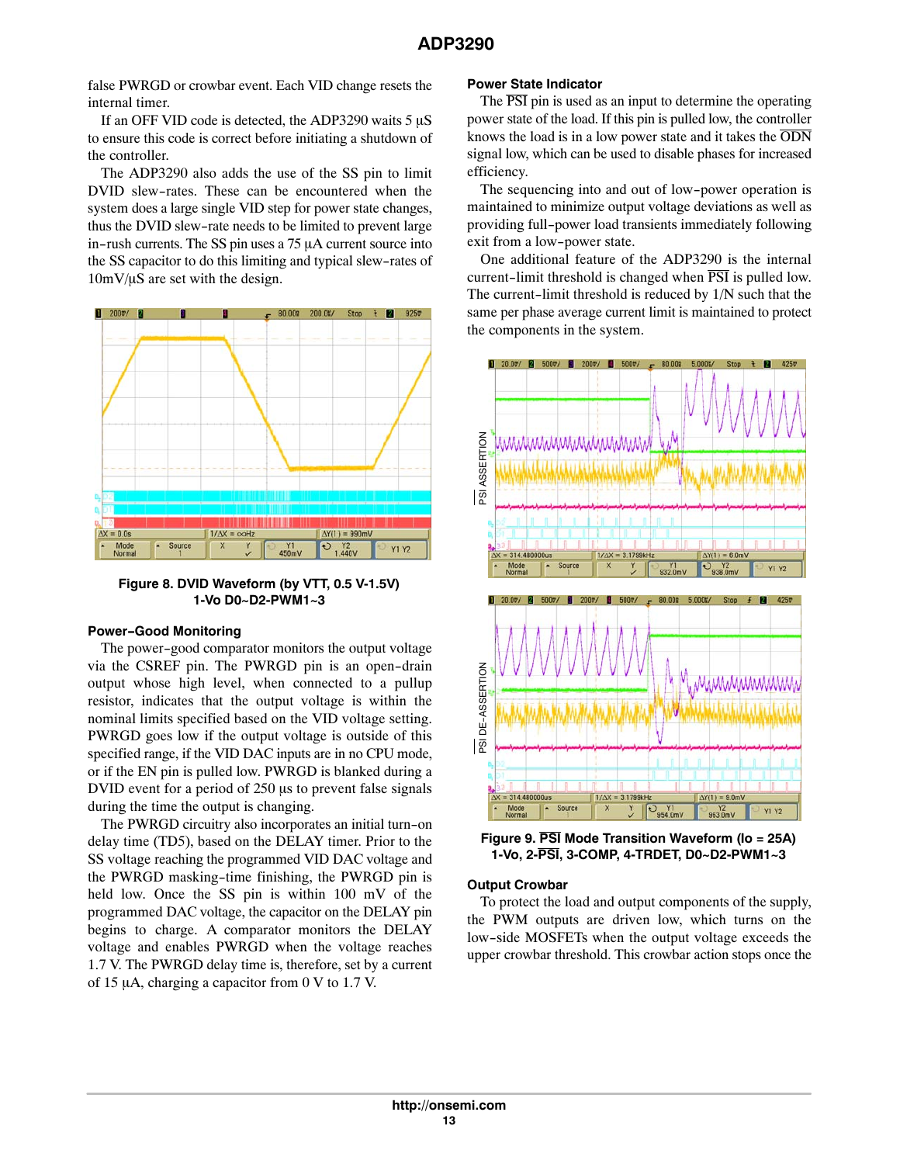false PWRGD or crowbar event. Each VID change resets the internal timer.

If an OFF VID code is detected, the ADP3290 waits  $5 \mu S$ to ensure this code is correct before initiating a shutdown of the controller.

The ADP3290 also adds the use of the SS pin to limit DVID slew-rates. These can be encountered when the system does a large single VID step for power state changes, thus the DVID slew-rate needs to be limited to prevent large in-rush currents. The SS pin uses a  $75 \mu A$  current source into the SS capacitor to do this limiting and typical slew-rates of  $10mV/\mu S$  are set with the design.



**Figure 8. DVID Waveform (by VTT, 0.5 V‐1.5V) 1‐Vo D0~D2‐PWM1~3**

#### **Power-Good Monitoring**

The power-good comparator monitors the output voltage via the CSREF pin. The PWRGD pin is an open-drain output whose high level, when connected to a pullup resistor, indicates that the output voltage is within the nominal limits specified based on the VID voltage setting. PWRGD goes low if the output voltage is outside of this specified range, if the VID DAC inputs are in no CPU mode, or if the EN pin is pulled low. PWRGD is blanked during a DVID event for a period of 250 us to prevent false signals during the time the output is changing.

The PWRGD circuitry also incorporates an initial turn-on delay time (TD5), based on the DELAY timer. Prior to the SS voltage reaching the programmed VID DAC voltage and the PWRGD masking-time finishing, the PWRGD pin is held low. Once the SS pin is within 100 mV of the programmed DAC voltage, the capacitor on the DELAY pin begins to charge. A comparator monitors the DELAY voltage and enables PWRGD when the voltage reaches 1.7 V. The PWRGD delay time is, therefore, set by a current of 15  $\mu$ A, charging a capacitor from 0 V to 1.7 V.

# **Power State Indicator**

The  $\overline{PSI}$  pin is used as an input to determine the operating power state of the load. If this pin is pulled low, the controller knows the load is in a low power state and it takes the  $\overline{ODN}$ signal low, which can be used to disable phases for increased efficiency.

The sequencing into and out of low-power operation is maintained to minimize output voltage deviations as well as providing full-power load transients immediately following exit from a low-power state.

One additional feature of the ADP3290 is the internal current-limit threshold is changed when  $\overline{PSI}$  is pulled low. The current-limit threshold is reduced by 1/N such that the same per phase average current limit is maintained to protect the components in the system.



**Figure 9. PSI Mode Transition Waveform (Io = 25A) 1‐Vo, 2‐PSI, 3‐COMP, 4‐TRDET, D0~D2‐PWM1~3**

## **Output Crowbar**

To protect the load and output components of the supply, the PWM outputs are driven low, which turns on the low-side MOSFETs when the output voltage exceeds the upper crowbar threshold. This crowbar action stops once the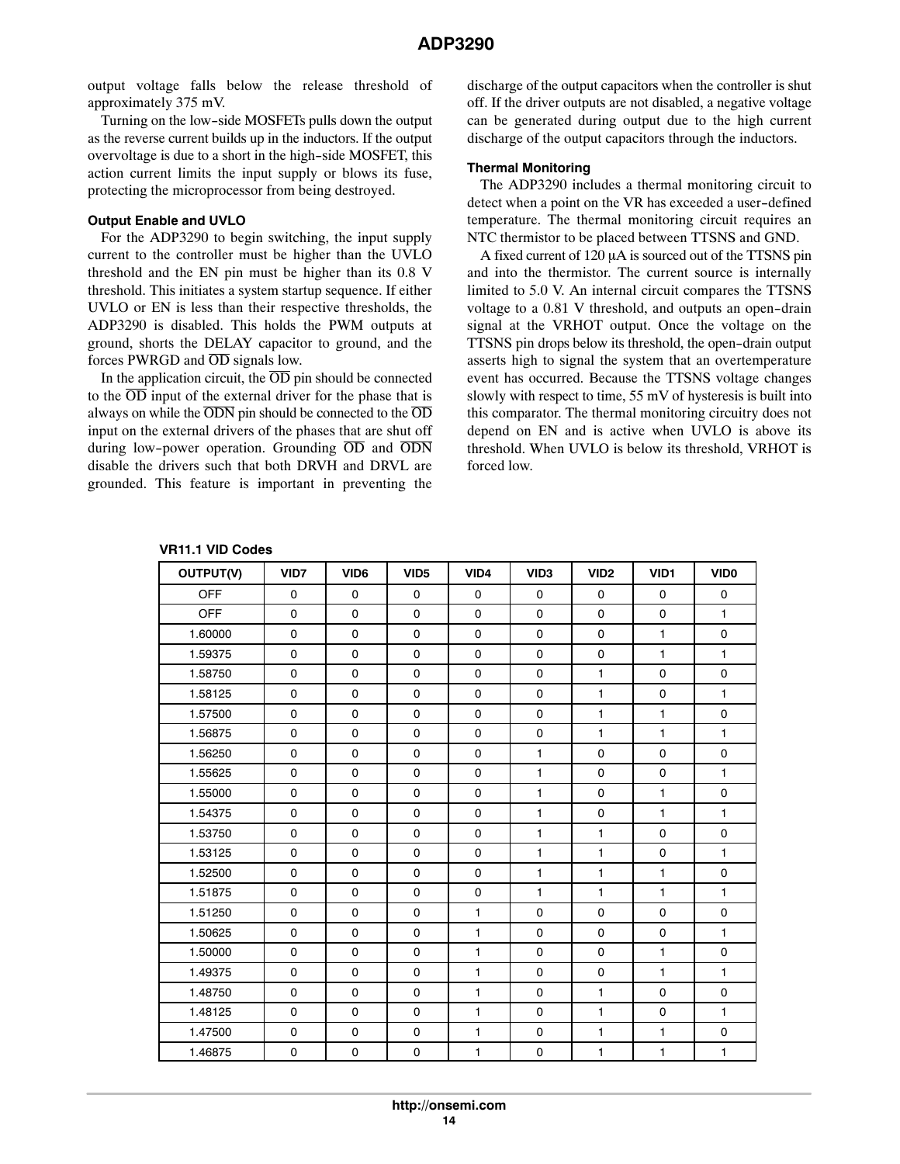output voltage falls below the release threshold of approximately 375 mV.

Turning on the low-side MOSFETs pulls down the output as the reverse current builds up in the inductors. If the output overvoltage is due to a short in the high-side MOSFET, this action current limits the input supply or blows its fuse, protecting the microprocessor from being destroyed.

### **Output Enable and UVLO**

For the ADP3290 to begin switching, the input supply current to the controller must be higher than the UVLO threshold and the EN pin must be higher than its 0.8 V threshold. This initiates a system startup sequence. If either UVLO or EN is less than their respective thresholds, the ADP3290 is disabled. This holds the PWM outputs at ground, shorts the DELAY capacitor to ground, and the forces PWRGD and OD signals low.

In the application circuit, the  $\overline{OD}$  pin should be connected to the  $\overline{OD}$  input of the external driver for the phase that is always on while the  $\overline{ODN}$  pin should be connected to the  $\overline{OD}$ input on the external drivers of the phases that are shut off during low-power operation. Grounding  $\overline{OD}$  and  $\overline{ODN}$ disable the drivers such that both DRVH and DRVL are grounded. This feature is important in preventing the

discharge of the output capacitors when the controller is shut off. If the driver outputs are not disabled, a negative voltage can be generated during output due to the high current discharge of the output capacitors through the inductors.

#### **Thermal Monitoring**

The ADP3290 includes a thermal monitoring circuit to detect when a point on the VR has exceeded a user-defined temperature. The thermal monitoring circuit requires an NTC thermistor to be placed between TTSNS and GND.

A fixed current of  $120 \mu A$  is sourced out of the TTSNS pin and into the thermistor. The current source is internally limited to 5.0 V. An internal circuit compares the TTSNS voltage to a 0.81 V threshold, and outputs an open-drain signal at the VRHOT output. Once the voltage on the TTSNS pin drops below its threshold, the open-drain output asserts high to signal the system that an overtemperature event has occurred. Because the TTSNS voltage changes slowly with respect to time, 55 mV of hysteresis is built into this comparator. The thermal monitoring circuitry does not depend on EN and is active when UVLO is above its threshold. When UVLO is below its threshold, VRHOT is forced low.

**VR11.1 VID Codes**

| OUTPUT(V)  | VID7        | VID <sub>6</sub> | VID <sub>5</sub> | VID4         | VID <sub>3</sub> | VID <sub>2</sub> | VID1         | <b>VIDO</b>  |
|------------|-------------|------------------|------------------|--------------|------------------|------------------|--------------|--------------|
| <b>OFF</b> | $\mathbf 0$ | 0                | 0                | $\mathbf 0$  | $\mathbf 0$      | $\mathbf 0$      | $\mathbf 0$  | $\mathbf 0$  |
| <b>OFF</b> | $\mathbf 0$ | $\mathbf 0$      | 0                | $\mathbf 0$  | $\mathbf 0$      | $\mathbf 0$      | $\mathbf 0$  | $\mathbf{1}$ |
| 1.60000    | 0           | $\mathsf 0$      | 0                | $\mathsf 0$  | $\mathbf 0$      | 0                | $\mathbf{1}$ | 0            |
| 1.59375    | $\mathbf 0$ | $\mathbf 0$      | 0                | $\mathbf 0$  | $\mathbf 0$      | $\mathbf 0$      | $\mathbf{1}$ | $\mathbf{1}$ |
| 1.58750    | 0           | $\mathbf 0$      | 0                | $\mathsf 0$  | $\mathbf 0$      | $\mathbf{1}$     | 0            | 0            |
| 1.58125    | 0           | 0                | 0                | $\mathsf 0$  | $\mathbf 0$      | $\mathbf{1}$     | 0            | 1            |
| 1.57500    | $\mathbf 0$ | $\mathbf 0$      | 0                | $\mathbf 0$  | $\mathbf 0$      | $\mathbf{1}$     | $\mathbf{1}$ | $\mathbf 0$  |
| 1.56875    | 0           | $\mathbf 0$      | 0                | $\mathsf 0$  | $\mathbf 0$      | $\mathbf{1}$     | $\mathbf{1}$ | 1            |
| 1.56250    | $\mathbf 0$ | 0                | $\mathbf 0$      | $\mathbf 0$  | $\mathbf{1}$     | $\mathbf 0$      | $\mathbf 0$  | $\mathbf 0$  |
| 1.55625    | 0           | $\mathbf 0$      | 0                | $\mathsf 0$  | 1                | 0                | $\pmb{0}$    | 1            |
| 1.55000    | $\mathbf 0$ | $\mathbf 0$      | 0                | $\mathbf 0$  | $\mathbf{1}$     | $\mathbf 0$      | $\mathbf{1}$ | $\mathbf 0$  |
| 1.54375    | 0           | 0                | 0                | 0            | 1                | 0                | $\mathbf{1}$ | $\mathbf{1}$ |
| 1.53750    | $\mathbf 0$ | $\mathbf 0$      | 0                | $\mathbf 0$  | $\mathbf{1}$     | $\mathbf{1}$     | 0            | 0            |
| 1.53125    | 0           | 0                | 0                | $\mathsf 0$  | 1                | $\mathbf{1}$     | $\mathsf 0$  | $\mathbf{1}$ |
| 1.52500    | $\mathbf 0$ | $\mathbf 0$      | 0                | 0            | 1                | $\mathbf{1}$     | $\mathbf{1}$ | 0            |
| 1.51875    | 0           | $\mathbf 0$      | 0                | $\mathsf 0$  | 1                | $\mathbf{1}$     | $\mathbf{1}$ | 1            |
| 1.51250    | 0           | $\mathbf 0$      | 0                | $\mathbf{1}$ | $\mathbf 0$      | 0                | 0            | 0            |
| 1.50625    | 0           | 0                | 0                | $\mathbf{1}$ | 0                | 0                | $\pmb{0}$    | $\mathbf{1}$ |
| 1.50000    | 0           | 0                | 0                | 1            | 0                | 0                | $\mathbf{1}$ | 0            |
| 1.49375    | 0           | $\mathbf 0$      | 0                | $\mathbf{1}$ | $\mathbf 0$      | 0                | $\mathbf{1}$ | $\mathbf{1}$ |
| 1.48750    | $\mathbf 0$ | $\mathbf 0$      | 0                | $\mathbf{1}$ | $\mathbf 0$      | $\mathbf{1}$     | $\mathbf 0$  | 0            |
| 1.48125    | 0           | 0                | 0                | $\mathbf{1}$ | $\mathbf 0$      | $\mathbf{1}$     | $\mathsf 0$  | $\mathbf{1}$ |
| 1.47500    | 0           | $\mathbf 0$      | 0                | $\mathbf{1}$ | 0                | $\mathbf{1}$     | $\mathbf{1}$ | $\mathsf 0$  |
| 1.46875    | 0           | $\mathsf 0$      | 0                | $\mathbf{1}$ | $\mathbf 0$      | $\mathbf{1}$     | $\mathbf{1}$ | 1            |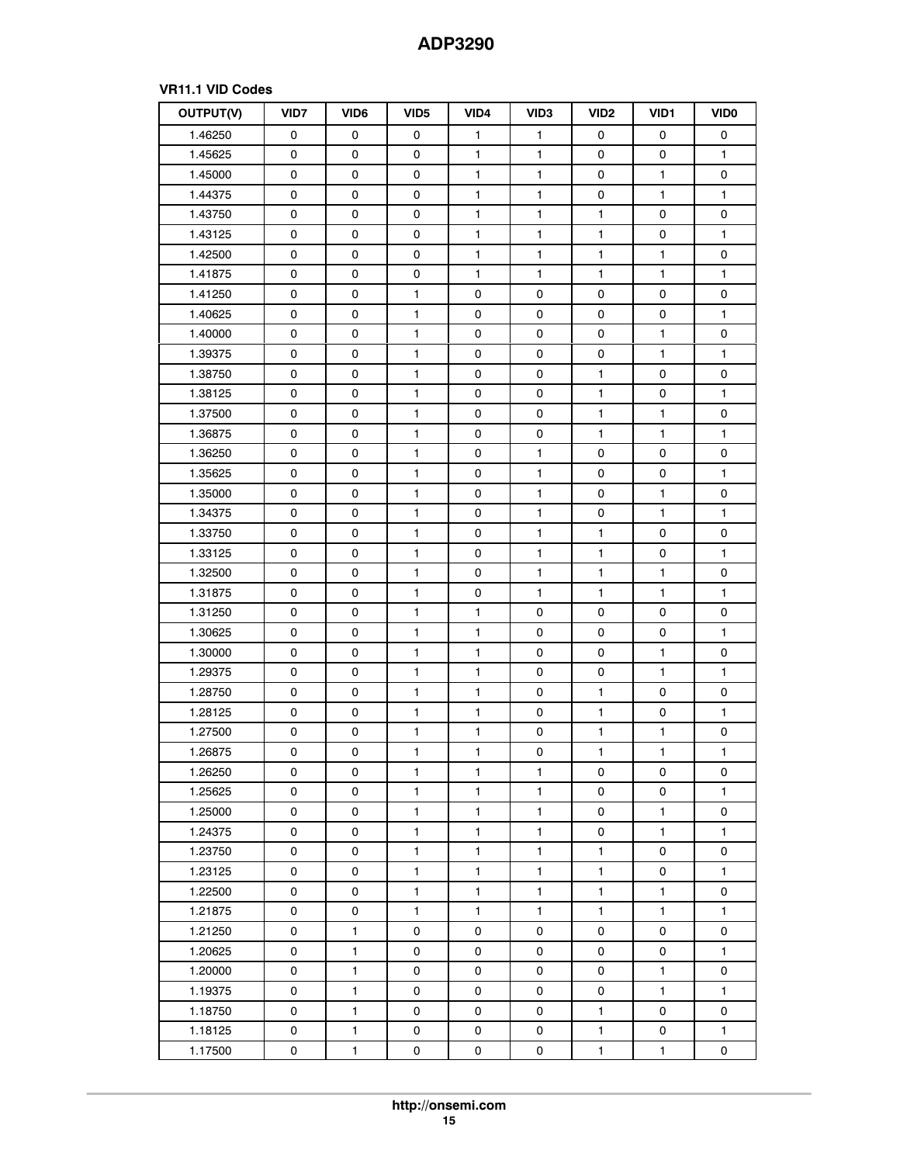# **VR11.1 VID Codes**

| OUTPUT(V) | <b>VID7</b> | VID <sub>6</sub> | VID <sub>5</sub> | VID4         | VID <sub>3</sub> | VID <sub>2</sub> | VID <sub>1</sub> | <b>VIDO</b>  |
|-----------|-------------|------------------|------------------|--------------|------------------|------------------|------------------|--------------|
| 1.46250   | 0           | 0                | 0                | 1            | 1                | 0                | 0                | 0            |
| 1.45625   | 0           | 0                | 0                | 1            | $\mathbf{1}$     | 0                | 0                | 1            |
| 1.45000   | 0           | 0                | 0                | 1            | 1                | 0                | $\mathbf{1}$     | 0            |
| 1.44375   | 0           | 0                | 0                | $\mathbf{1}$ | 1                | 0                | 1                | 1            |
| 1.43750   | 0           | 0                | 0                | 1            | $\mathbf{1}$     | $\mathbf{1}$     | $\mathsf 0$      | 0            |
| 1.43125   | 0           | 0                | 0                | $\mathbf{1}$ | $\mathbf{1}$     | $\mathbf{1}$     | 0                | $\mathbf{1}$ |
| 1.42500   | 0           | 0                | 0                | 1            | 1                | 1                | $\mathbf{1}$     | 0            |
| 1.41875   | 0           | 0                | 0                | $\mathbf{1}$ | 1                | $\mathbf{1}$     | $\mathbf{1}$     | $\mathbf{1}$ |
| 1.41250   | 0           | 0                | 1                | 0            | 0                | 0                | 0                | 0            |
| 1.40625   | 0           | 0                | $\mathbf{1}$     | 0            | 0                | 0                | 0                | $\mathbf{1}$ |
| 1.40000   | 0           | 0                | $\mathbf{1}$     | 0            | 0                | 0                | $\mathbf{1}$     | 0            |
| 1.39375   | 0           | 0                | $\mathbf{1}$     | $\mathbf 0$  | 0                | 0                | $\mathbf{1}$     | $\mathbf{1}$ |
| 1.38750   | 0           | 0                | 1                | 0            | 0                | $\mathbf{1}$     | $\mathsf 0$      | $\pmb{0}$    |
| 1.38125   | 0           | 0                | $\mathbf{1}$     | 0            | 0                | $\mathbf{1}$     | 0                | $\mathbf{1}$ |
| 1.37500   | 0           | 0                | $\mathbf{1}$     | 0            | 0                | $\mathbf{1}$     | $\mathbf{1}$     | 0            |
| 1.36875   | 0           | 0                | $\mathbf{1}$     | 0            | 0                | $\mathbf{1}$     | $\mathbf{1}$     | 1            |
| 1.36250   | 0           | 0                | 1                | 0            | $\mathbf{1}$     | 0                | 0                | 0            |
| 1.35625   | 0           | 0                | $\mathbf{1}$     | 0            | $\mathbf{1}$     | 0                | 0                | $\mathbf{1}$ |
| 1.35000   | 0           | 0                | $\mathbf{1}$     | 0            | 1                | 0                | $\mathbf{1}$     | 0            |
| 1.34375   | 0           | 0                | $\mathbf{1}$     | 0            | 1                | 0                | $\mathbf{1}$     | 1            |
| 1.33750   | 0           | 0                | 1                | 0            | $\mathbf{1}$     | $\mathbf{1}$     | 0                | 0            |
| 1.33125   | 0           | 0                | $\mathbf{1}$     | 0            | $\mathbf{1}$     | 1                | 0                | $\mathbf{1}$ |
| 1.32500   | 0           | 0                | 1                | 0            | 1                | 1                | $\mathbf{1}$     | 0            |
| 1.31875   | 0           | 0                | $\mathbf{1}$     | 0            | 1                | $\mathbf{1}$     | $\mathbf{1}$     | 1            |
| 1.31250   | 0           | 0                | 1                | 1            | 0                | 0                | 0                | 0            |
| 1.30625   | 0           | 0                | $\mathbf{1}$     | 1            | 0                | 0                | 0                | $\mathbf{1}$ |
| 1.30000   | 0           | 0                | $\mathbf{1}$     | $\mathbf{1}$ | 0                | 0                | $\mathbf{1}$     | 0            |
| 1.29375   | 0           | 0                | $\mathbf{1}$     | 1            | 0                | 0                | $\mathbf{1}$     | 1            |
| 1.28750   | 0           | 0                | $\mathbf{1}$     | $\mathbf{1}$ | 0                | $\mathbf{1}$     | 0                | 0            |
| 1.28125   | 0           | 0                | 1                | 1            | 0                | 1                | 0                | $\mathbf{1}$ |
| 1.27500   | 0           | 0                | $\mathbf{1}$     | $\mathbf{1}$ | 0                | 1                | $\mathbf{1}$     | 0            |
| 1.26875   | 0           | 0                | $\mathbf{1}$     | 1            | 0                | $\mathbf{1}$     | $\mathbf{1}$     | $\mathbf{1}$ |
| 1.26250   | 0           | 0                | 1                | 1            | 1                | 0                | 0                | 0            |
| 1.25625   | $\mathsf 0$ | 0                | $\mathbf{1}$     | 1            | 1                | 0                | 0                | 1            |
| 1.25000   | 0           | 0                | $\mathbf{1}$     | $\mathbf{1}$ | 1                | 0                | $\mathbf{1}$     | 0            |
| 1.24375   | 0           | 0                | 1                | 1            | 1                | 0                | $\mathbf{1}$     | 1            |
| 1.23750   | 0           | 0                | $\mathbf{1}$     | 1            | $\mathbf{1}$     | 1                | 0                | 0            |
| 1.23125   | 0           | 0                | $\mathbf{1}$     | 1            | $\mathbf{1}$     | $\mathbf{1}$     | 0                | $\mathbf{1}$ |
| 1.22500   | 0           | 0                | $\mathbf{1}$     | $\mathbf{1}$ | 1                | $\mathbf{1}$     | $\mathbf{1}$     | 0            |
| 1.21875   | $\mathsf 0$ | 0                | $\mathbf{1}$     | $\mathbf{1}$ | $\mathbf{1}$     | 1                | $\mathbf{1}$     | 1            |
| 1.21250   | 0           | 1                | 0                | 0            | 0                | 0                | 0                | 0            |
| 1.20625   | 0           | $\mathbf{1}$     | 0                | 0            | 0                | 0                | 0                | 1            |
| 1.20000   | 0           | $\mathbf{1}$     | 0                | 0            | 0                | 0                | $\mathbf{1}$     | 0            |
| 1.19375   | 0           | 1                | 0                | 0            | 0                | 0                | 1                | 1            |
| 1.18750   | 0           | 1                | 0                | 0            | 0                | 1                | 0                | 0            |
| 1.18125   | 0           | $\mathbf{1}$     | 0                | 0            | 0                | 1                | 0                | 1            |
| 1.17500   | 0           | 1                | 0                | 0            | 0                | 1                | $\mathbf{1}$     | 0            |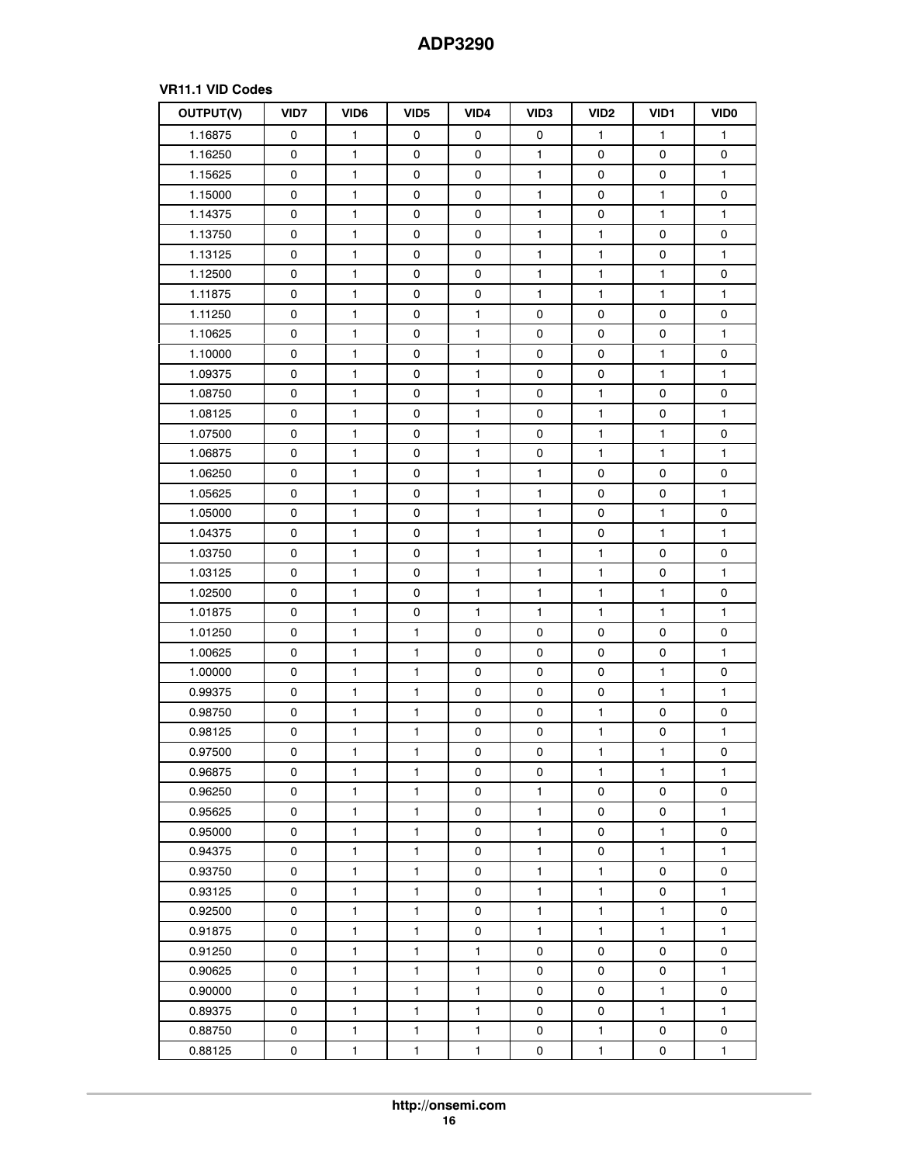# **VR11.1 VID Codes**

| OUTPUT(V) | VID7        | VID <sub>6</sub> | VID <sub>5</sub> | VID4         | VID <sub>3</sub> | VID <sub>2</sub> | VID <sub>1</sub> | <b>VIDO</b>  |
|-----------|-------------|------------------|------------------|--------------|------------------|------------------|------------------|--------------|
| 1.16875   | 0           | $\mathbf{1}$     | 0                | 0            | 0                | $\mathbf{1}$     | $\mathbf{1}$     | $\mathbf{1}$ |
| 1.16250   | 0           | 1                | 0                | 0            | 1                | 0                | 0                | 0            |
| 1.15625   | 0           | $\mathbf{1}$     | 0                | 0            | $\mathbf{1}$     | 0                | 0                | $\mathbf{1}$ |
| 1.15000   | 0           | $\mathbf{1}$     | 0                | 0            | 1                | 0                | $\mathbf{1}$     | 0            |
| 1.14375   | 0           | 1                | 0                | 0            | $\mathbf{1}$     | 0                | $\mathbf{1}$     | $\mathbf{1}$ |
| 1.13750   | 0           | 1                | 0                | 0            | $\mathbf{1}$     | $\mathbf{1}$     | $\mathsf 0$      | 0            |
| 1.13125   | 0           | $\mathbf{1}$     | 0                | 0            | 1                | 1                | 0                | $\mathbf{1}$ |
| 1.12500   | 0           | $\mathbf{1}$     | 0                | 0            | 1                | 1                | $\mathbf{1}$     | 0            |
| 1.11875   | 0           | 1                | 0                | 0            | 1                | 1                | $\mathbf{1}$     | 1            |
| 1.11250   | 0           | 1                | 0                | 1            | 0                | 0                | 0                | 0            |
| 1.10625   | 0           | 1                | 0                | 1            | 0                | 0                | 0                | $\mathbf{1}$ |
| 1.10000   | 0           | 1                | 0                | $\mathbf{1}$ | 0                | 0                | $\mathbf{1}$     | 0            |
| 1.09375   | 0           | 1                | 0                | 1            | 0                | 0                | $\mathbf{1}$     | 1            |
| 1.08750   | 0           | $\mathbf{1}$     | 0                | $\mathbf{1}$ | 0                | $\mathbf{1}$     | $\mathbf 0$      | 0            |
| 1.08125   | 0           | $\mathbf{1}$     | 0                | 1            | 0                | $\mathbf{1}$     | 0                | $\mathbf{1}$ |
| 1.07500   | 0           | $\mathbf{1}$     | 0                | $\mathbf{1}$ | 0                | $\mathbf{1}$     | $\mathbf{1}$     | $\pmb{0}$    |
| 1.06875   | 0           | $\mathbf{1}$     | 0                | $\mathbf{1}$ | 0                | $\mathbf{1}$     | $\mathbf{1}$     | 1            |
| 1.06250   | 0           | $\mathbf{1}$     | 0                | $\mathbf{1}$ | $\mathbf{1}$     | 0                | 0                | 0            |
| 1.05625   | 0           | $\mathbf{1}$     | 0                | 1            | $\mathbf{1}$     | 0                | 0                | 1            |
| 1.05000   | 0           | $\mathbf{1}$     | 0                | $\mathbf{1}$ | $\mathbf{1}$     | 0                | $\mathbf{1}$     | 0            |
| 1.04375   | 0           | 1                | 0                | 1            | 1                | 0                | $\mathbf{1}$     | 1            |
| 1.03750   | 0           | $\mathbf{1}$     | 0                | $\mathbf{1}$ | $\mathbf{1}$     | $\mathbf{1}$     | 0                | 0            |
| 1.03125   | 0           | $\mathbf{1}$     | 0                | 1            | 1                | 1                | 0                | 1            |
| 1.02500   | 0           | $\mathbf{1}$     | 0                | 1            | $\mathbf{1}$     | $\mathbf{1}$     | $\mathbf{1}$     | 0            |
| 1.01875   | 0           | $\mathbf{1}$     | 0                | 1            | 1                | 1                | $\mathbf{1}$     | 1            |
| 1.01250   | 0           | $\mathbf{1}$     | $\mathbf{1}$     | 0            | 0                | 0                | 0                | 0            |
| 1.00625   | 0           | $\mathbf{1}$     | 1                | 0            | 0                | 0                | 0                | 1            |
| 1.00000   | 0           | 1                | $\mathbf{1}$     | 0            | 0                | 0                | $\mathbf{1}$     | 0            |
| 0.99375   | 0           | 1                | 1                | 0            | 0                | 0                | $\mathbf{1}$     | 1            |
| 0.98750   | 0           | $\mathbf{1}$     | $\mathbf{1}$     | 0            | 0                | 1                | 0                | 0            |
| 0.98125   | 0           | 1                | 1                | 0            | 0                | 1                | 0                | 1            |
| 0.97500   | 0           | $\mathbf{1}$     | $\mathbf{1}$     | 0            | 0                | $\mathbf{1}$     | $\mathbf{1}$     | 0            |
| 0.96875   | 0           | 1                | 1                | 0            | 0                | 1                | 1                | 1            |
| 0.96250   | 0           | 1                | 1                | 0            | 1                | 0                | 0                | 0            |
| 0.95625   | 0           | $\mathbf{1}$     | 1                | 0            | 1                | 0                | 0                | 1            |
| 0.95000   | 0           | 1                | $\mathbf{1}$     | 0            | 1                | 0                | $\mathbf{1}$     | 0            |
| 0.94375   | 0           | $\mathbf{1}$     | 1                | 0            | $\mathbf{1}$     | 0                | $\mathbf{1}$     | $\mathbf{1}$ |
| 0.93750   | 0           | $\mathbf{1}$     | $\mathbf{1}$     | 0            | 1                | 1                | 0                | 0            |
| 0.93125   | 0           | $\mathbf{1}$     | $\mathbf{1}$     | 0            | $\mathbf{1}$     | $\mathbf{1}$     | 0                | $\mathbf{1}$ |
| 0.92500   | $\mathbf 0$ | $\mathbf{1}$     | $\mathbf{1}$     | 0            | $\mathbf{1}$     | $\mathbf{1}$     | $\mathbf{1}$     | 0            |
| 0.91875   | 0           | $\mathbf{1}$     | $\mathbf{1}$     | 0            | $\mathbf{1}$     | 1                | $\mathbf{1}$     | $\mathbf{1}$ |
| 0.91250   | 0           | $\mathbf{1}$     | 1                | 1            | 0                | 0                | 0                | 0            |
| 0.90625   | 0           | $\mathbf{1}$     | $\mathbf{1}$     | $\mathbf{1}$ | 0                | 0                | 0                | 1            |
| 0.90000   | 0           | $\mathbf{1}$     | 1                | 1            | 0                | 0                | $\mathbf{1}$     | 0            |
| 0.89375   | 0           | $\mathbf{1}$     | $\mathbf{1}$     | $\mathbf{1}$ | 0                | 0                | $\mathbf{1}$     | $\mathbf{1}$ |
| 0.88750   | 0           | $\mathbf{1}$     | $\mathbf{1}$     | $\mathbf{1}$ | 0                | 1                | 0                | 0            |
| 0.88125   | 0           | $\mathbf{1}$     | $\mathbf{1}$     | $\mathbf{1}$ | 0                | $\mathbf{1}$     | 0                | $\mathbf{1}$ |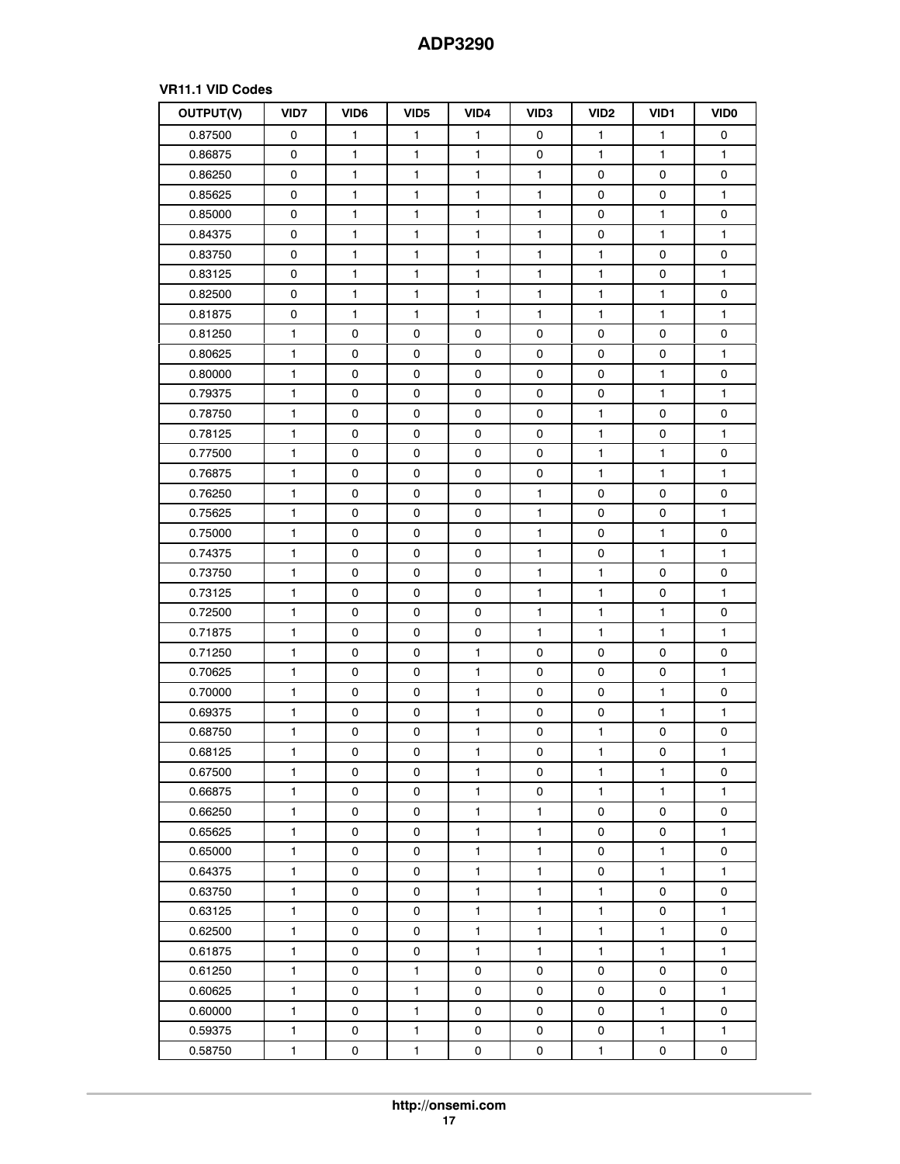# **VR11.1 VID Codes**

| OUTPUT(V) | VID7         | VID <sub>6</sub> | VID <sub>5</sub> | VID4         | VID <sub>3</sub> | VID <sub>2</sub> | VID <sub>1</sub> | <b>VIDO</b>  |
|-----------|--------------|------------------|------------------|--------------|------------------|------------------|------------------|--------------|
| 0.87500   | 0            | $\mathbf{1}$     | $\mathbf{1}$     | 1            | 0                | $\mathbf{1}$     | $\mathbf{1}$     | 0            |
| 0.86875   | 0            | 1                | 1                | 1            | 0                | 1                | 1                | 1            |
| 0.86250   | 0            | $\mathbf{1}$     | 1                | 1            | 1                | 0                | 0                | 0            |
| 0.85625   | 0            | 1                | 1                | 1            | 1                | 0                | 0                | 1            |
| 0.85000   | 0            | 1                | $\mathbf{1}$     | $\mathbf{1}$ | $\mathbf{1}$     | 0                | $\mathbf{1}$     | 0            |
| 0.84375   | 0            | 1                | 1                | 1            | $\mathbf{1}$     | 0                | $\mathbf{1}$     | 1            |
| 0.83750   | 0            | $\mathbf{1}$     | $\mathbf{1}$     | $\mathbf{1}$ | 1                | 1                | 0                | 0            |
| 0.83125   | 0            | 1                | 1                | 1            | 1                | 1                | 0                | 1            |
| 0.82500   | 0            | 1                | $\mathbf{1}$     | $\mathbf{1}$ | 1                | 1                | $\mathbf{1}$     | 0            |
| 0.81875   | 0            | 1                | 1                | 1            | $\mathbf{1}$     | 1                | $\mathbf{1}$     | $\mathbf{1}$ |
| 0.81250   | $\mathbf{1}$ | 0                | 0                | 0            | 0                | 0                | 0                | 0            |
| 0.80625   | 1            | 0                | 0                | 0            | 0                | 0                | $\pmb{0}$        | 1            |
| 0.80000   | 1            | 0                | 0                | 0            | 0                | 0                | $\mathbf{1}$     | 0            |
| 0.79375   | 1            | $\mathsf 0$      | 0                | 0            | 0                | $\mathsf 0$      | $\mathbf{1}$     | $\mathbf{1}$ |
| 0.78750   | 1            | 0                | 0                | 0            | 0                | 1                | 0                | 0            |
| 0.78125   | 1.           | $\mathsf 0$      | 0                | 0            | 0                | $\mathbf{1}$     | $\mathbf 0$      | $\mathbf{1}$ |
| 0.77500   | 1            | 0                | 0                | 0            | 0                | $\mathbf{1}$     | $\mathbf{1}$     | 0            |
| 0.76875   | 1            | $\mathsf 0$      | 0                | 0            | $\pmb{0}$        | 1                | $\mathbf{1}$     | $\mathbf{1}$ |
| 0.76250   | 1            | 0                | 0                | 0            | 1                | 0                | $\pmb{0}$        | $\pmb{0}$    |
| 0.75625   | 1            | 0                | 0                | 0            | $\mathbf{1}$     | 0                | 0                | $\mathbf{1}$ |
| 0.75000   | 1            | 0                | 0                | $\mathsf 0$  | 1                | 0                | $\mathbf{1}$     | $\pmb{0}$    |
| 0.74375   | 1            | 0                | 0                | 0            | $\mathbf{1}$     | 0                | $\mathbf{1}$     | $\mathbf{1}$ |
| 0.73750   | 1            | 0                | 0                | 0            | 1                | 1                | 0                | 0            |
| 0.73125   | 1            | 0                | 0                | 0            | $\mathbf{1}$     | $\mathbf{1}$     | 0                | 1            |
| 0.72500   | 1            | 0                | 0                | 0            | 1                | 1                | $\mathbf{1}$     | 0            |
| 0.71875   | $\mathbf{1}$ | 0                | 0                | 0            | $\mathbf{1}$     | $\mathbf{1}$     | $\mathbf{1}$     | $\mathbf{1}$ |
| 0.71250   | 1            | 0                | 0                | 1            | 0                | 0                | 0                | 0            |
| 0.70625   | 1            | 0                | 0                | $\mathbf{1}$ | 0                | 0                | 0                | $\mathbf{1}$ |
| 0.70000   | 1            | 0                | 0                | 1            | 0                | 0                | $\mathbf{1}$     | 0            |
| 0.69375   | 1            | 0                | 0                | 1            | 0                | 0                | $\mathbf{1}$     | $\mathbf{1}$ |
| 0.68750   | 1            | 0                | 0                | 1            | 0                | 1                | 0                | 0            |
| 0.68125   | $\mathbf{1}$ | $\mathsf 0$      | 0                | $\mathbf{1}$ | 0                | $\mathbf{1}$     | $\pmb{0}$        | $\mathbf{1}$ |
| 0.67500   | 1            | 0                | 0                | 1            | 0                | 1                | 1                | 0            |
| 0.66875   | 1            | 0                | 0                | 1            | 0                | 1                | $\mathbf{1}$     | 1            |
| 0.66250   | 1            | 0                | 0                | $\mathbf{1}$ | $\mathbf{1}$     | 0                | 0                | 0            |
| 0.65625   | 1            | 0                | 0                | 1            | 1                | 0                | 0                | 1            |
| 0.65000   | 1            | 0                | 0                | $\mathbf{1}$ | $\mathbf{1}$     | 0                | $\mathbf{1}$     | 0            |
| 0.64375   | 1            | 0                | 0                | 1            | 1                | 0                | $\mathbf{1}$     | $\mathbf{1}$ |
| 0.63750   | $\mathbf{1}$ | 0                | 0                | $\mathbf{1}$ | $\mathbf{1}$     | 1                | $\pmb{0}$        | 0            |
| 0.63125   | 1            | 0                | 0                | 1            | $\mathbf{1}$     | $\mathbf{1}$     | $\mathsf 0$      | 1            |
| 0.62500   | 1            | $\mathsf 0$      | 0                | 1            | $\mathbf{1}$     | 1                | $\mathbf{1}$     | 0            |
| 0.61875   | 1            | 0                | 0                | 1            | 1                | 1                | $\mathbf{1}$     | $\mathbf{1}$ |
| 0.61250   | 1            | 0                | $\mathbf{1}$     | 0            | 0                | 0                | 0                | 0            |
| 0.60625   | $\mathbf{1}$ | 0                | 1                | 0            | 0                | 0                | 0                | 1            |
| 0.60000   | 1            | 0                | $\mathbf{1}$     | 0            | 0                | 0                | $\mathbf{1}$     | 0            |
| 0.59375   | 1            | 0                | $\mathbf{1}$     | 0            | 0                | 0                | $\mathbf{1}$     | 1            |
| 0.58750   | 1            | 0                | $\mathbf{1}$     | 0            | 0                | $\mathbf{1}$     | 0                | 0            |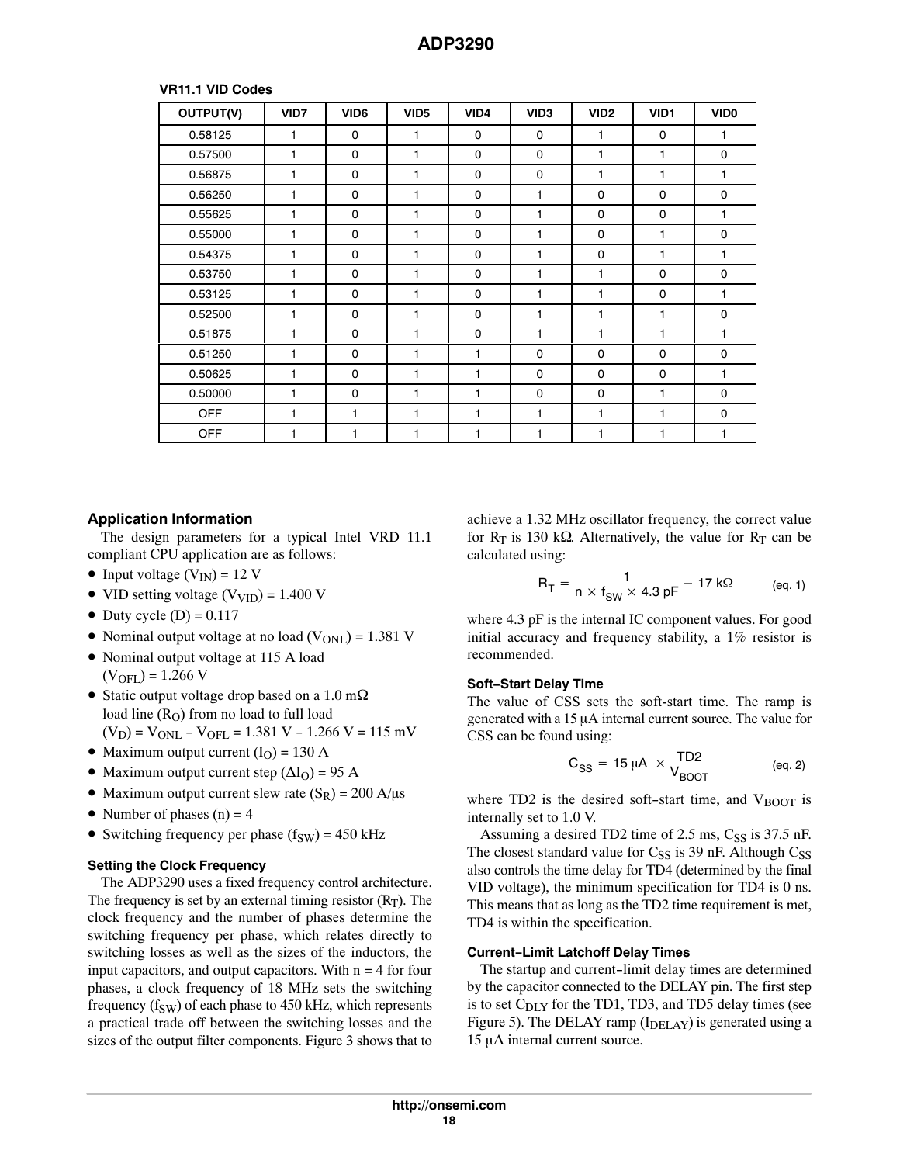# **VR11.1 VID Codes**

| OUTPUT(V)  | VID7 | VID <sub>6</sub> | VID <sub>5</sub> | VID4         | VID <sub>3</sub> | VID <sub>2</sub> | VID1         | VID <sub>0</sub> |
|------------|------|------------------|------------------|--------------|------------------|------------------|--------------|------------------|
| 0.58125    | 1    | $\mathbf 0$      | 1                | 0            | $\mathbf 0$      | 1                | 0            | 1                |
| 0.57500    | 1    | $\mathbf 0$      | 1                | 0            | $\mathbf 0$      | 1                | 1            | 0                |
| 0.56875    | 1    | $\mathbf 0$      | 1                | 0            | $\mathbf 0$      | 1                | 1            | 1                |
| 0.56250    | 1    | $\mathbf 0$      | 1                | 0            | 1                | 0                | $\Omega$     | $\mathbf 0$      |
| 0.55625    | 1    | $\mathbf 0$      | 1                | 0            | 1                | $\mathbf 0$      | $\mathbf{0}$ | 1                |
| 0.55000    | 1    | $\mathbf 0$      | 1                | 0            | 1                | 0                | 1            | 0                |
| 0.54375    | 1    | $\mathbf 0$      | 1                | 0            | 1                | 0                | 1            | 1                |
| 0.53750    | 1    | $\mathbf 0$      | 1                | 0            | 1                | 1                | $\mathbf 0$  | 0                |
| 0.53125    | 1    | $\mathbf 0$      | 1                | 0            | 1                | 1                | 0            | 1                |
| 0.52500    | 1    | $\mathbf 0$      | 1                | 0            | 1                | 1                | 1            | 0                |
| 0.51875    | 1    | $\Omega$         | 1                | 0            | 1                | 1                | 1            | 1                |
| 0.51250    | 1    | $\mathbf 0$      | 1                | 1            | $\mathbf 0$      | $\mathbf 0$      | $\mathbf 0$  | $\mathbf 0$      |
| 0.50625    | 1    | $\mathbf 0$      | 1                | 1            | $\mathbf 0$      | 0                | 0            | 1                |
| 0.50000    | 1    | $\Omega$         | 1                | $\mathbf{1}$ | $\mathbf 0$      | $\Omega$         | 1            | $\Omega$         |
| <b>OFF</b> | 1    | 1                | 1                | $\mathbf{1}$ | 1                | 1                | 1            | $\Omega$         |
| <b>OFF</b> | 1    | 1                | 1                | 1            | 1                | 1                | 1            | 1                |

# **Application Information**

The design parameters for a typical Intel VRD 11.1 compliant CPU application are as follows:

- Input voltage  $(V_{IN}) = 12 V$
- VID setting voltage  $(V_{\text{VID}}) = 1.400 \text{ V}$
- Duty cycle  $(D) = 0.117$
- Nominal output voltage at no load  $(V_{ONL}) = 1.381$  V
- Nominal output voltage at 115 A load  $(V_{\text{OFL}}) = 1.266 \text{ V}$
- Static output voltage drop based on a 1.0 m $\Omega$ load line  $(R<sub>O</sub>)$  from no load to full load  $(V_D) = V_{ONL} - V_{OFL} = 1.381 V - 1.266 V = 115 mV$
- Maximum output current  $(I<sub>O</sub>) = 130$  A
- Maximum output current step  $(\Delta I_O)$  = 95 A
- Maximum output current slew rate  $(S_R) = 200 \text{ A/}\mu\text{s}$
- Number of phases  $(n) = 4$
- Switching frequency per phase  $(f_{SW}) = 450$  kHz

# **Setting the Clock Frequency**

The ADP3290 uses a fixed frequency control architecture. The frequency is set by an external timing resistor  $(R_T)$ . The clock frequency and the number of phases determine the switching frequency per phase, which relates directly to switching losses as well as the sizes of the inductors, the input capacitors, and output capacitors. With  $n = 4$  for four phases, a clock frequency of 18 MHz sets the switching frequency ( $f_{SW}$ ) of each phase to 450 kHz, which represents a practical trade off between the switching losses and the sizes of the output filter components. Figure [3](#page-7-0) shows that to

achieve a 1.32 MHz oscillator frequency, the correct value for  $R_T$  is 130 k $\Omega$ . Alternatively, the value for  $R_T$  can be calculated using:

$$
R_T = \frac{1}{n \times f_{SW} \times 4.3 \text{ pF}} - 17 \text{ k}\Omega \qquad (eq. 1)
$$

where 4.3 pF is the internal IC component values. For good initial accuracy and frequency stability, a 1% resistor is recommended.

# **Soft-Start Delay Time**

The value of CSS sets the soft-start time. The ramp is generated with a  $15 \mu A$  internal current source. The value for CSS can be found using:

$$
C_{SS} = 15 \mu A \times \frac{TD2}{V_{B O O T}}
$$
 (eq. 2)

where TD2 is the desired soft-start time, and  $V_{\text{BOOT}}$  is internally set to 1.0 V.

Assuming a desired TD2 time of  $2.5$  ms,  $C_{SS}$  is  $37.5$  nF. The closest standard value for  $C_{SS}$  is 39 nF. Although  $C_{SS}$ also controls the time delay for TD4 (determined by the final VID voltage), the minimum specification for TD4 is 0 ns. This means that as long as the TD2 time requirement is met, TD4 is within the specification.

# **Current-Limit Latchoff Delay Times**

The startup and current-limit delay times are determined by the capacitor connected to the DELAY pin. The first step is to set  $C_{\text{DLY}}$  for the TD1, TD3, and TD5 delay times (see Figure [5\)](#page-8-0). The DELAY ramp  $(I<sub>DELAY</sub>)$  is generated using a 15 µA internal current source.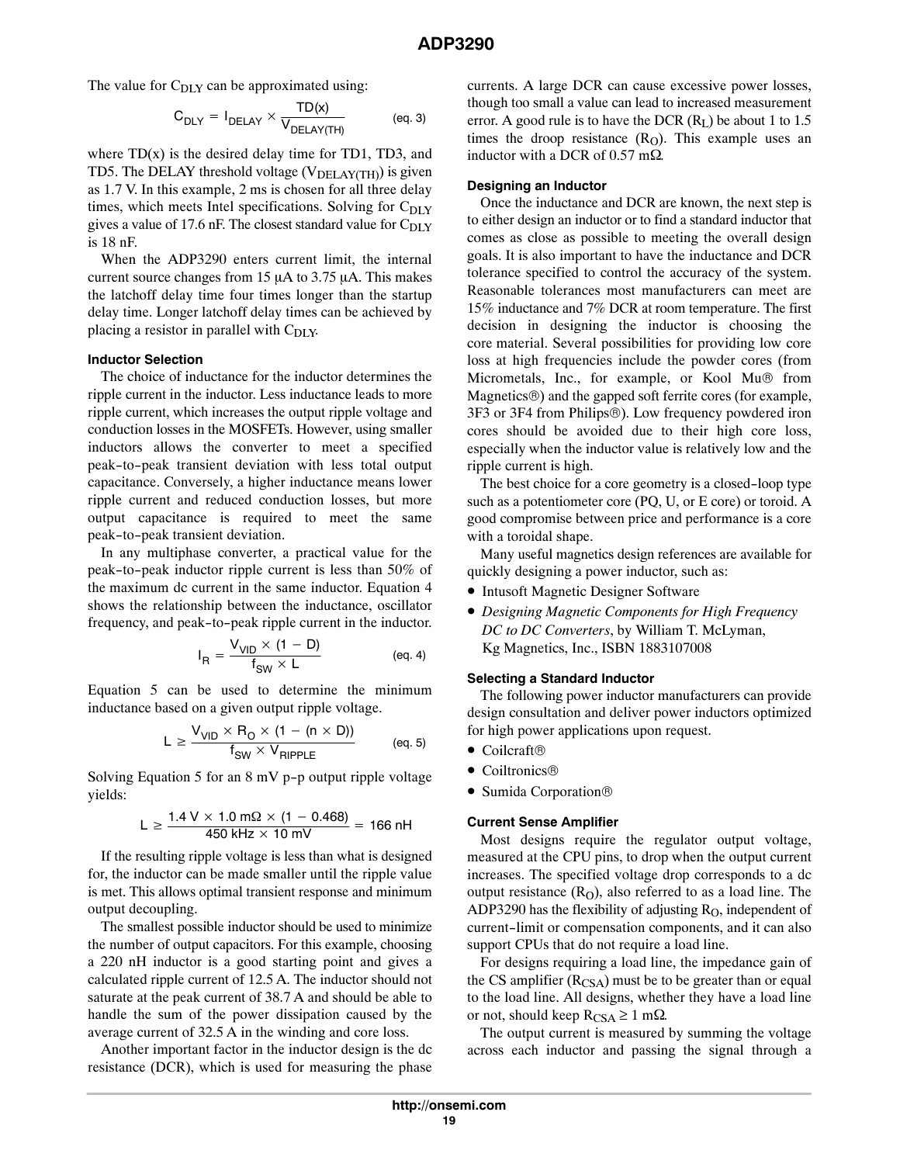The value for  $C_{\text{DLY}}$  can be approximated using:

$$
C_{\text{DLY}} = I_{\text{DELAY}} \times \frac{\text{TD}(x)}{V_{\text{DELAY(TH)}}}
$$
 (eq. 3)

where  $TD(x)$  is the desired delay time for  $TD1$ ,  $TD3$ , and TD5. The DELAY threshold voltage ( $V<sub>DELAY(TH)</sub>$ ) is given as 1.7 V. In this example, 2 ms is chosen for all three delay times, which meets Intel specifications. Solving for C<sub>DLY</sub> gives a value of 17.6 nF. The closest standard value for  $C_{\text{DLY}}$ is 18 nF.

When the ADP3290 enters current limit, the internal current source changes from  $15 \mu A$  to  $3.75 \mu A$ . This makes the latchoff delay time four times longer than the startup delay time. Longer latchoff delay times can be achieved by placing a resistor in parallel with  $C_{\text{DLY}}$ .

#### **Inductor Selection**

The choice of inductance for the inductor determines the ripple current in the inductor. Less inductance leads to more ripple current, which increases the output ripple voltage and conduction losses in the MOSFETs. However, using smaller inductors allows the converter to meet a specified peak-to-peak transient deviation with less total output capacitance. Conversely, a higher inductance means lower ripple current and reduced conduction losses, but more output capacitance is required to meet the same peak-to-peak transient deviation.

In any multiphase converter, a practical value for the peak-to-peak inductor ripple current is less than 50% of the maximum dc current in the same inductor. Equation 4 shows the relationship between the inductance, oscillator frequency, and peak-to-peak ripple current in the inductor.

$$
I_{R} = \frac{V_{VID} \times (1 - D)}{f_{SW} \times L}
$$
 (eq. 4)

Equation 5 can be used to determine the minimum inductance based on a given output ripple voltage.

$$
L \geq \frac{V_{VID} \times R_{O} \times (1 - (n \times D))}{f_{SW} \times V_{RIPPLE}} \hspace{1cm} \text{(eq. 5)}
$$

Solving Equation 5 for an 8 mV p-p output ripple voltage yields:

$$
L \ge \frac{1.4 \text{ V} \times 1.0 \text{ m}\Omega \times (1 - 0.468)}{450 \text{ kHz} \times 10 \text{ mV}} = 166 \text{ nH}
$$

If the resulting ripple voltage is less than what is designed for, the inductor can be made smaller until the ripple value is met. This allows optimal transient response and minimum output decoupling.

The smallest possible inductor should be used to minimize the number of output capacitors. For this example, choosing a 220 nH inductor is a good starting point and gives a calculated ripple current of 12.5 A. The inductor should not saturate at the peak current of 38.7 A and should be able to handle the sum of the power dissipation caused by the average current of 32.5 A in the winding and core loss.

Another important factor in the inductor design is the dc resistance (DCR), which is used for measuring the phase

currents. A large DCR can cause excessive power losses, though too small a value can lead to increased measurement error. A good rule is to have the DCR  $(R<sub>L</sub>)$  be about 1 to 1.5 times the droop resistance  $(R<sub>O</sub>)$ . This example uses an inductor with a DCR of  $0.57$  m $\Omega$ .

#### **Designing an Inductor**

Once the inductance and DCR are known, the next step is to either design an inductor or to find a standard inductor that comes as close as possible to meeting the overall design goals. It is also important to have the inductance and DCR tolerance specified to control the accuracy of the system. Reasonable tolerances most manufacturers can meet are 15% inductance and 7% DCR at room temperature. The first decision in designing the inductor is choosing the core material. Several possibilities for providing low core loss at high frequencies include the powder cores (from Micrometals, Inc., for example, or Kool Mu® from Magnetics®) and the gapped soft ferrite cores (for example, 3F3 or 3F4 from Philips®). Low frequency powdered iron cores should be avoided due to their high core loss, especially when the inductor value is relatively low and the ripple current is high.

The best choice for a core geometry is a closed-loop type such as a potentiometer core (PQ, U, or E core) or toroid. A good compromise between price and performance is a core with a toroidal shape.

Many useful magnetics design references are available for quickly designing a power inductor, such as:

- Intusoft Magnetic Designer Software
- *Designing Magnetic Components for High Frequency DC to DC Converters*, by William T. McLyman, Kg Magnetics, Inc., ISBN 1883107008

#### **Selecting a Standard Inductor**

The following power inductor manufacturers can provide design consultation and deliver power inductors optimized for high power applications upon request.

- Coilcraft®
- Coiltronics®
- Sumida Corporation®

#### **Current Sense Amplifier**

Most designs require the regulator output voltage, measured at the CPU pins, to drop when the output current increases. The specified voltage drop corresponds to a dc output resistance  $(R<sub>O</sub>)$ , also referred to as a load line. The ADP3290 has the flexibility of adjusting  $R<sub>O</sub>$ , independent of current-limit or compensation components, and it can also support CPUs that do not require a load line.

For designs requiring a load line, the impedance gain of the CS amplifier  $(R_{CSA})$  must be to be greater than or equal to the load line. All designs, whether they have a load line or not, should keep  $R_{CSA} \ge 1$  m $\Omega$ .

The output current is measured by summing the voltage across each inductor and passing the signal through a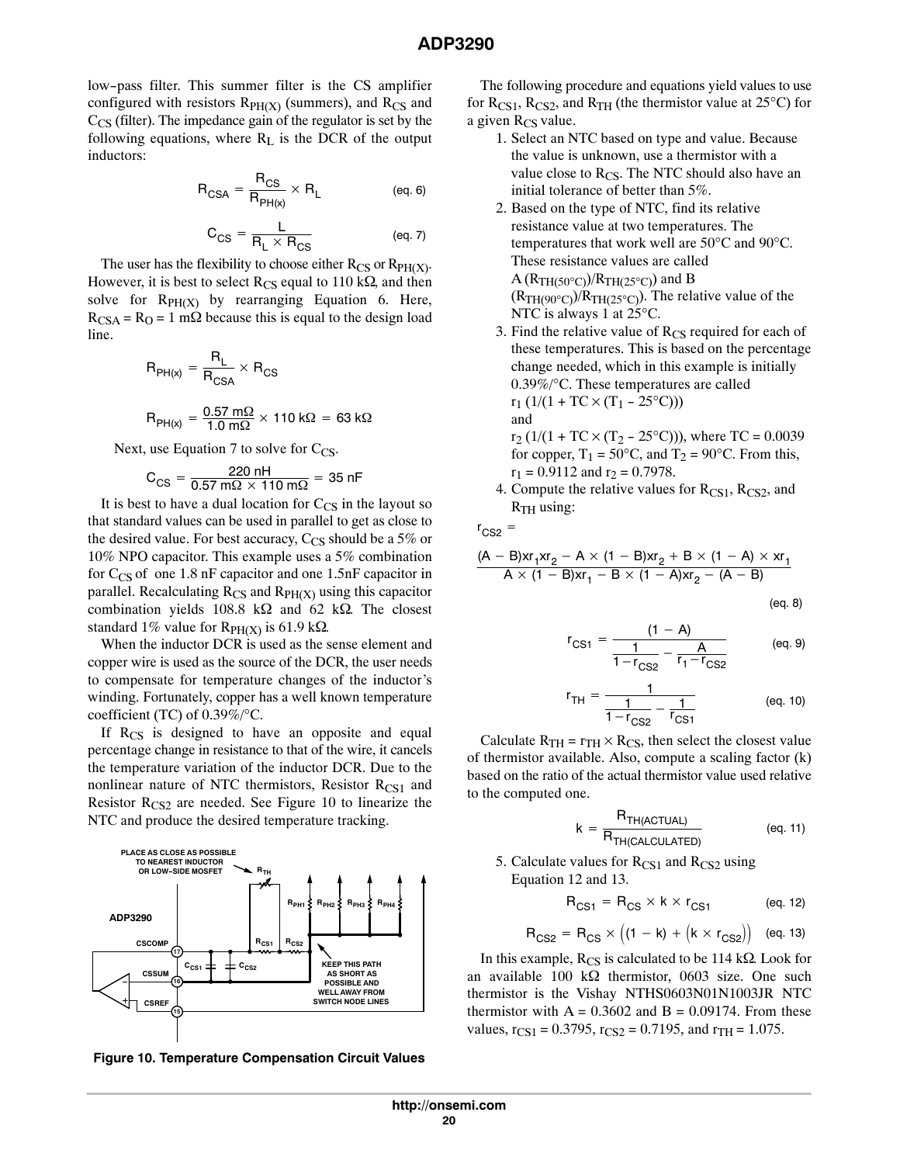low-pass filter. This summer filter is the CS amplifier configured with resistors  $R<sub>PH(X)</sub>$  (summers), and  $R<sub>CS</sub>$  and  $C_{CS}$  (filter). The impedance gain of the regulator is set by the following equations, where  $R_L$  is the DCR of the output inductors:

$$
R_{CSA} = \frac{R_{CS}}{R_{PH(x)}} \times R_L
$$
 (eq. 6)

$$
C_{CS} = \frac{L}{R_L \times R_{CS}}
$$
 (eq. 7)

The user has the flexibility to choose either  $R_{CS}$  or  $R_{PH(X)}$ . However, it is best to select  $R_{CS}$  equal to 110 k $\Omega$ , and then solve for  $R<sub>PH(X)</sub>$  by rearranging Equation 6. Here,  $R_{CSA} = R_O = 1$  m $\Omega$  because this is equal to the design load line.

$$
R_{PH(x)} = \frac{R_L}{R_{CSA}} \times R_{CS}
$$
  

$$
R_{PH(x)} = \frac{0.57 \text{ m}\Omega}{1.0 \text{ m}\Omega} \times 110 \text{ k}\Omega = 63 \text{ k}\Omega
$$

Next, use Equation 7 to solve for  $C_{CS}$ .

$$
C_{CS} = \frac{220 \text{ nH}}{0.57 \text{ m}\Omega \times 110 \text{ m}\Omega} = 35 \text{ nF}
$$

It is best to have a dual location for  $C_{CS}$  in the layout so that standard values can be used in parallel to get as close to the desired value. For best accuracy,  $C_{CS}$  should be a 5% or 10% NPO capacitor. This example uses a 5% combination for  $C_{CS}$  of one 1.8 nF capacitor and one 1.5nF capacitor in parallel. Recalculating  $R_{CS}$  and  $R_{PH(X)}$  using this capacitor combination yields 108.8 k $\Omega$  and 62 k $\Omega$ . The closest standard 1% value for  $R_{PH(X)}$  is 61.9 k $\Omega$ .

When the inductor DCR is used as the sense element and copper wire is used as the source of the DCR, the user needs to compensate for temperature changes of the inductor's winding. Fortunately, copper has a well known temperature coefficient (TC) of 0.39%/°C.

If  $R_{CS}$  is designed to have an opposite and equal percentage change in resistance to that of the wire, it cancels the temperature variation of the inductor DCR. Due to the nonlinear nature of NTC thermistors, Resistor  $R_{CS1}$  and Resistor  $R_{CS2}$  are needed. See Figure 10 to linearize the NTC and produce the desired temperature tracking.



**Figure 10. Temperature Compensation Circuit Values**

The following procedure and equations yield values to use for  $R_{CS1}$ ,  $R_{CS2}$ , and  $R_{TH}$  (the thermistor value at 25<sup>o</sup>C) for a given  $R_{CS}$  value.

- 1. Select an NTC based on type and value. Because the value is unknown, use a thermistor with a value close to  $R_{CS}$ . The NTC should also have an initial tolerance of better than 5%.
- 2. Based on the type of NTC, find its relative resistance value at two temperatures. The temperatures that work well are 50°C and 90°C. These resistance values are called  $A (R<sub>TH(50°C)</sub>)/R<sub>TH(25°C)</sub>$  and B  $(R<sub>TH</sub>(90°C))/R<sub>TH</sub>(25°C)$ . The relative value of the NTC is always 1 at 25<sup>o</sup>C.
- 3. Find the relative value of  $R_{CS}$  required for each of these temperatures. This is based on the percentage change needed, which in this example is initially 0.39%/°C. These temperatures are called  $r_1$  (1/(1 + TC  $\times$  (T<sub>1</sub> – 25<sup>o</sup>C))) and

$$
r_2
$$
 (1/(1 + TC × (T<sub>2</sub> - 25°C))), where TC = 0.0039  
for copper, T<sub>1</sub> = 50°C, and T<sub>2</sub> = 90°C. From this,  
r<sub>1</sub> = 0.9112 and r<sub>2</sub> = 0.7978.

4. Compute the relative values for  $R_{CS1}$ ,  $R_{CS2}$ , and  $R<sub>TH</sub>$  using:

 $r_{CS2}$  =

$$
\frac{(A - B)xr_1xr_2 - A \times (1 - B)xr_2 + B \times (1 - A) \times xr_1}{A \times (1 - B)xr_1 - B \times (1 - A)xr_2 - (A - B)}
$$

(eq. 8)

$$
r_{CS1} = \frac{(1 - A)}{1 - r_{CS2}} - \frac{A}{r_1 - r_{CS2}}
$$
 (eq. 9)

$$
r_{\text{TH}} = \frac{1}{\frac{1}{1 - r_{\text{CS2}}} - \frac{1}{r_{\text{CS1}}}}
$$
 (eq. 10)

Calculate  $R_{TH} = r_{TH} \times R_{CS}$ , then select the closest value of thermistor available. Also, compute a scaling factor (k) based on the ratio of the actual thermistor value used relative to the computed one.

$$
k = \frac{R_{TH(ACTUAL)}}{R_{TH(CALCULATED)}}
$$
 (eq. 11)

5. Calculate values for  $R_{CS1}$  and  $R_{CS2}$  using Equation 12 and 13.

$$
R_{CS1} = R_{CS} \times k \times r_{CS1}
$$
 (eq. 12)

$$
R_{CS2} = R_{CS} \times \left( (1 - k) + (k \times r_{CS2}) \right) \quad \text{(eq. 13)}
$$

In this example,  $R_{CS}$  is calculated to be 114 k $\Omega$ . Look for an available 100 k $\Omega$  thermistor, 0603 size. One such thermistor is the Vishay NTHS0603N01N1003JR NTC thermistor with  $A = 0.3602$  and  $B = 0.09174$ . From these values,  $r_{CS1} = 0.3795$ ,  $r_{CS2} = 0.7195$ , and  $r_{TH} = 1.075$ .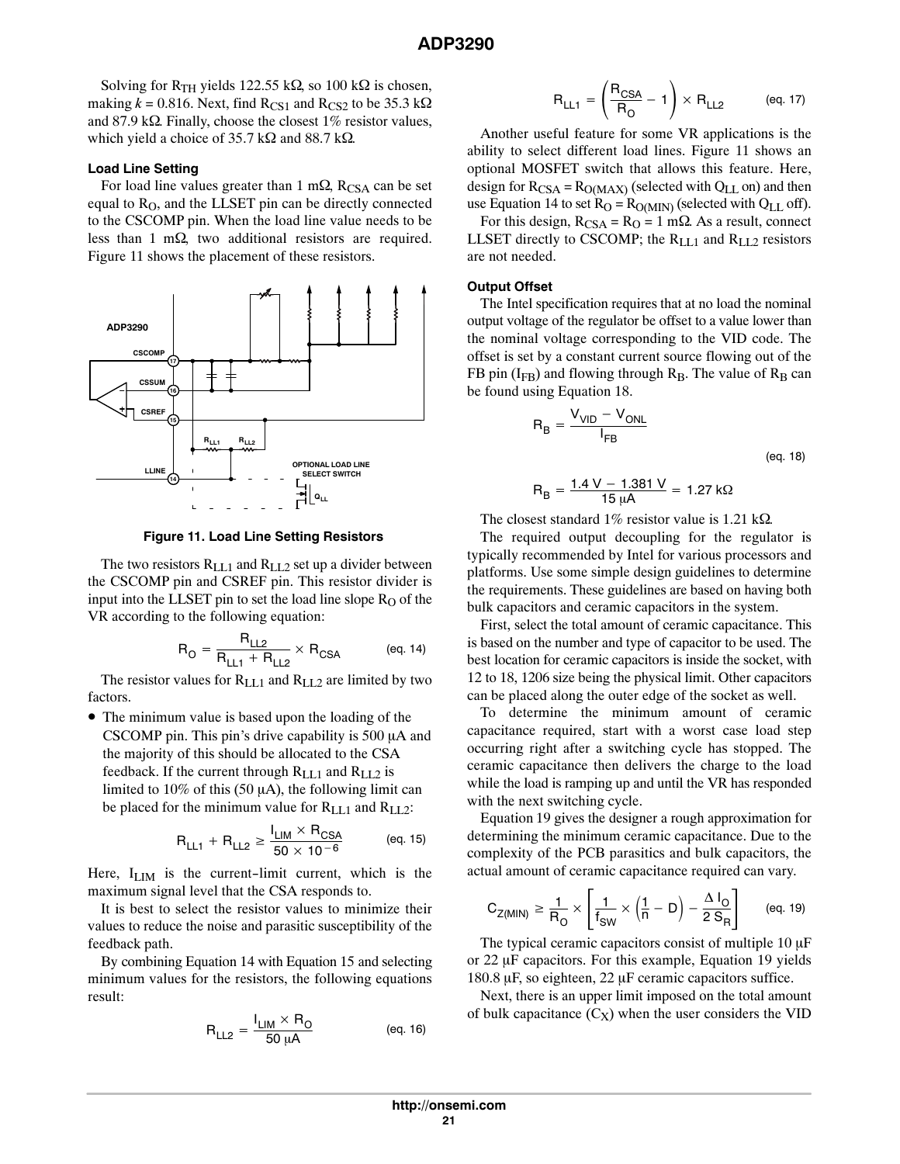<span id="page-20-0"></span>Solving for R<sub>TH</sub> yields 122.55 k $\Omega$ , so 100 k $\Omega$  is chosen, making  $k = 0.816$ . Next, find R<sub>CS1</sub> and R<sub>CS2</sub> to be 35.3 k $\Omega$ and 87.9 k $\Omega$ . Finally, choose the closest 1% resistor values, which yield a choice of 35.7 k $\Omega$  and 88.7 k $\Omega$ .

### **Load Line Setting**

For load line values greater than 1 m $\Omega$ , R<sub>CSA</sub> can be set equal to  $R<sub>O</sub>$ , and the LLSET pin can be directly connected to the CSCOMP pin. When the load line value needs to be less than 1 m $\Omega$ , two additional resistors are required. Figure 11 shows the placement of these resistors.



**Figure 11. Load Line Setting Resistors**

The two resistors  $R_{LL1}$  and  $R_{LL2}$  set up a divider between the CSCOMP pin and CSREF pin. This resistor divider is input into the LLSET pin to set the load line slope  $R<sub>O</sub>$  of the VR according to the following equation:

$$
R_{O} = \frac{R_{LL2}}{R_{LL1} + R_{LL2}} \times R_{CSA}
$$
 (eq. 14)

The resistor values for  $R_{LL1}$  and  $R_{LL2}$  are limited by two factors.

• The minimum value is based upon the loading of the CSCOMP pin. This pin's drive capability is  $500 \mu A$  and the majority of this should be allocated to the CSA feedback. If the current through  $R_{LL1}$  and  $R_{LL2}$  is limited to 10% of this (50  $\mu$ A), the following limit can be placed for the minimum value for R<sub>LL1</sub> and R<sub>LL2</sub>:

$$
R_{LL1} + R_{LL2} \ge \frac{I_{LM} \times R_{CSA}}{50 \times 10^{-6}}
$$
 (eq. 15)

Here,  $I_{\text{LIM}}$  is the current-limit current, which is the maximum signal level that the CSA responds to.

It is best to select the resistor values to minimize their values to reduce the noise and parasitic susceptibility of the feedback path.

By combining Equation 14 with Equation 15 and selecting minimum values for the resistors, the following equations result:

$$
R_{LL2} = \frac{I_{LM} \times R_O}{50 \,\mu A}
$$
 (eq. 16)

$$
R_{LL1} = \left(\frac{R_{CSA}}{R_O} - 1\right) \times R_{LL2} \quad (eq. 17)
$$

Another useful feature for some VR applications is the ability to select different load lines. Figure 11 shows an optional MOSFET switch that allows this feature. Here, design for  $R_{CSA} = R_{O(MAX)}$  (selected with  $Q_{LL}$  on) and then use Equation 14 to set  $R<sub>O</sub> = R<sub>O(MIN)</sub>$  (selected with  $Q<sub>LL</sub>$  off).

For this design,  $R_{CSA} = R_0 = 1$  m $\Omega$ . As a result, connect LLSET directly to CSCOMP; the  $R_{LL1}$  and  $R_{LL2}$  resistors are not needed.

#### **Output Offset**

The Intel specification requires that at no load the nominal output voltage of the regulator be offset to a value lower than the nominal voltage corresponding to the VID code. The offset is set by a constant current source flowing out of the FB pin ( $I_{FB}$ ) and flowing through  $R_B$ . The value of  $R_B$  can be found using Equation 18.

$$
R_B = \frac{V_{VID} - V_{ONL}}{I_{FB}}
$$

(eq. 18)

$$
R_B = \frac{1.4 \text{ V} - 1.381 \text{ V}}{15 \text{ }\mu\text{A}} = 1.27 \text{ k}\Omega
$$

The closest standard 1% resistor value is 1.21 k $\Omega$ .

The required output decoupling for the regulator is typically recommended by Intel for various processors and platforms. Use some simple design guidelines to determine the requirements. These guidelines are based on having both bulk capacitors and ceramic capacitors in the system.

First, select the total amount of ceramic capacitance. This is based on the number and type of capacitor to be used. The best location for ceramic capacitors is inside the socket, with 12 to 18, 1206 size being the physical limit. Other capacitors can be placed along the outer edge of the socket as well.

To determine the minimum amount of ceramic capacitance required, start with a worst case load step occurring right after a switching cycle has stopped. The ceramic capacitance then delivers the charge to the load while the load is ramping up and until the VR has responded with the next switching cycle.

Equation 19 gives the designer a rough approximation for determining the minimum ceramic capacitance. Due to the complexity of the PCB parasitics and bulk capacitors, the actual amount of ceramic capacitance required can vary.

$$
C_{Z(MIN)} \ge \frac{1}{R_O} \times \left[\frac{1}{f_{SW}} \times \left(\frac{1}{n} - D\right) - \frac{\Delta I_O}{2 S_R}\right] \qquad \text{(eq. 19)}
$$

The typical ceramic capacitors consist of multiple  $10 \mu F$ or  $22 \mu$ F capacitors. For this example, Equation 19 yields  $180.8 \,\mu$ F, so eighteen, 22  $\mu$ F ceramic capacitors suffice.

Next, there is an upper limit imposed on the total amount of bulk capacitance  $(C_X)$  when the user considers the VID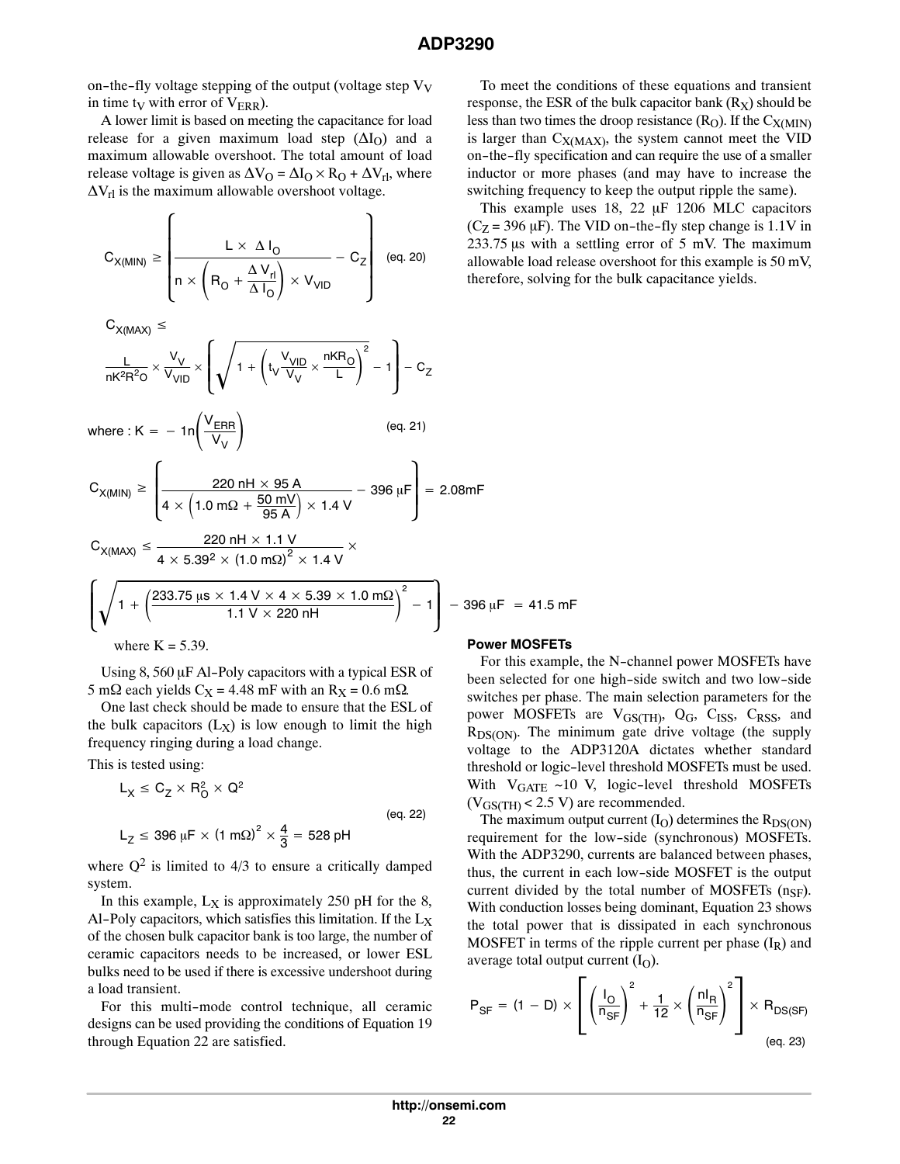on-the-fly voltage stepping of the output (voltage step  $V_V$ in time t<sub>V</sub> with error of  $V_{ERR}$ ).

A lower limit is based on meeting the capacitance for load release for a given maximum load step  $(\Delta I_O)$  and a maximum allowable overshoot. The total amount of load release voltage is given as  $\Delta V_O = \Delta I_O \times R_O + \Delta V_{rl}$ , where  $\Delta V_{\text{rl}}$  is the maximum allowable overshoot voltage.

$$
C_{X(MIN)} \ge \left[ \frac{L \times \Delta I_0}{n \times \left( R_0 + \frac{\Delta V_{r1}}{\Delta I_0} \right) \times V_{VID}} - C_Z \right] \quad \text{(eq. 20)}
$$

 $C_{X(MAX)} \leq$ 

$$
\frac{L}{nK^2R^2O} \times \frac{V_V}{V_{VID}} \times \left( \sqrt{1 + \left(t_V \frac{V_{VID}}{V_V} \times \frac{nKR_O}{L}\right)^2} - 1 \right) - C_Z
$$

where : 
$$
K = -1n \left( \frac{V_{\text{ERR}}}{V_V} \right)
$$
 (eq. 21)

$$
C_{X(MIN)} \ge \left[ \frac{220 \text{ nH} \times 95 \text{ A}}{4 \times \left( 1.0 \text{ m}\Omega + \frac{50 \text{ mV}}{95 \text{ A}} \right) \times 1.4 \text{ V}} - 396 \text{ }\mu\text{F} \right] = 2.08 \text{ mF}
$$

$$
C_{X(MAX)} \le \frac{220 \text{ nH} \times 1.1 \text{ V}}{4 \times 5.39^2 \times (1.0 \text{ m}\Omega)^2 \times 1.4 \text{ V}} \times
$$

$$
\left[\sqrt{1 + \left(\frac{233.75 \text{ }\mu\text{s} \times 1.4 \text{ V} \times 4 \times 5.39 \times 1.0 \text{ m}\Omega}{1.1 \text{ V} \times 220 \text{ }\text{hH}}\right)^2} - 1\right] - 396 \text{ }\mu\text{F} = 41.5 \text{ mF}
$$
\n
$$
\text{where K} = 5.39.
$$
\nPower MOSFETs

Using  $8$ , 560  $\mu$ F Al-Poly capacitors with a typical ESR of 5 m $\Omega$  each yields C<sub>X</sub> = 4.48 mF with an R<sub>X</sub> = 0.6 m $\Omega$ .

One last check should be made to ensure that the ESL of the bulk capacitors  $(L_X)$  is low enough to limit the high frequency ringing during a load change.

This is tested using:

$$
L_X \le C_Z \times R_O^2 \times Q^2
$$
\n
$$
L_Z \le 396 \, \mu \text{F} \times (1 \, \text{m}\Omega)^2 \times \frac{4}{3} = 528 \, \text{pH}
$$
\n(eq. 22)

where  $Q^2$  is limited to 4/3 to ensure a critically damped system.

In this example,  $L_X$  is approximately 250 pH for the 8, Al-Poly capacitors, which satisfies this limitation. If the  $L_X$ of the chosen bulk capacitor bank is too large, the number of ceramic capacitors needs to be increased, or lower ESL bulks need to be used if there is excessive undershoot during a load transient.

For this multi-mode control technique, all ceramic designs can be used providing the conditions of Equation [19](#page-20-0) through Equation 22 are satisfied.

To meet the conditions of these equations and transient response, the ESR of the bulk capacitor bank  $(R_X)$  should be less than two times the droop resistance  $(R<sub>O</sub>)$ . If the  $C<sub>X(MIN)</sub>$ is larger than  $C_{X(MAX)}$ , the system cannot meet the VID on-the-fly specification and can require the use of a smaller inductor or more phases (and may have to increase the switching frequency to keep the output ripple the same).

This example uses  $18$ ,  $22 \mu$ F  $1206 \mu$ C capacitors  $(C_Z = 396 \,\mu\text{F})$ . The VID on-the-fly step change is 1.1V in  $233.75 \,\mu s$  with a settling error of 5 mV. The maximum allowable load release overshoot for this example is 50 mV, therefore, solving for the bulk capacitance yields.

 $= 41.5$ 

## **Power MOSFETs**

For this example, the N-channel power MOSFETs have been selected for one high-side switch and two low-side switches per phase. The main selection parameters for the power MOSFETs are V<sub>GS(TH)</sub>, Q<sub>G</sub>, C<sub>ISS</sub>, C<sub>RSS</sub>, and  $R_{DS(ON)}$ . The minimum gate drive voltage (the supply voltage to the ADP3120A dictates whether standard threshold or logic-level threshold MOSFETs must be used. With  $V_{GATE} \sim 10$  V, logic-level threshold MOSFETs  $(V_{\text{GS}(\text{TH})}$  < 2.5 V) are recommended.

The maximum output current  $(I<sub>O</sub>)$  determines the  $R_{DS(ON)}$ requirement for the low-side (synchronous) MOSFETs. With the ADP3290, currents are balanced between phases, thus, the current in each low-side MOSFET is the output current divided by the total number of MOSFETs  $(n_{SF})$ . With conduction losses being dominant, Equation 23 shows the total power that is dissipated in each synchronous MOSFET in terms of the ripple current per phase  $(I_R)$  and average total output current  $(I<sub>O</sub>)$ .

$$
P_{SF} = (1 - D) \times \left[ \left( \frac{I_O}{n_{SF}} \right)^2 + \frac{1}{12} \times \left( \frac{n I_R}{n_{SF}} \right)^2 \right] \times R_{DS(SF)}
$$
\n
$$
(eq. 23)
$$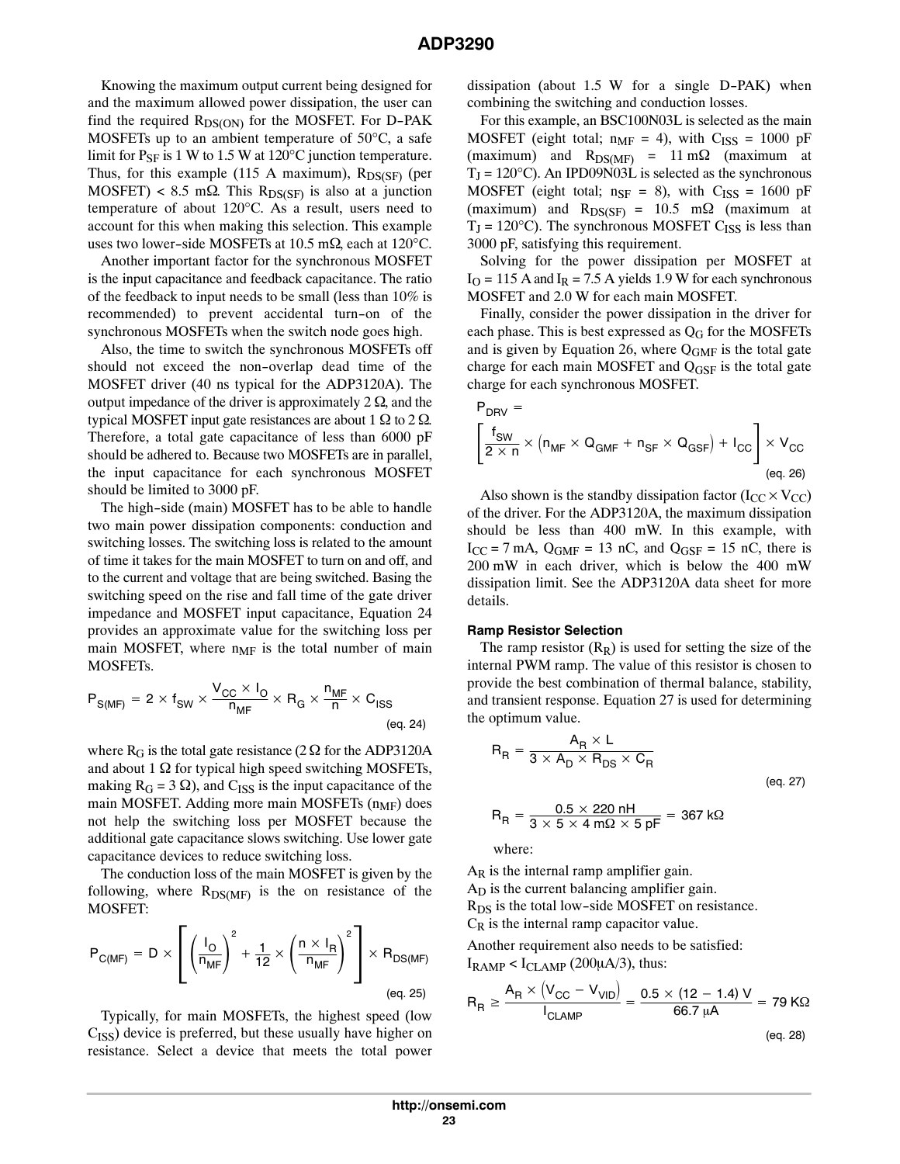<span id="page-22-0"></span>Knowing the maximum output current being designed for and the maximum allowed power dissipation, the user can find the required  $R_{DS(ON)}$  for the MOSFET. For D-PAK MOSFETs up to an ambient temperature of 50°C, a safe limit for  $P_{SF}$  is 1 W to 1.5 W at 120 $\degree$ C junction temperature. Thus, for this example (115 A maximum),  $R_{DS(SF)}$  (per  $MOSFET$ ) < 8.5 m $\Omega$ . This R<sub>DS(SF)</sub> is also at a junction temperature of about 120°C. As a result, users need to account for this when making this selection. This example uses two lower-side MOSFETs at 10.5 m $\Omega$ , each at 120°C.

Another important factor for the synchronous MOSFET is the input capacitance and feedback capacitance. The ratio of the feedback to input needs to be small (less than 10% is recommended) to prevent accidental turn-on of the synchronous MOSFETs when the switch node goes high.

Also, the time to switch the synchronous MOSFETs off should not exceed the non-overlap dead time of the MOSFET driver (40 ns typical for the ADP3120A). The output impedance of the driver is approximately  $2 \Omega$ , and the typical MOSFET input gate resistances are about  $1 \Omega$  to  $2 \Omega$ . Therefore, a total gate capacitance of less than 6000 pF should be adhered to. Because two MOSFETs are in parallel, the input capacitance for each synchronous MOSFET should be limited to 3000 pF.

The high-side (main) MOSFET has to be able to handle two main power dissipation components: conduction and switching losses. The switching loss is related to the amount of time it takes for the main MOSFET to turn on and off, and to the current and voltage that are being switched. Basing the switching speed on the rise and fall time of the gate driver impedance and MOSFET input capacitance, Equation 24 provides an approximate value for the switching loss per main MOSFET, where  $n_{MF}$  is the total number of main MOSFETs.

$$
P_{S(MF)} = 2 \times f_{SW} \times \frac{V_{CC} \times I_0}{n_{MF}} \times R_G \times \frac{n_{MF}}{n} \times C_{ISS}
$$
\n
$$
(eq. 24)
$$

where  $R_G$  is the total gate resistance (2  $\Omega$  for the ADP3120A and about 1  $\Omega$  for typical high speed switching MOSFETs, making  $R_G = 3 \Omega$ ), and C<sub>ISS</sub> is the input capacitance of the main MOSFET. Adding more main MOSFETs  $(n_{MF})$  does not help the switching loss per MOSFET because the additional gate capacitance slows switching. Use lower gate capacitance devices to reduce switching loss.

The conduction loss of the main MOSFET is given by the following, where  $R_{DS(MF)}$  is the on resistance of the MOSFET:

$$
P_{C(MF)} = D \times \left[ \left( \frac{I_O}{n_{MF}} \right)^2 + \frac{1}{12} \times \left( \frac{n \times I_R}{n_{MF}} \right)^2 \right] \times R_{DS(MF)}
$$
\n
$$
(eq. 25)
$$

Typically, for main MOSFETs, the highest speed (low  $C<sub>ISS</sub>$ ) device is preferred, but these usually have higher on resistance. Select a device that meets the total power dissipation (about 1.5 W for a single D-PAK) when combining the switching and conduction losses.

For this example, an BSC100N03L is selected as the main MOSFET (eight total;  $n_{MF} = 4$ ), with  $C_{ISS} = 1000$  pF (maximum) and  $R_{DS(MF)} = 11 \text{ m}\Omega$  (maximum at  $T_J = 120^{\circ}$ C). An IPD09N03L is selected as the synchronous MOSFET (eight total;  $n_{SF} = 8$ ), with  $C_{ISS} = 1600$  pF (maximum) and  $R_{DS(SF)} = 10.5$  m $\Omega$  (maximum at  $T_J = 120^{\circ}$ C). The synchronous MOSFET C<sub>ISS</sub> is less than 3000 pF, satisfying this requirement.

Solving for the power dissipation per MOSFET at  $I<sub>O</sub>$  = 115 A and  $I<sub>R</sub>$  = 7.5 A yields 1.9 W for each synchronous MOSFET and 2.0 W for each main MOSFET.

Finally, consider the power dissipation in the driver for each phase. This is best expressed as  $Q<sub>G</sub>$  for the MOSFETs and is given by Equation 26, where  $Q_{GMF}$  is the total gate charge for each main MOSFET and Q<sub>GSF</sub> is the total gate charge for each synchronous MOSFET.

$$
P_{DRV} = \left[\frac{f_{SW}}{2 \times n} \times (n_{MF} \times Q_{GMF} + n_{SF} \times Q_{GSF}) + I_{CC}\right] \times V_{CC}
$$
\n
$$
(eq. 26)
$$

Also shown is the standby dissipation factor ( $I_{CC} \times V_{CC}$ ) of the driver. For the ADP3120A, the maximum dissipation should be less than 400 mW. In this example, with  $I_{CC}$  = 7 mA,  $Q_{GMF}$  = 13 nC, and  $Q_{GSF}$  = 15 nC, there is 200 mW in each driver, which is below the 400 mW dissipation limit. See the ADP3120A data sheet for more details.

#### **Ramp Resistor Selection**

The ramp resistor  $(R_R)$  is used for setting the size of the internal PWM ramp. The value of this resistor is chosen to provide the best combination of thermal balance, stability, and transient response. Equation 27 is used for determining the optimum value.

$$
R_R = \frac{A_R \times L}{3 \times A_D \times R_{DS} \times C_R}
$$
  
\n
$$
R_R = \frac{0.5 \times 220 \text{ nH}}{3 \times 5 \times 4 \text{ m}\Omega \times 5 \text{ pF}} = 367 \text{ k}\Omega
$$
 (eq. 27)

where:

 $A_R$  is the internal ramp amplifier gain.  $A<sub>D</sub>$  is the current balancing amplifier gain.

 $R_{DS}$  is the total low-side MOSFET on resistance.  $C_R$  is the internal ramp capacitor value.

Another requirement also needs to be satisfied:  $I_{\text{RAMP}} < I_{\text{CLAMP}}$  (200 $\mu$ A/3), thus:

$$
R_{\rm R} \ge \frac{A_{\rm R} \times (V_{\rm CC} - V_{\rm VID})}{I_{\rm CLAMP}} = \frac{0.5 \times (12 - 1.4) \text{ V}}{66.7 \text{ }\mu\text{A}} = 79 \text{ K}\Omega
$$

(eq. 28)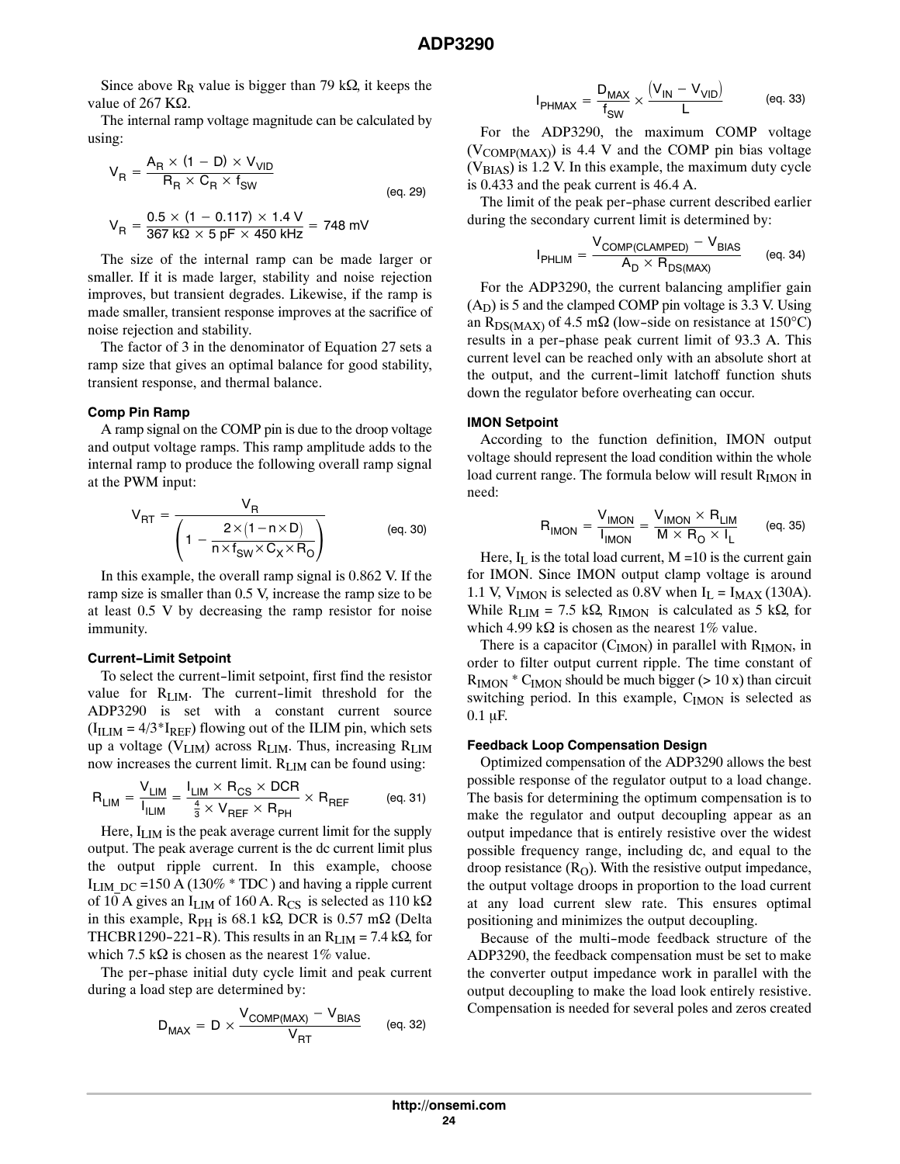Since above  $R_R$  value is bigger than 79 k $\Omega$ , it keeps the value of 267  $K\Omega$ .

The internal ramp voltage magnitude can be calculated by using:

$$
V_{R} = \frac{A_{R} \times (1 - D) \times V_{VID}}{R_{R} \times C_{R} \times f_{SW}}
$$
 (eq. 29)  

$$
V_{R} = \frac{0.5 \times (1 - 0.117) \times 1.4 \text{ V}}{367 \text{ k}\Omega \times 5 \text{ pF} \times 450 \text{ kHz}} = 748 \text{ mV}
$$

The size of the internal ramp can be made larger or smaller. If it is made larger, stability and noise rejection improves, but transient degrades. Likewise, if the ramp is made smaller, transient response improves at the sacrifice of noise rejection and stability.

The factor of 3 in the denominator of Equation [27](#page-22-0) sets a ramp size that gives an optimal balance for good stability, transient response, and thermal balance.

#### **Comp Pin Ramp**

A ramp signal on the COMP pin is due to the droop voltage and output voltage ramps. This ramp amplitude adds to the internal ramp to produce the following overall ramp signal at the PWM input:

$$
V_{RT} = \frac{V_R}{\left(1 - \frac{2 \times (1 - n \times D)}{n \times f_{SW} \times C_X \times R_O}\right)}
$$
 (eq. 30)

In this example, the overall ramp signal is 0.862 V. If the ramp size is smaller than 0.5 V, increase the ramp size to be at least 0.5 V by decreasing the ramp resistor for noise immunity.

#### **Current-Limit Setpoint**

To select the current-limit setpoint, first find the resistor value for  $R_{\text{LIM}}$ . The current-limit threshold for the ADP3290 is set with a constant current source  $(I<sub>ILIM</sub> = 4/3*I<sub>REF</sub>)$  flowing out of the ILIM pin, which sets up a voltage (VLIM) across RLIM. Thus, increasing RLIM now increases the current limit. RLIM can be found using:

$$
R_{LIM} = \frac{V_{LIM}}{I_{ILIM}} = \frac{I_{LIM} \times R_{CS} \times DCR}{\frac{4}{3} \times V_{REF} \times R_{PH}} \times R_{REF}
$$
 (eq. 31)

Here,  $I_{\text{LIM}}$  is the peak average current limit for the supply output. The peak average current is the dc current limit plus the output ripple current. In this example, choose I<sub>LIM</sub>  $_{DC}$  =150 A (130%  $*$  TDC) and having a ripple current of 10 A gives an  $I_{\text{LIM}}$  of 160 A. R<sub>CS</sub> is selected as 110 k $\Omega$ in this example,  $R_{PH}$  is 68.1 k $\Omega$ , DCR is 0.57 m $\Omega$  (Delta THCBR1290-221-R). This results in an  $R_{\text{LIM}} = 7.4 \text{ k}\Omega$ , for which 7.5 k $\Omega$  is chosen as the nearest 1% value.

The per-phase initial duty cycle limit and peak current during a load step are determined by:

$$
D_{MAX} = D \times \frac{V_{COMP(MAX)} - V_{BIAS}}{V_{RT}} \qquad (eq. 32)
$$

$$
I_{PHMAX} = \frac{D_{MAX}}{f_{SW}} \times \frac{(V_{IN} - V_{VID})}{L}
$$
 (eq. 33)

For the ADP3290, the maximum COMP voltage  $(V_{COMP(MAX)})$  is 4.4 V and the COMP pin bias voltage  $(V<sub>BIAS</sub>)$  is 1.2 V. In this example, the maximum duty cycle is 0.433 and the peak current is 46.4 A.

The limit of the peak per-phase current described earlier during the secondary current limit is determined by:

$$
I_{PHLIM} = \frac{V_{COMP(CLAMPED)} - V_{BIAS}}{A_D \times R_{DS(MAX)}} \qquad (eq. 34)
$$

For the ADP3290, the current balancing amplifier gain  $(A<sub>D</sub>)$  is 5 and the clamped COMP pin voltage is 3.3 V. Using an R<sub>DS(MAX)</sub> of 4.5 m $\Omega$  (low-side on resistance at 150°C) results in a per-phase peak current limit of 93.3 A. This current level can be reached only with an absolute short at the output, and the current-limit latchoff function shuts down the regulator before overheating can occur.

#### **IMON Setpoint**

According to the function definition, IMON output voltage should represent the load condition within the whole load current range. The formula below will result  $R_{IMON}$  in need:

$$
R_{\text{IMON}} = \frac{V_{\text{IMON}}}{I_{\text{IMON}}} = \frac{V_{\text{IMON}} \times R_{\text{LIM}}}{M \times R_{\text{O}} \times I_{\text{L}}} \qquad \text{(eq. 35)}
$$

Here,  $I_L$  is the total load current, M = 10 is the current gain for IMON. Since IMON output clamp voltage is around 1.1 V, V<sub>IMON</sub> is selected as 0.8V when  $I_L = I_{MAX}$  (130A). While  $R_{\text{LIM}} = 7.5 \text{ k}\Omega$ ,  $R_{\text{IMON}}$  is calculated as 5 k $\Omega$ , for which 4.99 k $\Omega$  is chosen as the nearest 1% value.

There is a capacitor  $(C_{IMON})$  in parallel with  $R_{IMON}$ , in order to filter output current ripple. The time constant of  $R_{\text{IMON}}$  \*  $C_{\text{IMON}}$  should be much bigger (> 10 x) than circuit switching period. In this example, C<sub>IMON</sub> is selected as  $0.1 \mu F$ .

#### **Feedback Loop Compensation Design**

Optimized compensation of the ADP3290 allows the best possible response of the regulator output to a load change. The basis for determining the optimum compensation is to make the regulator and output decoupling appear as an output impedance that is entirely resistive over the widest possible frequency range, including dc, and equal to the droop resistance  $(R<sub>O</sub>)$ . With the resistive output impedance, the output voltage droops in proportion to the load current at any load current slew rate. This ensures optimal positioning and minimizes the output decoupling.

Because of the multi-mode feedback structure of the ADP3290, the feedback compensation must be set to make the converter output impedance work in parallel with the output decoupling to make the load look entirely resistive. Compensation is needed for several poles and zeros created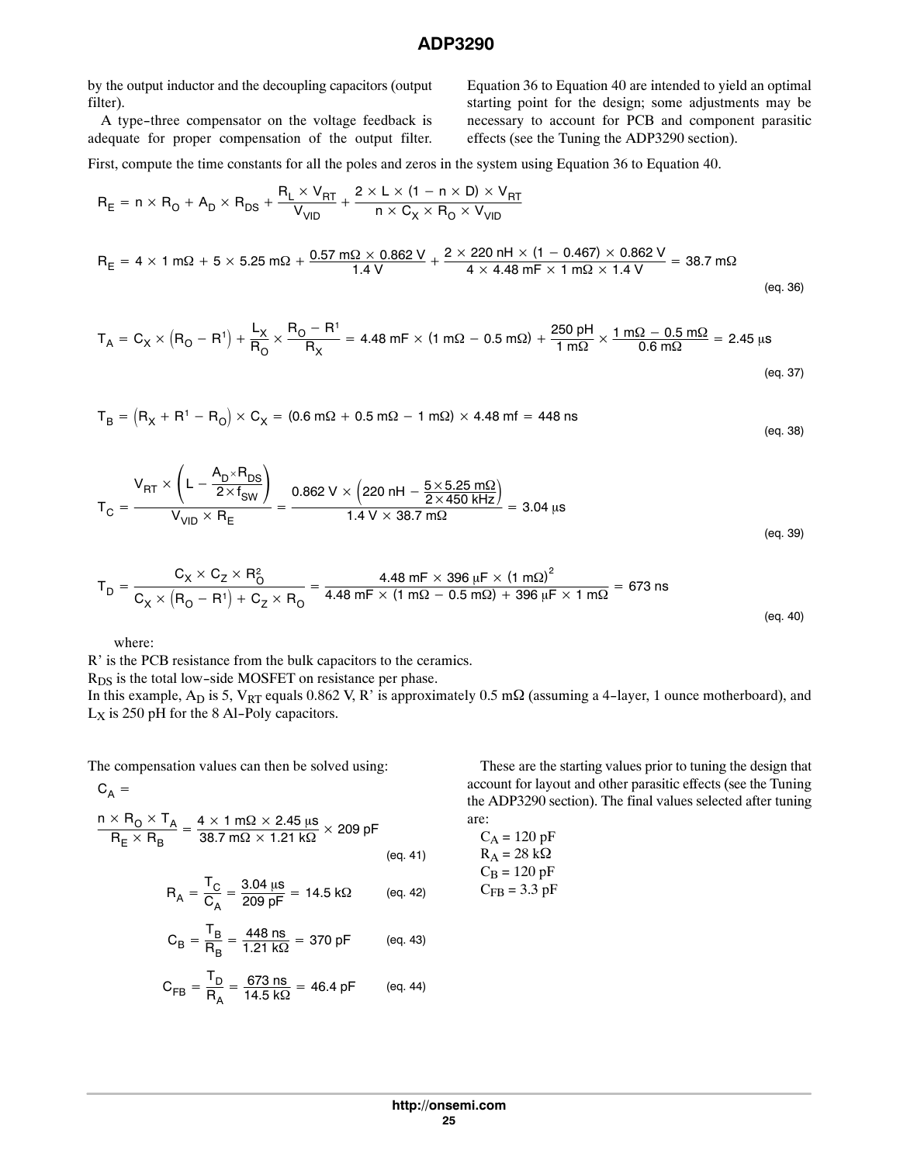by the output inductor and the decoupling capacitors (output filter).

A type-three compensator on the voltage feedback is adequate for proper compensation of the output filter. Equation 36 to Equation 40 are intended to yield an optimal starting point for the design; some adjustments may be necessary to account for PCB and component parasitic effects (see the Tuning the ADP3290 section).

First, compute the time constants for all the poles and zeros in the system using Equation 36 to Equation 40.

$$
R_{E} = n \times R_{O} + A_{D} \times R_{DS} + \frac{R_{L} \times V_{RT}}{V_{VID}} + \frac{2 \times L \times (1 - n \times D) \times V_{RT}}{n \times C_{X} \times R_{O} \times V_{VID}}
$$
  
\n
$$
R_{E} = 4 \times 1 \text{ m}\Omega + 5 \times 5.25 \text{ m}\Omega + \frac{0.57 \text{ m}\Omega \times 0.862 \text{ V}}{1.4 \text{ V}} + \frac{2 \times 220 \text{ nH} \times (1 - 0.467) \times 0.862 \text{ V}}{4 \times 4.48 \text{ mF} \times 1 \text{ m}\Omega \times 1.4 \text{ V}} = 38.7 \text{ m}\Omega
$$
(eq. 36)

$$
T_A = C_X \times (R_O - R^1) + \frac{L_X}{R_O} \times \frac{R_O - R^1}{R_X} = 4.48 \text{ mF} \times (1 \text{ m}\Omega - 0.5 \text{ m}\Omega) + \frac{250 \text{ pH}}{1 \text{ m}\Omega} \times \frac{1 \text{ m}\Omega - 0.5 \text{ m}\Omega}{0.6 \text{ m}\Omega} = 2.45 \text{ }\mu\text{s}
$$
\n
$$
\text{(eq. 37)}
$$

$$
T_B = (R_X + R^1 - R_0) \times C_X = (0.6 \text{ m}\Omega + 0.5 \text{ m}\Omega - 1 \text{ m}\Omega) \times 4.48 \text{ m}f = 448 \text{ ns}
$$
 (eq. 38)

$$
T_{C} = \frac{V_{RT} \times \left(L - \frac{A_{D} \times R_{DS}}{2 \times f_{SW}}\right)}{V_{VID} \times R_{E}} = \frac{0.862 \text{ V} \times \left(220 \text{ nH} - \frac{5 \times 5.25 \text{ m}\Omega}{2 \times 450 \text{ kHz}}\right)}{1.4 \text{ V} \times 38.7 \text{ m}\Omega} = 3.04 \text{ }\mu\text{s}
$$
\n
$$
\text{(eq. 39)}
$$

$$
T_{D} = \frac{C_{X} \times C_{Z} \times R_{O}^{2}}{C_{X} \times (R_{O} - R^{1}) + C_{Z} \times R_{O}} = \frac{4.48 \text{ mF} \times 396 \text{ }\mu\text{F} \times (1 \text{ m}\Omega)^{2}}{4.48 \text{ mF} \times (1 \text{ m}\Omega - 0.5 \text{ m}\Omega) + 396 \text{ }\mu\text{F} \times 1 \text{ m}\Omega} = 673 \text{ ns}
$$
\n(eq. 40)

where:

R' is the PCB resistance from the bulk capacitors to the ceramics.

R<sub>DS</sub> is the total low-side MOSFET on resistance per phase.

In this example,  $A_D$  is 5,  $V_{RT}$  equals 0.862 V, R' is approximately 0.5 m $\Omega$  (assuming a 4-layer, 1 ounce motherboard), and  $L_X$  is 250 pH for the 8 Al-Poly capacitors.

The compensation values can then be solved using:

 $C_A =$ 

$$
\frac{n \times R_0 \times T_A}{R_E \times R_B} = \frac{4 \times 1 \text{ m}\Omega \times 2.45 \text{ }\mu\text{s}}{38.7 \text{ m}\Omega \times 1.21 \text{ }\kappa\Omega} \times 209 \text{ pF}
$$
\n(eq. 41)

\n
$$
R_A = \frac{T_C}{C} = \frac{3.04 \text{ }\mu\text{s}}{209 \text{ pF}} = 14.5 \text{ }\kappa\Omega \qquad \text{(eq. 42)}
$$

$$
R_A = \frac{C}{C_A} = \frac{3.0 \text{ m/s}}{209 \text{ pF}} = 14.5 \text{ k}\Omega \qquad \text{(eq. 42)}
$$

$$
C_B = \frac{T_B}{R_B} = \frac{448 \text{ ns}}{1.21 \text{ k}\Omega} = 370 \text{ pF} \qquad \text{(eq. 43)}
$$

$$
C_{FB} = \frac{T_D}{R_A} = \frac{673 \text{ ns}}{14.5 \text{ k}\Omega} = 46.4 \text{ pF} \qquad \text{(eq. 44)}
$$

These are the starting values prior to tuning the design that account for layout and other parasitic effects (see the Tuning the ADP3290 section). The final values selected after tuning are:

$$
C_A = 120 \text{ pF}
$$
  
R<sub>A</sub> = 28 kΩ  
C<sub>B</sub> = 120 pF  
C<sub>FB</sub> = 3.3 pF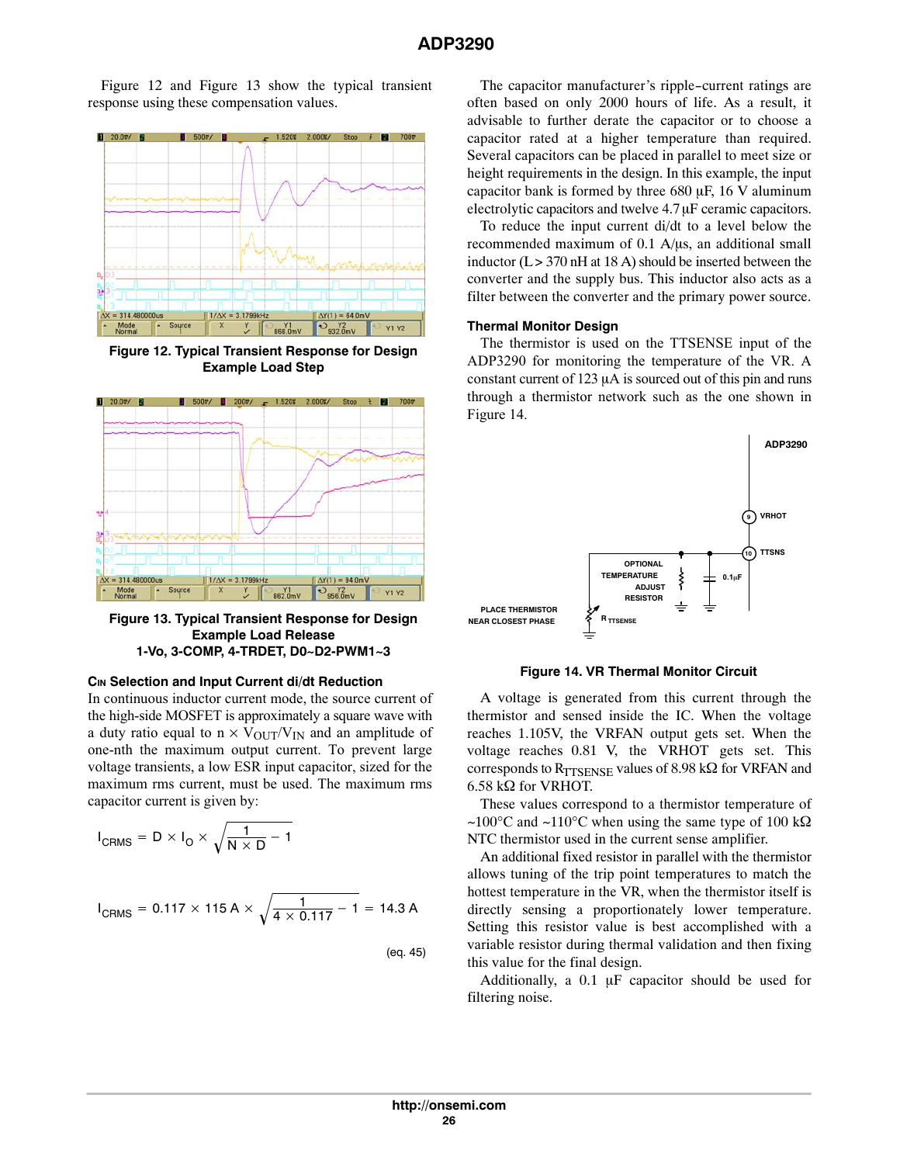Figure 12 and Figure 13 show the typical transient response using these compensation values.



**Figure 12. Typical Transient Response for Design Example Load Step**



**Figure 13. Typical Transient Response for Design Example Load Release 1‐Vo, 3‐COMP, 4‐TRDET, D0~D2‐PWM1~3**

#### **CIN Selection and Input Current di/dt Reduction**

In continuous inductor current mode, the source current of the high-side MOSFET is approximately a square wave with a duty ratio equal to  $n \times V_{\text{OUT}}/V_{\text{IN}}$  and an amplitude of one-nth the maximum output current. To prevent large voltage transients, a low ESR input capacitor, sized for the maximum rms current, must be used. The maximum rms capacitor current is given by:

$$
I_{\text{CRMS}} = D \times I_0 \times \sqrt{\frac{1}{N \times D} - 1}
$$

$$
I_{CRMS} = 0.117 \times 115 \text{ A} \times \sqrt{\frac{1}{4 \times 0.117} - 1} = 14.3 \text{ A}
$$

(eq. 45)

The capacitor manufacturer's ripple-current ratings are often based on only 2000 hours of life. As a result, it advisable to further derate the capacitor or to choose a capacitor rated at a higher temperature than required. Several capacitors can be placed in parallel to meet size or height requirements in the design. In this example, the input capacitor bank is formed by three  $680 \mu$ F, 16 V aluminum electrolytic capacitors and twelve  $4.7 \mu$ F ceramic capacitors.

To reduce the input current di/dt to a level below the recommended maximum of  $0.1$  A/ $\mu$ s, an additional small inductor  $(L > 370 \text{ nH at } 18 \text{ A})$  should be inserted between the converter and the supply bus. This inductor also acts as a filter between the converter and the primary power source.

#### **Thermal Monitor Design**

The thermistor is used on the TTSENSE input of the ADP3290 for monitoring the temperature of the VR. A constant current of 123  $\mu$ A is sourced out of this pin and runs through a thermistor network such as the one shown in Figure 14.



**Figure 14. VR Thermal Monitor Circuit**

A voltage is generated from this current through the thermistor and sensed inside the IC. When the voltage reaches 1.105V, the VRFAN output gets set. When the voltage reaches 0.81 V, the VRHOT gets set. This corresponds to RTTSENSE values of 8.98 k $\Omega$  for VRFAN and  $6.58$  k $\Omega$  for VRHOT.

These values correspond to a thermistor temperature of ~100°C and ~110°C when using the same type of 100 k $\Omega$ NTC thermistor used in the current sense amplifier.

An additional fixed resistor in parallel with the thermistor allows tuning of the trip point temperatures to match the hottest temperature in the VR, when the thermistor itself is directly sensing a proportionately lower temperature. Setting this resistor value is best accomplished with a variable resistor during thermal validation and then fixing this value for the final design.

Additionally, a  $0.1 \mu$ F capacitor should be used for filtering noise.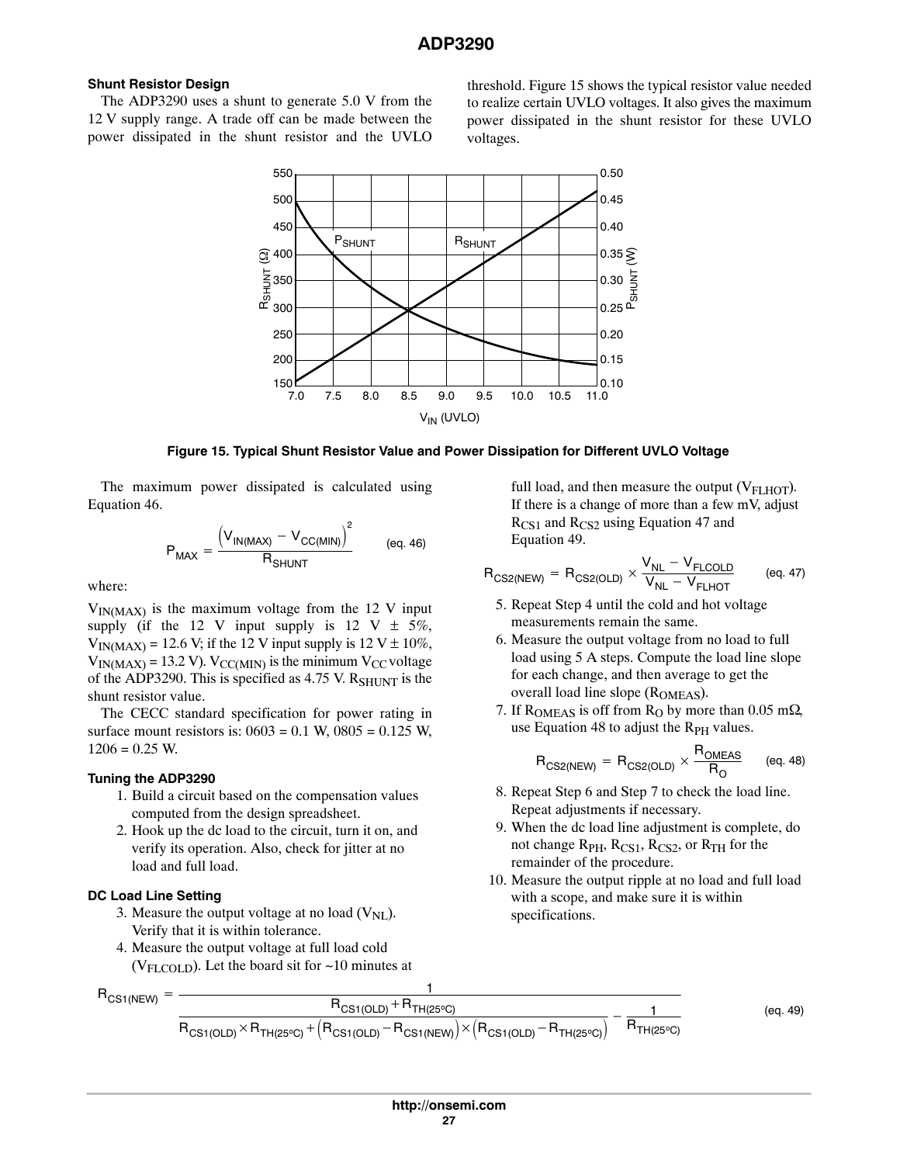# <span id="page-26-0"></span>**Shunt Resistor Design**

The ADP3290 uses a shunt to generate 5.0 V from the 12 V supply range. A trade off can be made between the power dissipated in the shunt resistor and the UVLO threshold. Figure 15 shows the typical resistor value needed to realize certain UVLO voltages. It also gives the maximum power dissipated in the shunt resistor for these UVLO voltages.



## **Figure 15. Typical Shunt Resistor Value and Power Dissipation for Different UVLO Voltage**

The maximum power dissipated is calculated using Equation 46.

$$
P_{MAX} = \frac{\left(V_{IN(MAX)} - V_{CC(MIN)}\right)^{2}}{R_{SHUNT}} \qquad (eq. 46)
$$

where:

 $V_{IN(MAX)}$  is the maximum voltage from the 12 V input supply (if the 12 V input supply is 12 V  $\pm$  5%,  $V_{IN(MAX)} = 12.6$  V; if the 12 V input supply is  $12 \text{ V} \pm 10\%$ ,  $V_{IN(MAX)} = 13.2$  V).  $V_{CC(MIN)}$  is the minimum  $V_{CC}$  voltage of the ADP3290. This is specified as 4.75 V.  $R_{SHUNT}$  is the shunt resistor value.

The CECC standard specification for power rating in surface mount resistors is:  $0603 = 0.1$  W,  $0805 = 0.125$  W,  $1206 = 0.25$  W.

## **Tuning the ADP3290**

- 1. Build a circuit based on the compensation values computed from the design spreadsheet.
- 2. Hook up the dc load to the circuit, turn it on, and verify its operation. Also, check for jitter at no load and full load.

## **DC Load Line Setting**

- 3. Measure the output voltage at no load  $(V_{NL})$ . Verify that it is within tolerance.
- 4. Measure the output voltage at full load cold ( $V_{\text{FLCOLD}}$ ). Let the board sit for  $\sim$ 10 minutes at

full load, and then measure the output  $(V<sub>FLHOT</sub>)$ . If there is a change of more than a few mV, adjust  $R_{CS1}$  and  $R_{CS2}$  using Equation 47 and Equation 49.

$$
R_{CS2(NEW)} = R_{CS2(OLD)} \times \frac{V_{NL} - V_{FLCOLD}}{V_{NL} - V_{FLHOT}} \qquad (eq. 47)
$$

- 5. Repeat Step 4 until the cold and hot voltage measurements remain the same.
- 6. Measure the output voltage from no load to full load using 5 A steps. Compute the load line slope for each change, and then average to get the overall load line slope  $(R<sub>OMEAS</sub>)$ .
- 7. If ROMEAS is off from  $R<sub>O</sub>$  by more than 0.05 m $\Omega$ , use Equation 48 to adjust the  $R_{PH}$  values.

$$
\displaystyle R_{CS2(NEW)} = R_{CS2(OLD)} \times \frac{R_{OMEAS}}{R_O} \qquad \text{(eq. 48)}
$$

- 8. Repeat Step 6 and Step 7 to check the load line. Repeat adjustments if necessary.
- 9. When the dc load line adjustment is complete, do not change  $R_{PH}$ ,  $R_{CS1}$ ,  $R_{CS2}$ , or  $R_{TH}$  for the remainder of the procedure.
- 10. Measure the output ripple at no load and full load with a scope, and make sure it is within specifications.

$$
R_{CS1(NEW)} = \frac{1}{R_{CS1(OLD)} \times R_{TH(25°C)} + (R_{CS1(OLD)} - R_{CS1(NEW)}) \times (R_{CS1(OLD)} - R_{TH(25°C)})} - \frac{1}{R_{TH(25°C)}} \tag{eq. 49}
$$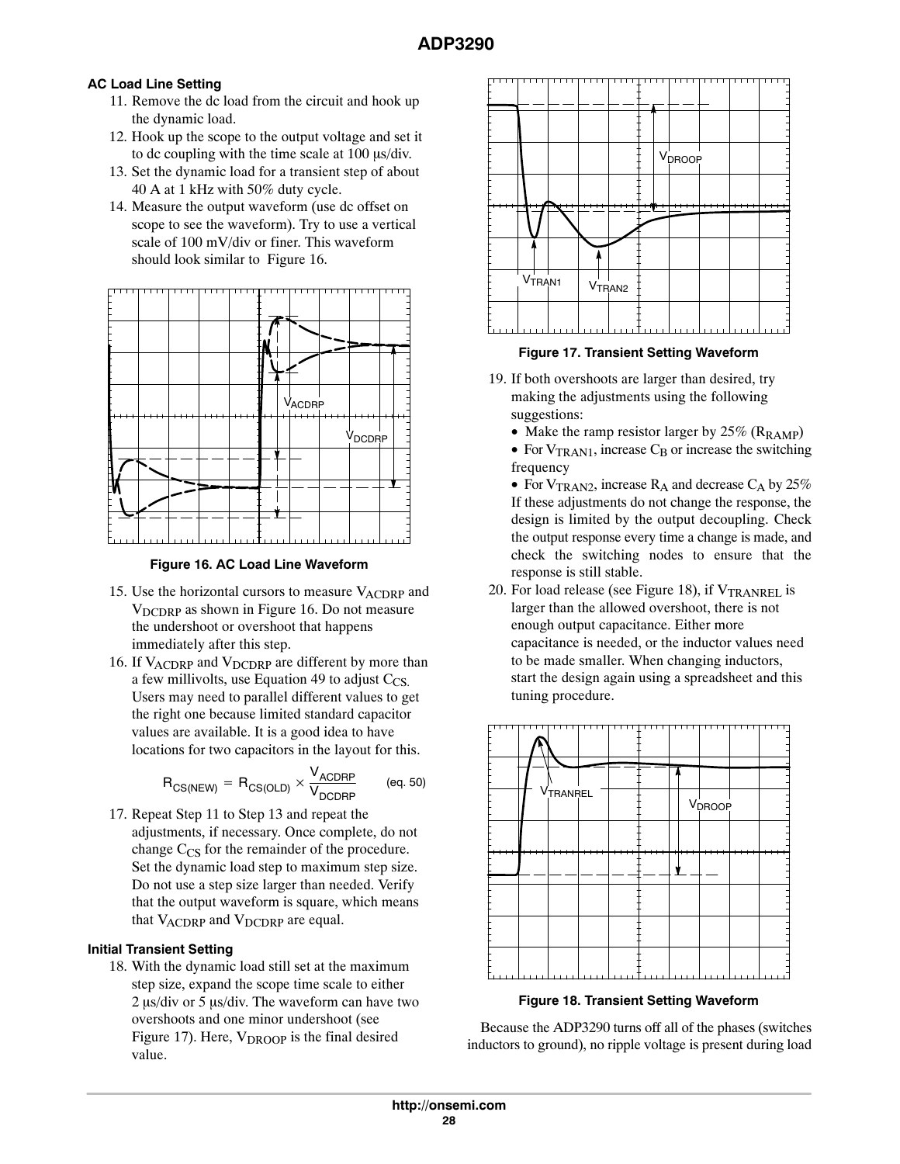# **AC Load Line Setting**

- 11. Remove the dc load from the circuit and hook up the dynamic load.
- 12. Hook up the scope to the output voltage and set it to dc coupling with the time scale at  $100 \mu s$  div.
- 13. Set the dynamic load for a transient step of about 40 A at 1 kHz with 50% duty cycle.
- 14. Measure the output waveform (use dc offset on scope to see the waveform). Try to use a vertical scale of 100 mV/div or finer. This waveform should look similar to Figure 16.





- 15. Use the horizontal cursors to measure  $V_{\text{ACDRP}}$  and  $V_{\text{DCDRP}}$  as shown in Figure 16. Do not measure the undershoot or overshoot that happens immediately after this step.
- 16. If  $V_{\text{ACDRP}}$  and  $V_{\text{DCDRP}}$  are different by more than a few millivolts, use Equation [49](#page-26-0) to adjust  $C_{CS}$ . Users may need to parallel different values to get the right one because limited standard capacitor values are available. It is a good idea to have locations for two capacitors in the layout for this.

$$
\displaystyle R_{CS(NEW)} \,=\, R_{CS(OLD)} \times \frac{V_{ACDRP}}{V_{DCDRP}} \qquad \text{(eq. 50)}
$$

17. Repeat Step 11 to Step 13 and repeat the adjustments, if necessary. Once complete, do not change  $C_{CS}$  for the remainder of the procedure. Set the dynamic load step to maximum step size. Do not use a step size larger than needed. Verify that the output waveform is square, which means that  $V_{\text{ACDRP}}$  and  $V_{\text{DCDRP}}$  are equal.

# **Initial Transient Setting**

18. With the dynamic load still set at the maximum step size, expand the scope time scale to either  $2 \mu s$ /div or 5  $\mu s$ /div. The waveform can have two overshoots and one minor undershoot (see Figure 17). Here,  $V_{DROOP}$  is the final desired value.



**Figure 17. Transient Setting Waveform**

- 19. If both overshoots are larger than desired, try making the adjustments using the following suggestions:
	- Make the ramp resistor larger by  $25\%$  ( $R_{\text{RAMP}}$ )
	- For  $V_{TRAN1}$ , increase  $C_B$  or increase the switching frequency

• For  $V_{\text{TRAN2}}$ , increase  $R_A$  and decrease  $C_A$  by 25% If these adjustments do not change the response, the design is limited by the output decoupling. Check the output response every time a change is made, and check the switching nodes to ensure that the response is still stable.

20. For load release (see Figure 18), if  $V_{\text{TRANREL}}$  is larger than the allowed overshoot, there is not enough output capacitance. Either more capacitance is needed, or the inductor values need to be made smaller. When changing inductors, start the design again using a spreadsheet and this tuning procedure.



**Figure 18. Transient Setting Waveform**

Because the ADP3290 turns off all of the phases (switches inductors to ground), no ripple voltage is present during load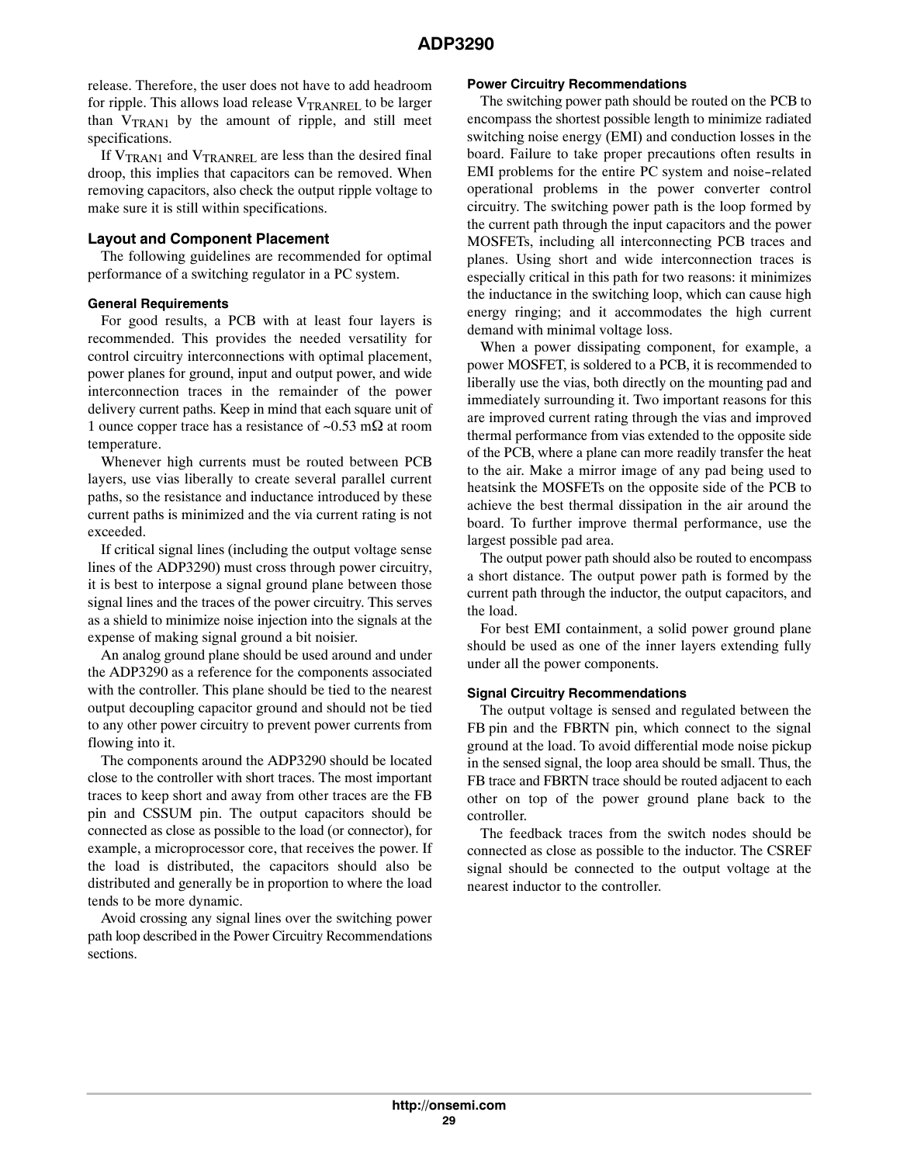release. Therefore, the user does not have to add headroom for ripple. This allows load release  $V_{\text{TRANREL}}$  to be larger than  $V_{TRAN1}$  by the amount of ripple, and still meet specifications.

If  $V_{\text{TRAN1}}$  and  $V_{\text{TRANREL}}$  are less than the desired final droop, this implies that capacitors can be removed. When removing capacitors, also check the output ripple voltage to make sure it is still within specifications.

## **Layout and Component Placement**

The following guidelines are recommended for optimal performance of a switching regulator in a PC system.

## **General Requirements**

For good results, a PCB with at least four layers is recommended. This provides the needed versatility for control circuitry interconnections with optimal placement, power planes for ground, input and output power, and wide interconnection traces in the remainder of the power delivery current paths. Keep in mind that each square unit of 1 ounce copper trace has a resistance of  $\sim 0.53$  m $\Omega$  at room temperature.

Whenever high currents must be routed between PCB layers, use vias liberally to create several parallel current paths, so the resistance and inductance introduced by these current paths is minimized and the via current rating is not exceeded.

If critical signal lines (including the output voltage sense lines of the ADP3290) must cross through power circuitry, it is best to interpose a signal ground plane between those signal lines and the traces of the power circuitry. This serves as a shield to minimize noise injection into the signals at the expense of making signal ground a bit noisier.

An analog ground plane should be used around and under the ADP3290 as a reference for the components associated with the controller. This plane should be tied to the nearest output decoupling capacitor ground and should not be tied to any other power circuitry to prevent power currents from flowing into it.

The components around the ADP3290 should be located close to the controller with short traces. The most important traces to keep short and away from other traces are the FB pin and CSSUM pin. The output capacitors should be connected as close as possible to the load (or connector), for example, a microprocessor core, that receives the power. If the load is distributed, the capacitors should also be distributed and generally be in proportion to where the load tends to be more dynamic.

Avoid crossing any signal lines over the switching power path loop described in the Power Circuitry Recommendations sections.

## **Power Circuitry Recommendations**

The switching power path should be routed on the PCB to encompass the shortest possible length to minimize radiated switching noise energy (EMI) and conduction losses in the board. Failure to take proper precautions often results in EMI problems for the entire PC system and noise-related operational problems in the power converter control circuitry. The switching power path is the loop formed by the current path through the input capacitors and the power MOSFETs, including all interconnecting PCB traces and planes. Using short and wide interconnection traces is especially critical in this path for two reasons: it minimizes the inductance in the switching loop, which can cause high energy ringing; and it accommodates the high current demand with minimal voltage loss.

When a power dissipating component, for example, a power MOSFET, is soldered to a PCB, it is recommended to liberally use the vias, both directly on the mounting pad and immediately surrounding it. Two important reasons for this are improved current rating through the vias and improved thermal performance from vias extended to the opposite side of the PCB, where a plane can more readily transfer the heat to the air. Make a mirror image of any pad being used to heatsink the MOSFETs on the opposite side of the PCB to achieve the best thermal dissipation in the air around the board. To further improve thermal performance, use the largest possible pad area.

The output power path should also be routed to encompass a short distance. The output power path is formed by the current path through the inductor, the output capacitors, and the load.

For best EMI containment, a solid power ground plane should be used as one of the inner layers extending fully under all the power components.

# **Signal Circuitry Recommendations**

The output voltage is sensed and regulated between the FB pin and the FBRTN pin, which connect to the signal ground at the load. To avoid differential mode noise pickup in the sensed signal, the loop area should be small. Thus, the FB trace and FBRTN trace should be routed adjacent to each other on top of the power ground plane back to the controller.

The feedback traces from the switch nodes should be connected as close as possible to the inductor. The CSREF signal should be connected to the output voltage at the nearest inductor to the controller.